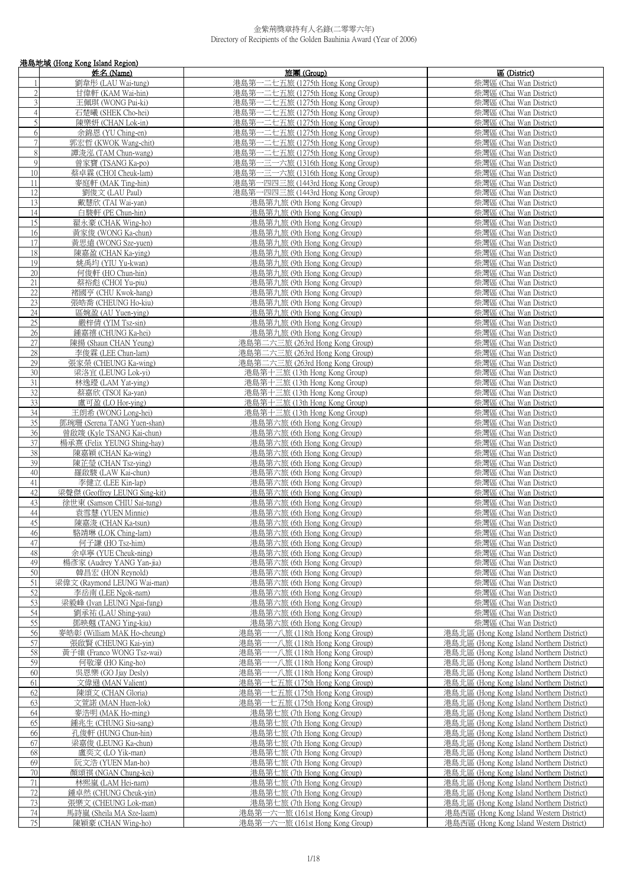|                                    | 港島地域 (Hong Kong Island Region)                      |                                                                        |                                                                                        |  |
|------------------------------------|-----------------------------------------------------|------------------------------------------------------------------------|----------------------------------------------------------------------------------------|--|
|                                    | 姓名 (Name)                                           | 旅團(Group)                                                              | 區 (District)                                                                           |  |
|                                    | 劉韋彤 (LAU Wai-tung)                                  | 港島第一二七五旅 (1275th Hong Kong Group)                                      | 柴灣區 (Chai Wan District)                                                                |  |
| $\sqrt{2}$                         | 甘偉軒 (KAM Wai-hin)                                   | 港島第一二七五旅 (1275th Hong Kong Group)                                      | 柴灣區 (Chai Wan District)                                                                |  |
| $\overline{3}$                     | 王佩琪 (WONG Pui-ki)                                   | 港島第一二七五旅 (1275th Hong Kong Group)                                      | 柴灣區 (Chai Wan District)                                                                |  |
| $\overline{4}$                     | 石楚曦 (SHEK Cho-hei)                                  | 港島第一二七五旅 (1275th Hong Kong Group)                                      | 柴灣區 (Chai Wan District)                                                                |  |
| 5                                  | 陳樂妍 (CHAN Lok-in)                                   | 港島第一二七五旅 (1275th Hong Kong Group)                                      | 柴灣區 (Chai Wan District)                                                                |  |
| 6                                  | 余錦恩 (YU Ching-en)                                   | 港島第一二七五旅 (1275th Hong Kong Group)                                      | 柴灣區 (Chai Wan District)                                                                |  |
| $\sqrt{7}$                         | 郭宏哲 (KWOK Wang-chit)                                | 港島第一二七五旅 (1275th Hong Kong Group)                                      | 柴灣區 (Chai Wan District)                                                                |  |
| $\,$ 8 $\,$<br>9                   | 譚浚泓 (TAM Chun-wang)<br>曾家寶 (TSANG Ka-po)            | 港島第一二七五旅 (1275th Hong Kong Group)<br>港島第一三一六旅 (1316th Hong Kong Group) | 柴灣區 (Chai Wan District)                                                                |  |
| $10\,$                             | 蔡卓霖 (CHOI Cheuk-lam)                                | 港島第一三一六旅 (1316th Hong Kong Group)                                      | 柴灣區 (Chai Wan District)<br>柴灣區 (Chai Wan District)                                     |  |
| 11                                 | 麥庭軒 (MAK Ting-hin)                                  | 港島第一四四三旅 (1443rd Hong Kong Group)                                      | 柴灣區 (Chai Wan District)                                                                |  |
| 12                                 | 劉俊文 (LAU Paul)                                      | 港島第一四四三旅 (1443rd Hong Kong Group)                                      | 柴灣區 (Chai Wan District)                                                                |  |
| 13                                 | 戴慧欣 (TAI Wai-yan)                                   | 港島第九旅 (9th Hong Kong Group)                                            | 柴灣區 (Chai Wan District)                                                                |  |
| 14                                 | 白駿軒 (PE Chun-hin)                                   | 港島第九旅 (9th Hong Kong Group)                                            | 柴灣區 (Chai Wan District)                                                                |  |
| 15                                 | 翟永豪 (CHAK Wing-ho)                                  | 港島第九旅 (9th Hong Kong Group)                                            | 柴灣區 (Chai Wan District)                                                                |  |
| 16                                 | 黃家俊 (WONG Ka-chun)                                  | 港島第九旅 (9th Hong Kong Group)                                            | 柴灣區 (Chai Wan District)                                                                |  |
| 17                                 | 黃思遠 (WONG Sze-yuen)                                 | 港島第九旅 (9th Hong Kong Group)                                            | 柴灣區 (Chai Wan District)                                                                |  |
| 18                                 | 陳嘉盈 (CHAN Ka-ying)                                  | 港島第九旅 (9th Hong Kong Group)                                            | 柴灣區 (Chai Wan District)                                                                |  |
| 19                                 | 姚禹均 (YIU Yu-kwan)                                   | 港島第九旅 (9th Hong Kong Group)                                            | 柴灣區 (Chai Wan District)                                                                |  |
| $20\,$                             | 何俊軒 (HO Chun-hin)                                   | 港島第九旅 (9th Hong Kong Group)                                            | 柴灣區 (Chai Wan District)                                                                |  |
| $21\,$                             | 蔡裕彪 (CHOI Yu-piu)                                   | 港島第九旅 (9th Hong Kong Group)                                            | 柴灣區 (Chai Wan District)                                                                |  |
| 22                                 | 褚國亨 (CHU Kwok-hang)                                 | 港島第九旅 (9th Hong Kong Group)                                            | 柴灣區 (Chai Wan District)                                                                |  |
| $\overline{23}$                    | 張皓喬 (CHEUNG Ho-kiu)                                 | 港島第九旅 (9th Hong Kong Group)                                            | 柴灣區 (Chai Wan District)                                                                |  |
| 24                                 | 區婉盈 (AU Yuen-ying)                                  | 港島第九旅 (9th Hong Kong Group)                                            | 柴灣區 (Chai Wan District)                                                                |  |
| $\overline{25}$                    | 嚴梓倩 (YIM Tsz-sin)                                   | 港島第九旅 (9th Hong Kong Group)                                            | 柴灣區 (Chai Wan District)                                                                |  |
| $\overline{26}$                    | 鍾嘉禧 (CHUNG Ka-hei)                                  | 港島第九旅 (9th Hong Kong Group)                                            | 柴灣區 (Chai Wan District)                                                                |  |
| $27\,$                             | 陳揚 (Shaun CHAN Yeung)                               | 港島第二六三旅 (263rd Hong Kong Group)                                        | 柴灣區 (Chai Wan District)                                                                |  |
| 28                                 | 李俊霖 (LEE Chun-lam)                                  | 港島第二六三旅 (263rd Hong Kong Group)                                        | 柴灣區 (Chai Wan District)                                                                |  |
| 29                                 | 張家榮 (CHEUNG Ka-wing)                                | 港島第二六三旅 (263rd Hong Kong Group)                                        | 柴灣區 (Chai Wan District)                                                                |  |
| 30                                 | 梁洛宜 (LEUNG Lok-yi)                                  | 港島第十三旅 (13th Hong Kong Group)                                          | 柴灣區 (Chai Wan District)                                                                |  |
| 31                                 | 林逸璒 (LAM Yat-ying)                                  | 港島第十三旅 (13th Hong Kong Group)                                          | 柴灣區 (Chai Wan District)                                                                |  |
| 32                                 | 蔡嘉欣 (TSOI Ka-yan)                                   | 港島第十三旅 (13th Hong Kong Group)                                          | 柴灣區 (Chai Wan District)                                                                |  |
| 33                                 | 盧可盈 (LO Hor-ying)                                   | 港島第十三旅 (13th Hong Kong Group)                                          | 柴灣區 (Chai Wan District)                                                                |  |
| 34                                 | 王朗希 (WONG Long-hei)                                 | 港島第十三旅 (13th Hong Kong Group)                                          | 柴灣區 (Chai Wan District)                                                                |  |
| $\overline{35}$<br>$\overline{36}$ | 鄧琬珊 (Serena TANG Yuen-shan)                         | 港島第六旅 (6th Hong Kong Group)                                            | 柴灣區 (Chai Wan District)                                                                |  |
| 37                                 | 曾啟竣 (Kyle TSANG Kai-chun)                           | 港島第六旅 (6th Hong Kong Group)                                            | 柴灣區 (Chai Wan District)                                                                |  |
| 38                                 | 楊承熹 (Felix YEUNG Shing-hay)<br>陳嘉穎 (CHAN Ka-wing)   | 港島第六旅 (6th Hong Kong Group)<br>港島第六旅 (6th Hong Kong Group)             | 柴灣區 (Chai Wan District)<br>柴灣區 (Chai Wan District)                                     |  |
| 39                                 | 陳芷瑩 (CHAN Tsz-ying)                                 | 港島第六旅 (6th Hong Kong Group)                                            | 柴灣區 (Chai Wan District)                                                                |  |
| 40                                 | 羅啟駿 (LAW Kai-chun)                                  | 港島第六旅 (6th Hong Kong Group)                                            | 柴灣區 (Chai Wan District)                                                                |  |
| 41                                 | 李健立 (LEE Kin-lap)                                   | 港島第六旅 (6th Hong Kong Group)                                            | 柴灣區 (Chai Wan District)                                                                |  |
| 42                                 | 梁聲傑 (Geoffrey LEUNG Sing-kit)                       | 港島第六旅 (6th Hong Kong Group)                                            | 柴灣區 (Chai Wan District)                                                                |  |
| 43                                 | 徐世東 (Samson CHIU Sai-tung)                          | 港島第六旅 (6th Hong Kong Group)                                            | 柴灣區 (Chai Wan District)                                                                |  |
| 44                                 | 袁雪慧 (YUEN Minnie)                                   | 港島第六旅 (6th Hong Kong Group)                                            | 柴灣區 (Chai Wan District)                                                                |  |
| 45                                 | 陳嘉浚 (CHAN Ka-tsun)                                  | 港島第六旅 (6th Hong Kong Group)                                            | 柴灣區 (Chai Wan District)                                                                |  |
| 46                                 | 駱靖琳 (LOK Ching-lam)                                 | 港島第六旅 (6th Hong Kong Group)                                            | 柴灣區 (Chai Wan District)                                                                |  |
| 47                                 | 何子謙 (HO Tsz-him)                                    | 港島第六旅 (6th Hong Kong Group)                                            | 柴灣區 (Chai Wan District)                                                                |  |
| 48                                 | 余卓寧 (YUE Cheuk-ning)                                | 港島第六旅 (6th Hong Kong Group)                                            | 柴灣區 (Chai Wan District)                                                                |  |
| 49                                 | 楊彥家 (Audrey YANG Yan-jia)                           | 港島第六旅 (6th Hong Kong Group)                                            | 柴灣區 (Chai Wan District)                                                                |  |
| 50                                 | 韓昌宏 (HON Reynold)                                   | 港島第六旅 (6th Hong Kong Group)                                            | 柴灣區 (Chai Wan District)                                                                |  |
| 51                                 | 梁偉文 (Raymond LEUNG Wai-man)                         | 港島第六旅 (6th Hong Kong Group)                                            | 柴灣區 (Chai Wan District)                                                                |  |
| 52                                 | 李岳南 (LEE Ngok-nam)                                  | 港島第六旅 (6th Hong Kong Group)                                            | 柴灣區 (Chai Wan District)                                                                |  |
| 53                                 | 梁毅峰 (Ivan LEUNG Ngai-fung)                          | 港島第六旅 (6th Hong Kong Group)                                            | 柴灣區 (Chai Wan District)                                                                |  |
| 54                                 | 劉承祐 (LAU Shing-yau)                                 | 港島第六旅 (6th Hong Kong Group)                                            | 柴灣區 (Chai Wan District)                                                                |  |
| 55                                 | 鄧映翹 (TANG Ying-kiu)                                 | 港島第六旅 (6th Hong Kong Group)                                            | 柴灣區 (Chai Wan District)                                                                |  |
| 56<br>57                           | 麥皓彰 (William MAK Ho-cheung)<br>張啟賢 (CHEUNG Kai-yin) | 港島第一一八旅 (118th Hong Kong Group)<br>港島第一一八旅 (118th Hong Kong Group)     | 港島北區 (Hong Kong Island Northern District)<br>港島北區 (Hong Kong Island Northern District) |  |
| 58                                 | 黃子維 (Franco WONG Tsz-wai)                           | 港島第一一八旅 (118th Hong Kong Group)                                        | 港島北區 (Hong Kong Island Northern District)                                              |  |
| 59                                 | 何敬濠 (HO King-ho)                                    | 港島第一一八旅 (118th Hong Kong Group)                                        | 港島北區 (Hong Kong Island Northern District)                                              |  |
| 60                                 | 吳恩樂 (GO Jiay Desly)                                 | 港島第一一八旅 (118th Hong Kong Group)                                        | 港島北區 (Hong Kong Island Northern District)                                              |  |
| 61                                 | 文偉遜 (MAN Valient)                                   | 港島第一七五旅 (175th Hong Kong Group)                                        | 港島北區 (Hong Kong Island Northern District)                                              |  |
| 62                                 | 陳頌文 (CHAN Gloria)                                   | 港島第一七五旅 (175th Hong Kong Group)                                        | 港島北區 (Hong Kong Island Northern District)                                              |  |
| 63                                 | 文萱諾 (MAN Huen-lok)                                  | 港島第一七五旅 (175th Hong Kong Group)                                        | 港島北區 (Hong Kong Island Northern District)                                              |  |
| 64                                 | 麥浩明 (MAK Ho-ming)                                   | 港島第七旅 (7th Hong Kong Group)                                            | 港島北區 (Hong Kong Island Northern District)                                              |  |
| 65                                 | 鍾兆生 (CHUNG Siu-sang)                                | 港島第七旅 (7th Hong Kong Group)                                            | 港島北區 (Hong Kong Island Northern District)                                              |  |
| 66                                 | 孔俊軒 (HUNG Chun-hin)                                 | 港島第七旅 (7th Hong Kong Group)                                            | 港島北區 (Hong Kong Island Northern District)                                              |  |
| 67                                 | 梁嘉俊 (LEUNG Ka-chun)                                 | 港島第七旅 (7th Hong Kong Group)                                            | 港島北區 (Hong Kong Island Northern District)                                              |  |
| 68                                 | 盧奕文 (LO Yik-man)                                    | 港島第七旅 (7th Hong Kong Group)                                            | 港島北區 (Hong Kong Island Northern District)                                              |  |
| 69                                 | 阮文浩 (YUEN Man-ho)                                   | 港島第七旅 (7th Hong Kong Group)                                            | 港島北區 (Hong Kong Island Northern District)                                              |  |
| $70\,$                             | 顏頌祺 (NGAN Chung-kei)                                | 港島第七旅 (7th Hong Kong Group)                                            | 港島北區 (Hong Kong Island Northern District)                                              |  |
| 71                                 | 林熙嵐 (LAM Hei-nam)                                   | 港島第七旅 (7th Hong Kong Group)                                            | 港島北區 (Hong Kong Island Northern District)                                              |  |
| 72                                 | 鍾卓然 (CHUNG Cheuk-yin)                               | 港島第七旅 (7th Hong Kong Group)                                            | 港島北區 (Hong Kong Island Northern District)                                              |  |
| 73                                 | 張樂文 (CHEUNG Lok-man)                                | 港島第七旅 (7th Hong Kong Group)                                            | 港島北區 (Hong Kong Island Northern District)                                              |  |
| 74                                 | 馬詩嵐 (Sheila MA Sze-laam)                            | 港島第一六一旅 (161st Hong Kong Group)                                        | 港島西區 (Hong Kong Island Western District)                                               |  |
| 75                                 | 陳穎豪 (CHAN Wing-ho)                                  | 港島第一六一旅 (161st Hong Kong Group)                                        | 港島西區 (Hong Kong Island Western District)                                               |  |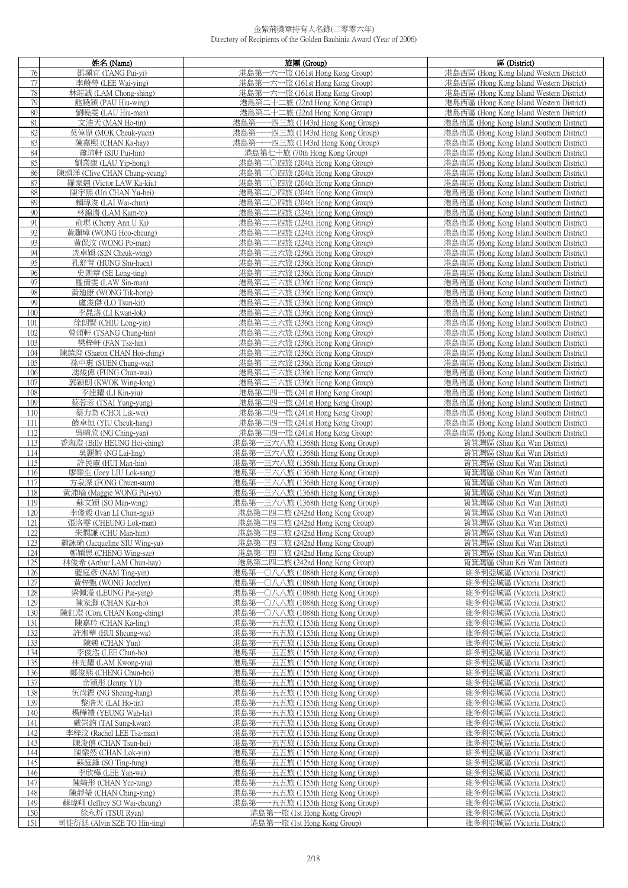|            | 姓名(Name)                                  | 旅團 (Group)                                                             | 區 (District)                                                                           |
|------------|-------------------------------------------|------------------------------------------------------------------------|----------------------------------------------------------------------------------------|
| 76         | 鄧珮宜 (TANG Pui-yi)                         | 港島第一六一旅 (161st Hong Kong Group)                                        | 港島西區 (Hong Kong Island Western District)                                               |
| 77         | 李蔚瑩 (LEE Wai-ying)                        | 港島第一六一旅 (161st Hong Kong Group)                                        | 港島西區 (Hong Kong Island Western District)                                               |
| 78         | 林莊誠 (LAM Chong-shing)                     | 港島第一六一旅 (161st Hong Kong Group)                                        | 港島西區 (Hong Kong Island Western District)                                               |
| 79         | 鮑曉穎 (PAU Hiu-wing)                        | 港島第二十二旅 (22nd Hong Kong Group)                                         | 港島西區 (Hong Kong Island Western District)                                               |
| 80         | 劉曉雯 (LAU Hiu-man)                         | 港島第二十二旅 (22nd Hong Kong Group)                                         | 港島西區 (Hong Kong Island Western District)                                               |
| 81         | 文浩天 (MAN Ho-tin)                          | 港島第一一四三旅 (1143rd Hong Kong Group)                                      | 港島南區 (Hong Kong Island Southern District)                                              |
| 82         | 莫倬原 (MOK Cheuk-yuen)                      | 港島第一一四三旅 (1143rd Hong Kong Group)                                      | 港島南區 (Hong Kong Island Southern District)                                              |
| 83         | 陳嘉熙 (CHAN Ka-hay)                         | 港島第一一四三旅 (1143rd Hong Kong Group)                                      | 港島南區 (Hong Kong Island Southern District)                                              |
| 84         | 蕭沛軒 (SIU Pui-hin)                         | 港島第七十旅 (70th Hong Kong Group)                                          | 港島南區 (Hong Kong Island Southern District)                                              |
| 85         | 劉業康 (LAU Yip-hong)                        | 港島第二〇四旅 (204th Hong Kong Group)                                        | 港島南區 (Hong Kong Island Southern District)                                              |
| 86         | 陳頌洋 (Clive CHAN Chung-yeung)              | 港島第二○四旅 (204th Hong Kong Group)                                        | 港島南區 (Hong Kong Island Southern District)                                              |
| 87         | 羅家翹 (Victor LAW Ka-kiu)                   | 港島第二〇四旅 (204th Hong Kong Group)                                        | 港島南區 (Hong Kong Island Southern District)                                              |
| 88         | 陳宇熙 (Uri CHAN Yu-hei)                     | 港島第二〇四旅 (204th Hong Kong Group)                                        | 港島南區 (Hong Kong Island Southern District)                                              |
| 89         | 賴瑋浚 (LAI Wai-chun)                        | 港島第二○四旅 (204th Hong Kong Group)                                        | 港島南區 (Hong Kong Island Southern District)                                              |
| 90         | 林錦濤 (LAM Kam-to)                          | 港島第二二四旅 (224th Hong Kong Group)                                        | 港島南區 (Hong Kong Island Southern District)                                              |
| 91         | 俞琪 (Cherry Ann U Ki)                      | 港島第二二四旅 (224th Hong Kong Group)                                        | 港島南區 (Hong Kong Island Southern District)                                              |
| 92         | 黃灝璋 (WONG Hoo-cheung)                     | 港島第二二四旅 (224th Hong Kong Group)                                        | 港島南區 (Hong Kong Island Southern District)                                              |
| 93         | 黃保汶 (WONG Po-man)                         | 港島第二二四旅 (224th Hong Kong Group)                                        | 港島南區 (Hong Kong Island Southern District)                                              |
| 94         | 冼卓穎 (SIN Cheuk-wing)                      | 港島第<br>二三六旅 (236th Hong Kong Group)                                    | 港島南區 (Hong Kong Island Southern District)                                              |
| 95         | 孔舒萱 (HUNG Shu-huen)                       | 港島第二三六旅 (236th Hong Kong Group)                                        | 港島南區 (Hong Kong Island Southern District)                                              |
| 96         | 史朗葶 (SE Long-ting)                        | 港島第二三六旅 (236th Hong Kong Group)                                        | 港島南區 (Hong Kong Island Southern District)                                              |
| 97         | 羅倩雯 (LAW Sin-man)                         | 港島第二三六旅 (236th Hong Kong Group)                                        | 港島南區 (Hong Kong Island Southern District)                                              |
| 98<br>99   | 黃廸康 (WONG Tik-hong)<br>盧浚傑 (LO Tsun-kit)  | 港島第二三六旅 (236th Hong Kong Group)<br>港島第二三六旅 (236th Hong Kong Group)     | 港島南區 (Hong Kong Island Southern District)<br>港島南區 (Hong Kong Island Southern District) |
| 100        |                                           | 港島第二三六旅 (236th Hong Kong Group)                                        |                                                                                        |
| 101        | 李昆洛 (LI Kwan-lok)<br>徐朗賢 (CHIU Long-vin)  | 港島第二三六旅 (236th Hong Kong Group)                                        | 港島南區 (Hong Kong Island Southern District)<br>港島南區 (Hong Kong Island Southern District) |
| 102        | 曾頌軒 (TSANG Chung-hin)                     | 港島第二三六旅 (236th Hong Kong Group)                                        | 港島南區 (Hong Kong Island Southern District)                                              |
| 103        | 樊梓軒 (FAN Tsz-hin)                         | 港島第二三六旅 (236th Hong Kong Group)                                        | 港島南區 (Hong Kong Island Southern District)                                              |
| 104        | 陳鎧澄 (Sharon CHAN Hoi-ching)               | 港島第二三六旅 (236th Hong Kong Group)                                        | 港島南區 (Hong Kong Island Southern District)                                              |
| 105        | 孫中惠 (SUEN Chung-wai)                      | 港島第二三六旅 (236th Hong Kong Group)                                        | 港島南區 (Hong Kong Island Southern District)                                              |
| 106        | 馮焌偉 (FUNG Chun-wai)                       | 港島第二三六旅 (236th Hong Kong Group)                                        | 港島南區 (Hong Kong Island Southern District)                                              |
| 107        | 郭穎朗 (KWOK Wing-long)                      | 港島第二三六旅 (236th Hong Kong Group)                                        | 港島南區 (Hong Kong Island Southern District)                                              |
| 108        | 李建耀 (LI Kin-yiu)                          | 港島第二四一旅 (241st Hong Kong Group)                                        | 港島南區 (Hong Kong Island Southern District)                                              |
| 109        | 蔡蓉蓉 (TSAI Yung-yung)                      | 港島第二四一旅 (241st Hong Kong Group)                                        | 港島南區 (Hong Kong Island Southern District)                                              |
| 110        | 蔡力為 (CHOI Lik-wei)                        | 港島第二四一旅 (241st Hong Kong Group)                                        | 港島南區 (Hong Kong Island Southern District)                                              |
| 111        | 饒卓恒 (YIU Cheuk-hang)                      | 港島第二四一旅 (241st Hong Kong Group)                                        | 港島南區 (Hong Kong Island Southern District)                                              |
| 112        | 吳晴欣 (NG Ching-yan)                        | 港島第二四一旅 (241st Hong Kong Group)                                        | 港島南區 (Hong Kong Island Southern District)                                              |
| 113        | 香海澄 (Billy HEUNG Hoi-ching)               | 港島第一三六八旅 (1368th Hong Kong Group)                                      | 筲箕灣區 (Shau Kei Wan District)                                                           |
| 114        | 吳麗齡 (NG Lai-ling)                         | 港島第一三六八旅 (1368th Hong Kong Group)                                      | 筲箕灣區 (Shau Kei Wan District)                                                           |
| 115        | 許民憲 (HUI Man-hin)                         | 港島第一三六八旅 (1368th Hong Kong Group)                                      | 筲箕灣區 (Shau Kei Wan District)                                                           |
| 116        | 廖樂生 (Joey LIU Lok-sang)                   | 港島第一三六八旅 (1368th Hong Kong Group)                                      | 筲箕灣區 (Shau Kei Wan District)                                                           |
| 117        | 方泉深 (FONG Chuen-sum)                      | 港島第一三六八旅 (1368th Hong Kong Group)                                      | 筲箕灣區 (Shau Kei Wan District)                                                           |
| 118        | 黃沛瑜 (Maggie WONG Pui-yu)                  | 港島第一三六八旅 (1368th Hong Kong Group)                                      | 筲箕灣區 (Shau Kei Wan District)                                                           |
| 119        | 蘇文穎 (SO Man-wing)                         | 港島第一三六八旅 (1368th Hong Kong Group)                                      | 筲箕灣區 (Shau Kei Wan District)                                                           |
| 120        | 李俊毅 (Ivan LI Chun-ngai)                   | 港島第二四二旅 (242nd Hong Kong Group)                                        | 筲箕灣區 (Shau Kei Wan District)                                                           |
| 121        | 張洛雯 (CHEUNG Lok-man)                      | 港島第二四二旅 (242nd Hong Kong Group)                                        | 筲箕灣區 (Shau Kei Wan District)                                                           |
| 122        | 朱憫謙 (CHU Man-him)                         | 港島第二四二旅 (242nd Hong Kong Group)                                        | 筲箕灣區 (Shau Kei Wan District)                                                           |
| 123        | 蕭詠瑜 (Jacqueline SIU Wing-yu)              | 港島第二四二旅 (242nd Hong Kong Group)                                        | 筲箕灣區 (Shau Kei Wan District)                                                           |
| 124        | 鄭穎思 (CHENG Wing-sze)                      | 港島第二四二旅 (242nd Hong Kong Group)                                        | 筲箕灣區 (Shau Kei Wan District)                                                           |
| 125        | 林俊希 (Arthur LAM Chun-hay)                 | 港島第二四二旅 (242nd Hong Kong Group)                                        | 筲箕灣區 (Shau Kei Wan District)                                                           |
| 126        | 藍庭彥 (NAM Ting-yin)                        | 港島第一〇八八旅 (1088th Hong Kong Group)                                      | 維多利亞城區 (Victoria District)                                                             |
| 127        | 黃梓甄 (WONG Jocelyn)                        | 港島第一〇八八旅 (1088th Hong Kong Group)                                      | 維多利亞城區 (Victoria District)                                                             |
| 128<br>129 | 梁佩瀅 (LEUNG Pui-ying)<br>陳家灝 (CHAN Kar-ho) | 港島第一〇八八旅 (1088th Hong Kong Group)<br>港島第一〇八八旅 (1088th Hong Kong Group) | 維多利亞城區 (Victoria District)<br>維多利亞城區 (Victoria District)                               |
| 130        | 陳釭澄 (Cora CHAN Kong-ching)                | 港島第一〇八八旅 (1088th Hong Kong Group)                                      | 維多利亞城區 (Victoria District)                                                             |
| 131        | 陳嘉玲 (CHAN Ka-ling)                        | 一五五旅 (1155th Hong Kong Group)<br>港島第                                   | 維多利亞城區 (Victoria District)                                                             |
| 132        | 許湘華 (HUI Sheung-wa)                       | 一五五旅 (1155th Hong Kong Group)<br>港島第                                   | 維多利亞城區 (Victoria District)                                                             |
| 133        | 陳鵷 (CHAN Yun)                             | -五五旅 (1155th Hong Kong Group)<br>港島第                                   | 維多利亞城區 (Victoria District)                                                             |
| 134        | 李俊浩 (LEE Chun-ho)                         | -五五旅 (1155th Hong Kong Group)<br>港島第                                   | 維多利亞城區 (Victoria District)                                                             |
| 135        | 林光耀 (LAM Kwong-yiu)                       | 港島第<br>·五五旅 (1155th Hong Kong Group)                                   | 維多利亞城區 (Victoria District)                                                             |
| 136        | 鄭俊熙 (CHENG Chun-hei)                      | ·五五旅 (1155th Hong Kong Group)<br>港島第-                                  | 維多利亞城區 (Victoria District)                                                             |
| 137        | 余穎彤 (Jenny YU)                            | 港島第<br>·五五旅 (1155th Hong Kong Group)                                   | 維多利亞城區 (Victoria District)                                                             |
| 138        | 伍尚鏗 (NG Sheung-hang)                      | 港島第<br>•五五旅 (1155th Hong Kong Group)                                   | 維多利亞城區 (Victoria District)                                                             |
| 139        | 黎浩天 (LAI Ho-tin)                          | -五五旅 (1155th Hong Kong Group)<br>港島第                                   | 維多利亞城區 (Victoria District)                                                             |
| 140        | 楊樺禮 (YEUNG Wah-lai)                       | 港島第<br>-五五旅 (1155th Hong Kong Group)                                   | 維多利亞城區 (Victoria District)                                                             |
| 141        | 戴崇鈞 (TAI Sung-kwan)                       | ·五五旅 (1155th Hong Kong Group)<br>港島第                                   | 維多利亞城區 (Victoria District)                                                             |
| 142        | 李梓汶 (Rachel LEE Tsz-man)                  | 港島第<br>·五五旅 (1155th Hong Kong Group)                                   | 維多利亞城區 (Victoria District)                                                             |
| 143        | 陳浚僖 (CHAN Tsun-hei)                       | -五五旅 (1155th Hong Kong Group)<br>港島第一                                  | 維多利亞城區 (Victoria District)                                                             |
| 144        | 陳樂然 (CHAN Lok-yin)                        | 港島第<br>•五五旅 (1155th Hong Kong Group)                                   | 維多利亞城區 (Victoria District)                                                             |
| 145        | 蘇庭鋒 (SO Ting-fung)                        | 港島第<br>-五五旅 (1155th Hong Kong Group)                                   | 維多利亞城區 (Victoria District)                                                             |
| 146        | 李欣樺 (LEE Yan-wa)                          | -五五旅 (1155th Hong Kong Group)<br>港島第                                   | 維多利亞城區 (Victoria District)                                                             |
| 147        | 陳綺彤 (CHAN Yee-tung)                       | 港島第-<br>-五五旅 (1155th Hong Kong Group)                                  | 維多利亞城區 (Victoria District)                                                             |
| 148        | 陳靜瑩 (CHAN Ching-ying)                     | -五五旅 (1155th Hong Kong Group)<br>港島第-                                  | 維多利亞城區 (Victoria District)                                                             |
| 149        | 蘇瑋翔 (Jeffrey SO Wai-cheung)               | 港島第一一五五旅 (1155th Hong Kong Group)                                      | 維多利亞城區 (Victoria District)                                                             |
| 150        | 徐永炘 (TSUI Ryan)                           | 港島第一旅 (1st Hong Kong Group)                                            | 維多利亞城區 (Victoria District)                                                             |
| 151        | 司徒衍廷 (Alvin SZE TO Hin-ting)              | 港島第一旅 (1st Hong Kong Group)                                            | 維多利亞城區 (Victoria District)                                                             |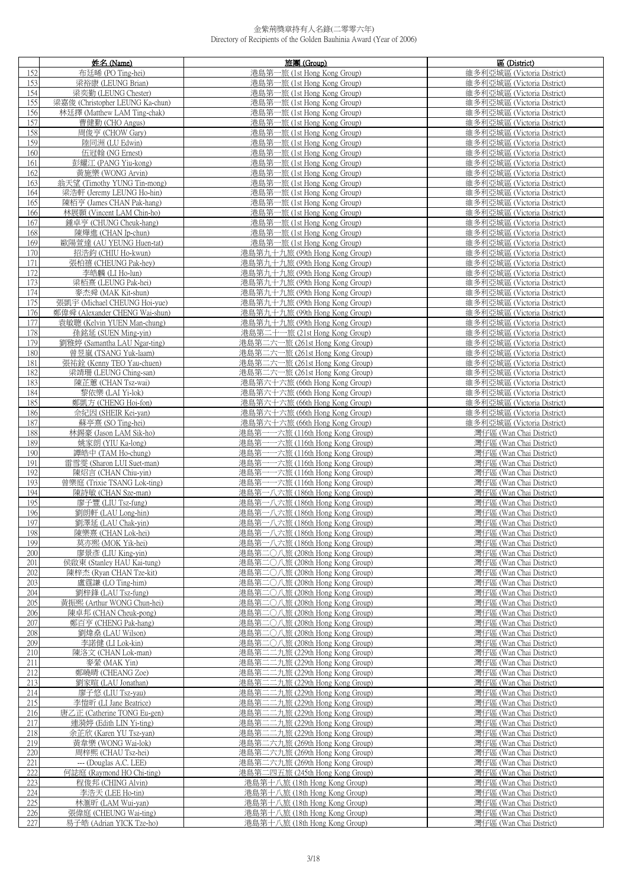|            | 姓名 (Name)                                | 旅團 (Group)                                                         | 區 (District)                                       |
|------------|------------------------------------------|--------------------------------------------------------------------|----------------------------------------------------|
| 152        | 布廷晞 (PO Ting-hei)                        | 港島第一旅 (1st Hong Kong Group)                                        | 維多利亞城區 (Victoria District)                         |
| 153        | 梁裕康 (LEUNG Brian)                        | 港島第一旅 (1st Hong Kong Group)                                        | 維多利亞城區 (Victoria District)                         |
| 154        | 梁奕勤 (LEUNG Chester)                      | 港島第一旅 (1st Hong Kong Group)                                        | 維多利亞城區 (Victoria District)                         |
| 155        | 梁嘉俊 (Christopher LEUNG Ka-chun)          | 港島第一旅 (1st Hong Kong Group)                                        | 維多利亞城區 (Victoria District)                         |
| 156        | 林廷擇 (Matthew LAM Ting-chak)              | 港島第一旅 (1st Hong Kong Group)                                        | 維多利亞城區 (Victoria District)                         |
| 157        | 曹健勤 (CHO Angus)                          | 港島第一旅 (1st Hong Kong Group)                                        | 維多利亞城區 (Victoria District)                         |
|            | 周俊亨 (CHOW Gary)                          | 港島第一旅 (1st Hong Kong Group)                                        |                                                    |
| 158        |                                          |                                                                    | 維多利亞城區 (Victoria District)                         |
| 159        | 陸同洲 (LU Edwin)                           | 港島第一旅 (1st Hong Kong Group)                                        | 維多利亞城區 (Victoria District)                         |
| 160        | 伍冠翰 (NG Ernest)                          | 港島第一旅 (1st Hong Kong Group)                                        | 維多利亞城區 (Victoria District)                         |
| 161        | 彭耀江 (PANG Yiu-kong)                      | 港島第一旅 (1st Hong Kong Group)                                        | 維多利亞城區 (Victoria District)                         |
| 162        | 黃施樂 (WONG Arvin)                         | 港島第一旅 (1st Hong Kong Group)                                        | 維多利亞城區 (Victoria District)                         |
| 163        | 翁天望 (Timothy YUNG Tin-mong)              | 港島第一旅 (1st Hong Kong Group)                                        | 維多利亞城區 (Victoria District)                         |
| 164        | 梁浩軒 (Jeremy LEUNG Ho-hin)                | 港島第一旅 (1st Hong Kong Group)                                        | 維多利亞城區 (Victoria District)                         |
| 165        | 陳栢亨 (James CHAN Pak-hang)                | 港島第一旅 (1st Hong Kong Group)                                        | 維多利亞城區 (Victoria District)                         |
| 166        | 林展顥 (Vincent LAM Chin-ho)                | 港島第一旅 (1st Hong Kong Group)                                        | 維多利亞城區 (Victoria District)                         |
| 167        | 鍾卓亨 (CHUNG Cheuk-hang)                   | 港島第一旅 (1st Hong Kong Group)                                        | 維多利亞城區 (Victoria District)                         |
| 168        | 陳燁進 (CHAN Ip-chun)                       | 港島第一旅 (1st Hong Kong Group)                                        | 維多利亞城區 (Victoria District)                         |
| 169        | 歐陽萱達 (AU YEUNG Huen-tat)                 | 港島第一旅 (1st Hong Kong Group)                                        | 維多利亞城區 (Victoria District)                         |
| 170        | 招浩鈞 (CHIU Ho-kwun)                       | 港島第九十九旅 (99th Hong Kong Group)                                     | 維多利亞城區 (Victoria District)                         |
| 171        | 張柏禧 (CHEUNG Pak-hey)                     | 港島第九十九旅 (99th Hong Kong Group)                                     | 維多利亞城區 (Victoria District)                         |
| 172        | 李皓麟 (LI Ho-lun)                          | 港島第九十九旅 (99th Hong Kong Group)                                     | 維多利亞城區 (Victoria District)                         |
| 173        | 梁栢熹 (LEUNG Pak-hei)                      | 港島第九十九旅 (99th Hong Kong Group)                                     | 維多利亞城區 (Victoria District)                         |
| 174        | 麥杰舜 (MAK Kit-shun)                       | 港島第九十九旅 (99th Hong Kong Group)                                     | 維多利亞城區 (Victoria District)                         |
| 175        | 張凱宇 (Michael CHEUNG Hoi-yue)             | 港島第九十九旅 (99th Hong Kong Group)                                     | 維多利亞城區 (Victoria District)                         |
| 176        | 鄭偉舜 (Alexander CHENG Wai-shun)           | 港島第九十九旅 (99th Hong Kong Group)                                     | 維多利亞城區 (Victoria District)                         |
| 177        | 袁敏聰 (Kelvin YUEN Man-chung)              | 港島第九十九旅 (99th Hong Kong Group)                                     | 維多利亞城區 (Victoria District)                         |
| 178        | 孫銘延 (SUEN Ming-yin)                      | 港島第二十一旅 (21st Hong Kong Group)                                     | 維多利亞城區 (Victoria District)                         |
| 179        | 劉雅婷 (Samantha LAU Ngar-ting)             | 港島第二六一旅 (261st Hong Kong Group)                                    | 維多利亞城區 (Victoria District)                         |
| 180        | 曾昱嵐 (TSANG Yuk-laam)                     | 港島第二六一旅 (261st Hong Kong Group)                                    | 維多利亞城區 (Victoria District)                         |
| 181        | 張祐銓 (Kenny TEO Yau-chuen)                | 港島第二六一旅 (261st Hong Kong Group)                                    | 維多利亞城區 (Victoria District)                         |
| 182        | 梁靖珊 (LEUNG Ching-san)                    | 港島第二六一旅 (261st Hong Kong Group)                                    | 維多利亞城區 (Victoria District)                         |
| 183        | 陳芷蕙 (CHAN Tsz-wai)                       | 港島第六十六旅 (66th Hong Kong Group)                                     | 維多利亞城區 (Victoria District)                         |
| 184        | 黎依樂 (LAI Yi-lok)                         | 港島第六十六旅 (66th Hong Kong Group)                                     | 維多利亞城區 (Victoria District)                         |
| 185        | 鄭凱方 (CHENG Hoi-fon)                      | 港島第六十六旅 (66th Hong Kong Group)                                     | 維多利亞城區 (Victoria District)                         |
| 186        | 佘紀因 (SHEIR Kei-yan)                      | 港島第六十六旅 (66th Hong Kong Group)                                     | 維多利亞城區 (Victoria District)                         |
| 187        | 蘇亭熹 (SO Ting-hei)                        | 港島第六十六旅 (66th Hong Kong Group)                                     | 維多利亞城區 (Victoria District)                         |
| 188        | 林錫豪 (Jason LAM Sik-ho)                   | 港島第一一六旅 (116th Hong Kong Group)                                    | 灣仔區 (Wan Chai District)                            |
| 189        | 姚家朗 (YIU Ka-long)                        | 港島第一一六旅 (116th Hong Kong Group)                                    | 灣仔區 (Wan Chai District)                            |
| 190        | 譚皓中 (TAM Ho-chung)                       | 港島第一一六旅 (116th Hong Kong Group)                                    | 灣仔區 (Wan Chai District)                            |
| 191        | 雷雪雯 (Sharon LUI Suet-man)                | 港島第一一六旅 (116th Hong Kong Group)                                    | 灣仔區 (Wan Chai District)                            |
| 192        | 陳炤言 (CHAN Chiu-yin)                      | 港島第一一六旅 (116th Hong Kong Group)                                    | 灣仔區 (Wan Chai District)                            |
| 193        | 曾樂庭 (Trixie TSANG Lok-ting)              | 港島第一一六旅 (116th Hong Kong Group)                                    | 灣仔區 (Wan Chai District)                            |
| 194        | 陳詩敏 (CHAN Sze-man)<br>廖子豐 (LIU Tsz-fung) | 港島第一八六旅 (186th Hong Kong Group)                                    | 灣仔區 (Wan Chai District)                            |
| 195        |                                          | 港島第一八六旅 (186th Hong Kong Group)                                    | 灣仔區 (Wan Chai District)                            |
| 196<br>197 | 劉朗軒 (LAU Long-hin)<br>劉澤延 (LAU Chak-yin) | 港島第一八六旅 (186th Hong Kong Group)<br>港島第一八六旅 (186th Hong Kong Group) | 灣仔區 (Wan Chai District)<br>灣仔區 (Wan Chai District) |
| 198        | 陳樂熹 (CHAN Lok-hei)                       | 港島第一八六旅 (186th Hong Kong Group)                                    | 灣仔區 (Wan Chai District)                            |
| 199        | 莫亦熙 (MOK Yik-hei)                        | 港島第一八六旅 (186th Hong Kong Group)                                    | 灣仔區 (Wan Chai District)                            |
| 200        | 廖景彥 (LIU King-yin)                       | 港島第二〇八旅 (208th Hong Kong Group)                                    | 灣仔區 (Wan Chai District)                            |
| 201        | 侯啟東 (Stanley HAU Kai-tung)               | 港島第二〇八旅 (208th Hong Kong Group)                                    | 灣仔區 (Wan Chai District)                            |
| 202        | 陳梓杰 (Ryan CHAN Tze-kit)                  | 港島第二〇八旅 (208th Hong Kong Group)                                    | 灣仔區 (Wan Chai District)                            |
| 203        | 盧霆謙 (LO Ting-him)                        | 港島第二〇八旅 (208th Hong Kong Group)                                    | 灣仔區 (Wan Chai District)                            |
| 204        | 劉梓鋒 (LAU Tsz-fung)                       | 港島第二〇八旅 (208th Hong Kong Group)                                    | 灣仔區 (Wan Chai District)                            |
| 205        | 黃振熙 (Arthur WONG Chun-hei)               | 港島第二〇八旅 (208th Hong Kong Group)                                    | 灣仔區 (Wan Chai District)                            |
| 206        | 陳卓邦 (CHAN Cheuk-pong)                    | 港島第二〇八旅 (208th Hong Kong Group)                                    | 灣仔區 (Wan Chai District)                            |
| 207        | 鄭百亨 (CHENG Pak-hang)                     | 港島第二〇八旅 (208th Hong Kong Group)                                    | 灣仔區 (Wan Chai District)                            |
| 208        | 劉煒桑 (LAU Wilson)                         | 港島第二〇八旅 (208th Hong Kong Group)                                    | 灣仔區 (Wan Chai District)                            |
| 209        | 李諾健 (LI Lok-kin)                         | 港島第二〇八旅 (208th Hong Kong Group)                                    | 灣仔區 (Wan Chai District)                            |
| 210        | 陳洛文 (CHAN Lok-man)                       | 港島第二二九旅 (229th Hong Kong Group)                                    | 灣仔區 (Wan Chai District)                            |
| 211        | 麥縈 (MAK Yin)                             | 港島第二二九旅 (229th Hong Kong Group)                                    | 灣仔區 (Wan Chai District)                            |
| 212        | 鄭曉晴 (CHEANG Zoe)                         | 港島第二二九旅 (229th Hong Kong Group)                                    | 灣仔區 (Wan Chai District)                            |
| 213        | 劉家暄 (LAU Jonathan)                       | 港島第二二九旅 (229th Hong Kong Group)                                    | 灣仔區 (Wan Chai District)                            |
| 214        | 廖子悠 (LIU Tsz-yau)                        | 港島第二二九旅 (229th Hong Kong Group)                                    | 灣仔區 (Wan Chai District)                            |
| 215        | 李愷昕 (LI Jane Beatrice)                   | 港島第二二九旅 (229th Hong Kong Group)                                    | 灣仔區 (Wan Chai District)                            |
| 216        | 唐乙正 (Catherine TONG Eu-gen)              | 港島第二二九旅 (229th Hong Kong Group)                                    | 灣仔區 (Wan Chai District)                            |
| 217        | 連漪婷 (Edith LIN Yi-ting)                  | 港島第二二九旅 (229th Hong Kong Group)                                    | 灣仔區 (Wan Chai District)                            |
| 218        | 余芷欣 (Karen YU Tsz-yan)                   | 港島第二二九旅 (229th Hong Kong Group)                                    | 灣仔區 (Wan Chai District)                            |
| 219        | 黃韋樂 (WONG Wai-lok)                       | 港島第二六九旅 (269th Hong Kong Group)                                    | 灣仔區 (Wan Chai District)                            |
| 220        | 周梓熙 (CHAU Tsz-hei)                       | 港島第二六九旅 (269th Hong Kong Group)                                    | 灣仔區 (Wan Chai District)                            |
| 221        | --- (Douglas A.C. LEE)                   | 港島第二六九旅 (269th Hong Kong Group)                                    | 灣仔區 (Wan Chai District)                            |
| 222        | 何誌庭 (Raymond HO Chi-ting)                | 港島第二四五旅 (245th Hong Kong Group)                                    | 灣仔區 (Wan Chai District)                            |
| 223        | 程俊邦 (CHING Alvin)                        | 港島第十八旅 (18th Hong Kong Group)                                      | 灣仔區 (Wan Chai District)                            |
| 224        | 李浩天 (LEE Ho-tin)                         | 港島第十八旅 (18th Hong Kong Group)                                      | 灣仔區 (Wan Chai District)                            |
| 225        | 林滙昕 (LAM Wui-yan)                        | 港島第十八旅 (18th Hong Kong Group)                                      | 灣仔區 (Wan Chai District)                            |
| 226        | 張偉庭 (CHEUNG Wai-ting)                    | 港島第十八旅 (18th Hong Kong Group)                                      | 灣仔區 (Wan Chai District)                            |
| 227        | 易子皓 (Adrian YICK Tze-ho)                 | 港島第十八旅 (18th Hong Kong Group)                                      | 灣仔區 (Wan Chai District)                            |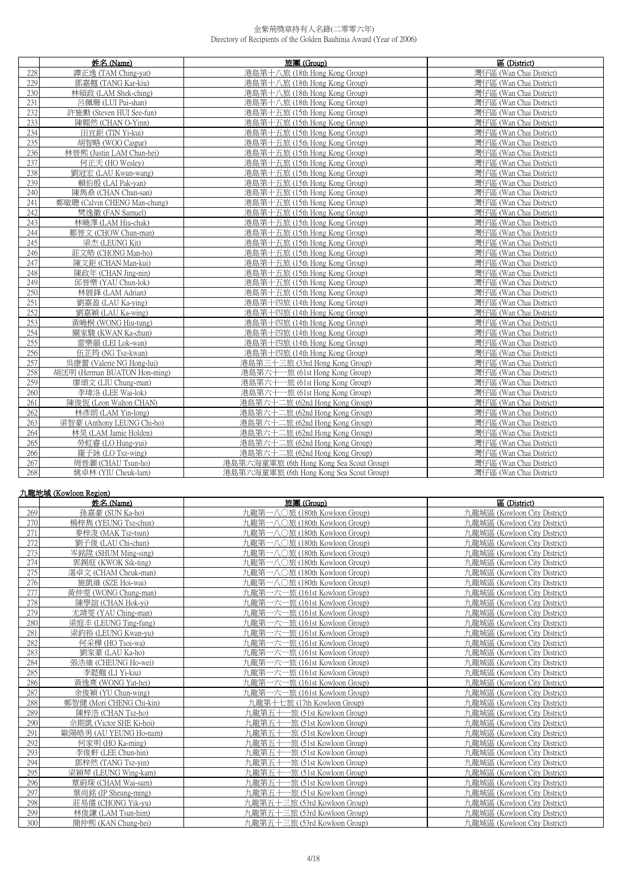|     | 姓名 (Name)                    | 旅團 (Group)                               | 區 (District)            |
|-----|------------------------------|------------------------------------------|-------------------------|
| 228 | 譚正逸 (TAM Ching-yat)          | 港島第十八旅 (18th Hong Kong Group)            | 灣仔區 (Wan Chai District) |
| 229 | 鄧嘉翹 (TANG Kar-kiu)           | 港島第十八旅 (18th Hong Kong Group)            | 灣仔區 (Wan Chai District) |
| 230 | 林碩政 (LAM Shek-ching)         | 港島第十八旅 (18th Hong Kong Group)            | 灣仔區 (Wan Chai District) |
| 231 | 呂佩珊 (LUI Pui-shan)           | 港島第十八旅 (18th Hong Kong Group)            | 灣仔區 (Wan Chai District) |
| 232 | 許施勳 (Steven HUI See-fun)     | 港島第十五旅 (15th Hong Kong Group)            | 灣仔區 (Wan Chai District) |
| 233 | 陳翱然 (CHAN O-Yinn)            | 港島第十五旅 (15th Hong Kong Group)            | 灣仔區 (Wan Chai District) |
| 234 | 田宜鉅 (TIN Yi-kui)             | 港島第十五旅 (15th Hong Kong Group)            | 灣仔區 (Wan Chai District) |
| 235 | 胡智略 (WOO Caspar)             | 港島第十五旅 (15th Hong Kong Group)            | 灣仔區 (Wan Chai District) |
| 236 | 林晉熙 (Justin LAM Chun-hei)    | 港島第十五旅 (15th Hong Kong Group)            | 灣仔區 (Wan Chai District) |
| 237 | 何正天 (HO Wesley)              | 港島第十五旅 (15th Hong Kong Group)            | 灣仔區 (Wan Chai District) |
| 238 | 劉冠宏 (LAU Kwun-wang)          | 港島第十五旅 (15th Hong Kong Group)            | 灣仔區 (Wan Chai District) |
| 239 | 賴伯殷 (LAI Pak-yan)            | 港島第十五旅 (15th Hong Kong Group)            | 灣仔區 (Wan Chai District) |
| 240 | 陳雋燊 (CHAN Chun-san)          | 港島第十五旅 (15th Hong Kong Group)            | 灣仔區 (Wan Chai District) |
| 241 | 鄭敏聰 (Calvin CHENG Man-chung) | 港島第十五旅 (15th Hong Kong Group)            | 灣仔區 (Wan Chai District) |
| 242 | 樊逸徽 (FAN Samuel)             | 港島第十五旅 (15th Hong Kong Group)            | 灣仔區 (Wan Chai District) |
| 243 | 林曉澤 (LAM Hiu-chak)           | 港島第十五旅 (15th Hong Kong Group)            | 灣仔區 (Wan Chai District) |
| 244 | 鄒晉文 (CHOW Chun-man)          | 港島第十五旅 (15th Hong Kong Group)            | 灣仔區 (Wan Chai District) |
| 245 | 梁杰 (LEUNG Kit)               | 港島第十五旅 (15th Hong Kong Group)            | 灣仔區 (Wan Chai District) |
| 246 | 莊文皓 (CHONG Man-ho)           | 港島第十五旅 (15th Hong Kong Group)            | 灣仔區 (Wan Chai District) |
| 247 | 陳文鉅 (CHAN Man-kui)           | 港島第十五旅 (15th Hong Kong Group)            | 灣仔區 (Wan Chai District) |
| 248 | 陳政年 (CHAN Jing-nin)          | 港島第十五旅 (15th Hong Kong Group)            | 灣仔區 (Wan Chai District) |
| 249 | 邱晉樂 (YAU Chun-lok)           | 港島第十五旅 (15th Hong Kong Group)            | 灣仔區 (Wan Chai District) |
| 250 | 林展鋒 (LAM Adrian)             | 港島第十五旅 (15th Hong Kong Group)            | 灣仔區 (Wan Chai District) |
| 251 | 劉嘉盈 (LAU Ka-ying)            | 港島第十四旅 (14th Hong Kong Group)            | 灣仔區 (Wan Chai District) |
| 252 | 劉嘉穎 (LAU Ka-wing)            | 港島第十四旅 (14th Hong Kong Group)            | 灣仔區 (Wan Chai District) |
| 253 | 黃曉桐 (WONG Hiu-tung)          | 港島第十四旅 (14th Hong Kong Group)            | 灣仔區 (Wan Chai District) |
| 254 | 關家駿 (KWAN Ka-chun)           | 港島第十四旅 (14th Hong Kong Group)            | 灣仔區 (Wan Chai District) |
| 255 | 雷樂韻 (LEI Lok-wan)            | 港島第十四旅 (14th Hong Kong Group)            | 灣仔區 (Wan Chai District) |
| 256 | 伍芷筠 (NG Tsz-kwan)            | 港島第十四旅 (14th Hong Kong Group)            | 灣仔區 (Wan Chai District) |
| 257 | 吳康蕾 (Valerie NG Hong-lui)    | 港島第三十三旅 (33rd Hong Kong Group)           | 灣仔區 (Wan Chai District) |
| 258 | 胡匡明 (Herman BUATON Hon-ming) | 港島第六十一旅 (61st Hong Kong Group)           | 灣仔區 (Wan Chai District) |
| 259 | 廖頌文 (LIU Chung-man)          | 港島第六十一旅 (61st Hong Kong Group)           | 灣仔區 (Wan Chai District) |
| 260 | 李瑋洛 (LEE Wai-lok)            | 港島第六十一旅 (61st Hong Kong Group)           | 灣仔區 (Wan Chai District) |
| 261 | 陳俊恆 (Leon Walton CHAN)       | 港島第六十二旅 (62nd Hong Kong Group)           | 灣仔區 (Wan Chai District) |
| 262 | 林彥朗 (LAM Yin-long)           | 港島第六十二旅 (62nd Hong Kong Group)           | 灣仔區 (Wan Chai District) |
| 263 | 梁智豪 (Anthony LEUNG Chi-ho)   | 港島第六十二旅 (62nd Hong Kong Group)           | 灣仔區 (Wan Chai District) |
| 264 | 林昊 (LAM Jamie Holden)        | 港島第六十二旅 (62nd Hong Kong Group)           | 灣仔區 (Wan Chai District) |
| 265 | 勞虹睿 (LO Hung-yui)            | 港島第六十二旅 (62nd Hong Kong Group)           | 灣仔區 (Wan Chai District) |
| 266 | 羅子詠 (LO Tsz-wing)            | 港島第六十二旅 (62nd Hong Kong Group)           | 灣仔區 (Wan Chai District) |
| 267 | 周晉灝 (CHAU Tsun-ho)           | 港島第六海童軍旅 (6th Hong Kong Sea Scout Group) | 灣仔區 (Wan Chai District) |
| 268 | 姚卓林 (YIU Cheuk-lam)          | 港島第六海童軍旅 (6th Hong Kong Sea Scout Group) | 灣仔區 (Wan Chai District) |

#### 九龍地域 (Kowloon Region)

|     | 姓名(Name)                 | 旅團 (Group)                        | 區 (District)                 |
|-----|--------------------------|-----------------------------------|------------------------------|
| 269 | 孫嘉豪 (SUN Ka-ho)          | 九龍第一八〇旅 (180th Kowloon Group)     | 九龍城區 (Kowloon City District) |
| 270 | 楊梓雋 (YEUNG Tsz-chun)     | 九龍第一八○旅 (180th Kowloon Group)     | 九龍城區 (Kowloon City District) |
| 271 | 麥梓浚 (MAK Tsz-tsun)       | 九龍第一八〇旅 (180th Kowloon Group)     | 九龍城區 (Kowloon City District) |
| 272 | 劉子俊 (LAU Chi-chun)       | 九龍第一八〇旅 (180th Kowloon Group)     | 九龍城區 (Kowloon City District) |
| 273 | 岑銘陞 (SHUM Ming-sing)     | 九龍第一八〇旅 (180th Kowloon Group)     | 九龍城區 (Kowloon City District) |
| 274 | 郭錫庭 (KWOK Sik-ting)      | 九龍第一八〇旅 (180th Kowloon Group)     | 九龍城區 (Kowloon City District) |
| 275 | 湛卓文 (CHAM Cheuk-man)     | 九龍第一八〇旅 (180th Kowloon Group)     | 九龍城區 (Kowloon City District) |
| 276 | 施凱維 (SZE Hoi-wai)        | 九龍第一八〇旅 (180th Kowloon Group)     | 九龍城區 (Kowloon City District) |
| 277 | 黃仲雯 (WONG Chung-man)     | 九龍第一六一旅 (161st Kowloon Group)     | 九龍城區 (Kowloon City District) |
| 278 | 陳學誼 (CHAN Hok-yi)        | 九龍第一六一旅 (161st Kowloon Group)     | 九龍城區 (Kowloon City District) |
| 279 | 尤靖雯 (YAU Ching-man)      | 九龍第一六一旅 (161st Kowloon Group)     | 九龍城區 (Kowloon City District) |
| 280 | 梁庭丰 (LEUNG Ting-fung)    | 九龍第一六一旅 (161st Kowloon Group)     | 九龍城區 (Kowloon City District) |
| 281 | 梁鈞裕 (LEUNG Kwan-yu)      | 九龍第一六一旅 (161st Kowloon Group)     | 九龍城區 (Kowloon City District) |
| 282 | 何采樺 (HO Tsoi-wa)         | 九龍第一六一旅 (161st Kowloon Group)     | 九龍城區 (Kowloon City District) |
| 283 | 劉家豪 (LAU Ka-ho)          | 九龍第一六一旅 (161st Kowloon Group)     | 九龍城區 (Kowloon City District) |
| 284 | 張浩維 (CHEUNG Ho-wei)      | 九龍第一六一旅 (161st Kowloon Group)     | 九龍城區 (Kowloon City District) |
| 285 | 李懿翹 (LI Yi-kiu)          | 九龍第一六一旅 (161st Kowloon Group)     | 九龍城區 (Kowloon City District) |
| 286 | 黃逸喜 (WONG Yat-hei)       | 九龍第一六一旅 (161st Kowloon Group)     | 九龍城區 (Kowloon City District) |
| 287 | 余俊穎 (YU Chun-wing)       | 九龍第一六一旅 (161st Kowloon Group)     | 九龍城區 (Kowloon City District) |
| 288 | 鄭智健 (Mori CHENG Chi-kin) | 九龍第十七旅 (17th Kowloon Group)       | 九龍城區 (Kowloon City District) |
| 289 | 陳梓浩 (CHAN Tsz-ho)        | 九龍第五十<br>-旅 (51st Kowloon Group)  | 九龍城區 (Kowloon City District) |
| 290 | 佘期凱 (Victor SHE Ki-hoi)  | 九龍第五十一旅 (51st Kowloon Group)      | 九龍城區 (Kowloon City District) |
| 291 | 歐陽皓男 (AU YEUNG Ho-nam)   | 九龍第五十一旅 (51st Kowloon Group)      | 九龍城區 (Kowloon City District) |
| 292 | 何家明 (HO Ka-ming)         | 九龍第五十一旅 (51st Kowloon Group)      | 九龍城區 (Kowloon City District) |
| 293 | 李俊軒 (LEE Chun-hin)       | 九龍第五十一<br>-旅 (51st Kowloon Group) | 九龍城區 (Kowloon City District) |
| 294 | 鄧梓然 (TANG Tsz-yin)       | 九龍第五十一旅 (51st Kowloon Group)      | 九龍城區 (Kowloon City District) |
| 295 | 梁穎琴 (LEUNG Wing-kam)     | 九龍第五十一旅 (51st Kowloon Group)      | 九龍城區 (Kowloon City District) |
| 296 | 覃蔚琛 (CHAM Wai-sum)       | 九龍第五十一旅 (51st Kowloon Group)      | 九龍城區 (Kowloon City District) |
| 297 | 葉尚銘 (IP Sheung-ming)     | -旅 (51st Kowloon Group)<br>九龍第五十一 | 九龍城區 (Kowloon City District) |
| 298 | 莊易儒 (CHONG Yik-yu)       | 九龍第五十三旅 (53rd Kowloon Group)      | 九龍城區 (Kowloon City District) |
| 299 | 林俊謙 (LAM Tsun-him)       | 九龍第五十三旅 (53rd Kowloon Group)      | 九龍城區 (Kowloon City District) |
| 300 | 簡仲熙 (KAN Chung-hei)      | 九龍第五十三旅 (53rd Kowloon Group)      | 九龍城區 (Kowloon City District) |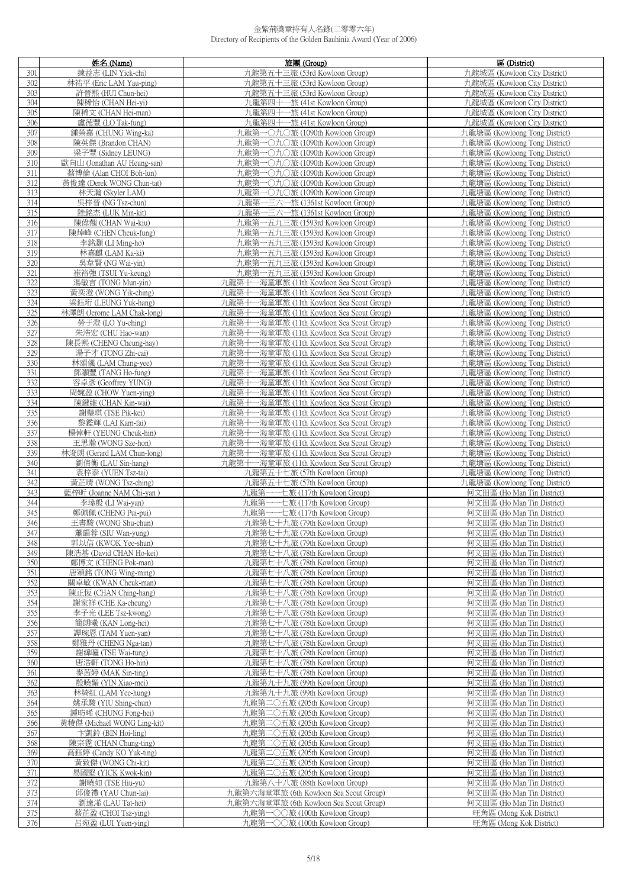|            | 姓名 (Name)                                  | 旅團 (Group)                                                                           | 區 (District)                                                   |
|------------|--------------------------------------------|--------------------------------------------------------------------------------------|----------------------------------------------------------------|
| 301        | 練益志 (LIN Yick-chi)                         | 九龍第五十三旅 (53rd Kowloon Group)                                                         | 九龍城區 (Kowloon City District)                                   |
| 302        | 林祐平 (Eric LAM Yau-ping)                    | 九龍第五十三旅 (53rd Kowloon Group)                                                         | 九龍城區 (Kowloon City District)                                   |
| 303        | 許晉熙 (HUI Chun-hei)                         | 九龍第五十三旅 (53rd Kowloon Group)                                                         | 九龍城區 (Kowloon City District)                                   |
| 304        | 陳稀怡 (CHAN Hei-yi)                          | 九龍第四十一旅 (41st Kowloon Group)                                                         | 九龍城區 (Kowloon City District)                                   |
| 305        | 陳稀文 (CHAN Hei-man)                         | 九龍第四十一旅 (41st Kowloon Group)                                                         | 九龍城區 (Kowloon City District)                                   |
| 306        | 盧德豐 (LO Tak-fung)                          | 九龍第四十一旅 (41st Kowloon Group)                                                         | 九龍城區 (Kowloon City District)                                   |
| 307        | 鍾榮嘉 (CHUNG Wing-ka)                        | 九龍第一〇九〇旅 (1090th Kowloon Group)                                                      | 九龍塘區 (Kowloong Tong District)                                  |
| 308        | 陳英傑 (Brandon CHAN)                         | 九龍第一〇九〇旅 (1090th Kowloon Group)                                                      | 九龍塘區 (Kowloong Tong District)                                  |
| 309        | 梁子豐 (Sidney LEUNG)                         | 九龍第一〇九〇旅 (1090th Kowloon Group)                                                      | 九龍塘區 (Kowloong Tong District)                                  |
| 310        | 歐向山 (Jonathan AU Heung-san)                | 九龍第一〇九〇旅 (1090th Kowloon Group)                                                      | 九龍塘區 (Kowloong Tong District)                                  |
|            | 蔡博倫 (Alan CHOI Boh-lun)                    |                                                                                      | 九龍塘區 (Kowloong Tong District)                                  |
| 311        |                                            | 九龍第一〇九〇旅 (1090th Kowloon Group)                                                      |                                                                |
| 312<br>313 | 黃俊達 (Derek WONG Chun-tat)                  | 九龍第一〇九〇旅 (1090th Kowloon Group)                                                      | 九龍塘區 (Kowloong Tong District)                                  |
|            | 林天瀚 (Skyler LAM)                           | 九龍第一〇九〇旅 (1090th Kowloon Group)                                                      | 九龍塘區 (Kowloong Tong District)                                  |
| 314        | 吳梓晉 (NG Tsz-chun)                          | 九龍第一三六一旅 (1361st Kowloon Group)                                                      | 九龍塘區 (Kowloong Tong District)                                  |
| 315        | 陸銘杰 (LUK Min-kit)                          | 九龍第一三六一旅 (1361st Kowloon Group)                                                      | 九龍塘區 (Kowloong Tong District)                                  |
| 316        | 陳偉翹 (CHAN Wai-kiu)                         | 九龍第一五九三旅 (1593rd Kowloon Group)                                                      | 九龍塘區 (Kowloong Tong District)                                  |
| 317        | 陳焯峰 (CHEN Cheuk-fung)                      | 九龍第一五九三旅 (1593rd Kowloon Group)                                                      | 九龍塘區 (Kowloong Tong District)                                  |
| 318        | 李銘灝 (LI Ming-ho)                           | 九龍第一五九三旅 (1593rd Kowloon Group)                                                      | 九龍塘區 (Kowloong Tong District)                                  |
| 319        | 林嘉麒 (LAM Ka-ki)                            | 九龍第一五九三旅 (1593rd Kowloon Group)                                                      | 九龍塘區 (Kowloong Tong District)                                  |
| 320        | 吳韋賢 (NG Wai-yin)                           | 力龍第一五九三旅 (1593rd Kowloon Group)                                                      | 九龍塘區 (Kowloong Tong District)                                  |
| 321        | 崔裕強 (TSUI Yu-keung)                        | 九龍第一五九三旅 (1593rd Kowloon Group)                                                      | 九龍塘區 (Kowloong Tong District)                                  |
| 322        | 湯敏言 (TONG Mun-yin)                         | 九龍第十一海童軍旅 (11th Kowloon Sea Scout Group)                                             | 九龍塘區 (Kowloong Tong District)                                  |
| 323        | 黃奕澄 (WONG Yik-ching)                       | 九龍第十一海童軍旅 (11th Kowloon Sea Scout Group)                                             | 力龍塘區 (Kowloong Tong District)                                  |
| 324        | 梁鈺珩 (LEUNG Yuk-hang)                       | 九龍第十一海童軍旅 (11th Kowloon Sea Scout Group)                                             | 九龍塘區 (Kowloong Tong District)                                  |
| 325        | 林澤朗 (Jerome LAM Chak-long)                 | 九龍第十一海童軍旅 (11th Kowloon Sea Scout Group)                                             | 九龍塘區 (Kowloong Tong District)                                  |
| 326        | 勞于澄 (LO Yu-ching)                          | 九龍第十一海童軍旅 (11th Kowloon Sea Scout Group)                                             | 九龍塘區 (Kowloong Tong District)                                  |
| 327        | 朱浩宏 (CHU Hao-wan)                          | 九龍第十一海童軍旅 (11th Kowloon Sea Scout Group)                                             | 九龍塘區 (Kowloong Tong District)                                  |
| 328        | 陳長熙 (CHENG Cheung-hay)                     | 九龍第十一海童軍旅 (11th Kowloon Sea Scout Group)                                             | 九龍塘區 (Kowloong Tong District)                                  |
| 329        | 湯子才 (TONG Zhi-cai)                         | 九龍第十一海童軍旅 (11th Kowloon Sea Scout Group)                                             | 九龍塘區 (Kowloong Tong District)                                  |
| 330        | 林頌儀 (LAM Chung-yee)                        | 九龍第十一海童軍旅 (11th Kowloon Sea Scout Group)                                             | 九龍塘區 (Kowloong Tong District)                                  |
| 331        | 鄧灝豐 (TANG Ho-fung)                         | 九龍第十一海童軍旅 (11th Kowloon Sea Scout Group)                                             | 九龍塘區 (Kowloong Tong District)                                  |
| 332        | 容卓彥 (Geoffrey YUNG)                        | 九龍第十一海童軍旅 (11th Kowloon Sea Scout Group)                                             | 九龍塘區 (Kowloong Tong District)                                  |
| 333        | 周婉盈 (CHOW Yuen-ying)                       | 九龍第十一海童軍旅 (11th Kowloon Sea Scout Group)                                             | 九龍塘區 (Kowloong Tong District)                                  |
| 334<br>335 | 陳鍵維 (CHAN Kin-wai)<br>謝璧琪 (TSE Pik-kei)    | 九龍第十一海童軍旅 (11th Kowloon Sea Scout Group)<br>九龍第十一海童軍旅 (11th Kowloon Sea Scout Group) | 九龍塘區 (Kowloong Tong District)<br>九龍塘區 (Kowloong Tong District) |
| 336        | 黎鑑輝 (LAI Kam-fai)                          | 九龍第十一海童軍旅 (11th Kowloon Sea Scout Group)                                             | 九龍塘區 (Kowloong Tong District)                                  |
| 337        | 楊倬軒 (YEUNG Cheuk-hin)                      | 九龍第十一海童軍旅 (11th Kowloon Sea Scout Group)                                             | 九龍塘區 (Kowloong Tong District)                                  |
| 338        | 王思瀚 (WONG Sze-hon)                         | 九龍第十一海童軍旅 (11th Kowloon Sea Scout Group)                                             | 九龍塘區 (Kowloong Tong District)                                  |
| 339        | 林浚朗 (Gerard LAM Chun-long)                 | 九龍第十一海童軍旅 (11th Kowloon Sea Scout Group)                                             | 九龍塘區 (Kowloong Tong District)                                  |
| 340        | 劉倩衡 (LAU Sin-hang)                         | 九龍第十一海童軍旅 (11th Kowloon Sea Scout Group)                                             | 九龍塘區 (Kowloong Tong District)                                  |
| 341        | 袁梓泰 (YUEN Tsz-tai)                         | 九龍第五十七旅 (57th Kowloon Group)                                                         | 九龍塘區 (Kowloong Tong District)                                  |
| 342        | 黃芷晴 (WONG Tsz-ching)                       | 九龍第五十七旅 (57th Kowloon Group)                                                         | 九龍塘區 (Kowloong Tong District)                                  |
| 343        | 藍梓昕 (Joanne NAM Chi-yan)                   | 九龍第一一七旅 (117th Kowloon Group)                                                        | 何文田區 (Ho Man Tin District)                                     |
| 344        | 李瑋殷 (LI Wai-yan)                           | 九龍第一一七旅 (117th Kowloon Group)                                                        | 何文田區 (Ho Man Tin District)                                     |
| 345        | 鄭佩佩 (CHENG Pui-pui)                        | 九龍第一一七旅 (117th Kowloon Group)                                                        | 何文田區 (Ho Man Tin District)                                     |
| 346        | 王書駿 (WONG Shu-chun)                        | 九龍第七十九旅 (79th Kowloon Group)                                                         | 何文田區 (Ho Man Tin District)                                     |
| 347        | 蕭韻蓉 (SIU Wan-yung)                         | 九龍第七十九旅 (79th Kowloon Group)                                                         | 何文田區 (Ho Man Tin District)                                     |
| 348        | 郭以信 (KWOK Yee-shun)                        | 九龍第七十九旅 (79th Kowloon Group)                                                         | 何文田區 (Ho Man Tin District)                                     |
| 349        | 陳浩基 (David CHAN Ho-kei)                    | 九龍第七十八旅 (78th Kowloon Group)                                                         | 何文田區 (Ho Man Tin District)                                     |
| 350        | 鄭博文 (CHENG Pok-man)                        | 九龍第七十八旅 (78th Kowloon Group)                                                         | 何文田區 (Ho Man Tin District)                                     |
| 351        | 唐穎銘 (TONG Wing-ming)                       | 九龍第七十八旅 (78th Kowloon Group)                                                         | 何文田區 (Ho Man Tin District)                                     |
| 352        | 關卓敏 (KWAN Cheuk-man)                       | 九龍第七十八旅 (78th Kowloon Group)                                                         | 何文田區 (Ho Man Tin District)                                     |
| 353        | 陳正恆 (CHAN Ching-hang)                      | 九龍第七十八旅 (78th Kowloon Group)                                                         | 何文田區 (Ho Man Tin District)                                     |
| 354        | 謝家祥 (CHE Ka-cheung)                        | 九龍第七十八旅 (78th Kowloon Group)                                                         | 何文田區 (Ho Man Tin District)                                     |
| 355        | 李子光 (LEE Tsz-kwong)                        | 九龍第七十八旅 (78th Kowloon Group)                                                         | 何文田區 (Ho Man Tin District)                                     |
| 356        | 簡朗曦 (KAN Long-hei)                         | 九龍第七十八旅 (78th Kowloon Group)                                                         | 何文田區 (Ho Man Tin District)                                     |
| 357        | 譚琬恩 (TAM Yuen-yan)                         | 九龍第七十八旅 (78th Kowloon Group)                                                         | 何文田區 (Ho Man Tin District)                                     |
| 358        | 鄭雅丹 (CHENG Nga-tan)                        | 九龍第七十八旅 (78th Kowloon Group)                                                         | 何文田區 (Ho Man Tin District)                                     |
| 359        | 謝緯曈 (TSE Wai-tung)                         | 九龍第七十八旅 (78th Kowloon Group)                                                         | 何文田區 (Ho Man Tin District)                                     |
| 360        | 唐浩軒 (TONG Ho-hin)                          | 九龍第七十八旅 (78th Kowloon Group)                                                         | 何文田區 (Ho Man Tin District)                                     |
| 361        | 麥茜婷 (MAK Sin-ting)                         | 九龍第七十八旅 (78th Kowloon Group)                                                         | 何文田區 (Ho Man Tin District)                                     |
| 362        | 殷曉媚 (YIN Xiao-mei)                         | 九龍第九十九旅 (99th Kowloon Group)                                                         | 何文田區 (Ho Man Tin District)                                     |
| 363<br>364 | 林綺紅 (LAM Yee-hung)<br>姚承駿 (YIU Shing-chun) | 九龍第九十九旅 (99th Kowloon Group)<br>九龍第二〇五旅 (205th Kowloon Group)                        | 何文田區 (Ho Man Tin District)<br>何文田區 (Ho Man Tin District)       |
| 365        | 鍾昉晞 (CHUNG Fong-hei)                       | 九龍第二〇五旅 (205th Kowloon Group)                                                        | 何文田區 (Ho Man Tin District)                                     |
| 366        | 黃稜傑 (Michael WONG Ling-kit)                | 九龍第二〇五旅 (205th Kowloon Group)                                                        | 何文田區 (Ho Man Tin District)                                     |
| 367        | 卞凱鈴 (BIN Hoi-ling)                         | 九龍第二〇五旅 (205th Kowloon Group)                                                        | 何文田區 (Ho Man Tin District)                                     |
| 368        | 陳宗霆 (CHAN Chung-ting)                      | 九龍第二〇五旅 (205th Kowloon Group)                                                        | 何文田區 (Ho Man Tin District)                                     |
| 369        | 高鈺婷 (Candy KO Yuk-ting)                    | 九龍第二〇五旅 (205th Kowloon Group)                                                        | 何文田區 (Ho Man Tin District)                                     |
| 370        | 黃致傑 (WONG Chi-kit)                         | 九龍第二〇五旅 (205th Kowloon Group)                                                        | 何文田區 (Ho Man Tin District)                                     |
| 371        | 易國堅 (YICK Kwok-kin)                        | 九龍第二〇五旅 (205th Kowloon Group)                                                        | 何文田區 (Ho Man Tin District)                                     |
| 372        | 謝曉如 (TSE Hiu-yu)                           | 九龍第八十八旅 (88th Kowloon Group)                                                         | 何文田區 (Ho Man Tin District)                                     |
| 373        | 邱俊禮 (YAU Chun-lai)                         | 九龍第六海童軍旅 (6th Kowloon Sea Scout Group)                                               | 何文田區 (Ho Man Tin District)                                     |
| 374        | 劉達浠 (LAU Tat-hei)                          | 九龍第六海童軍旅 (6th Kowloon Sea Scout Group)                                               | 何文田區 (Ho Man Tin District)                                     |
| 375        | 蔡芷盈 (CHOI Tsz-ying)                        | 九龍第一〇〇旅 (100th Kowloon Group)                                                        | 旺角區 (Mong Kok District)                                        |
| 376        | 呂宛盈 (LUI Yuen-ying)                        | 九龍第一〇〇旅 (100th Kowloon Group)                                                        | 旺角區 (Mong Kok District)                                        |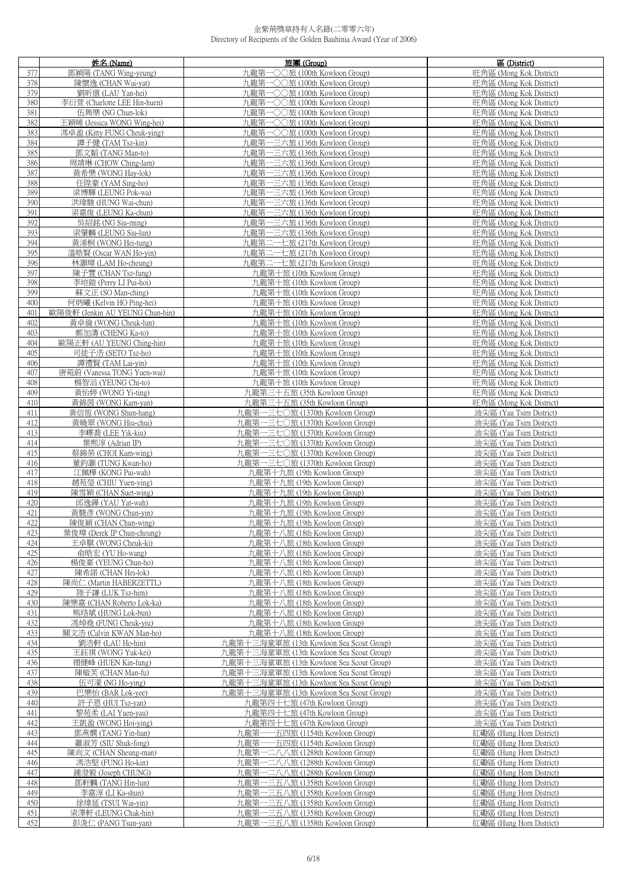|     | 姓名 (Name)                       | 旅團(Group)                                | 區 (District)            |
|-----|---------------------------------|------------------------------------------|-------------------------|
| 377 | 鄧穎陽 (TANG Wing-yeung)           | 九龍第一〇〇旅 (100th Kowloon Group)            | 旺角區 (Mong Kok District) |
| 378 | 陳懷逸 (CHAN Wai-yat)              | 九龍第一〇〇旅 (100th Kowloon Group)            | 旺角區 (Mong Kok District) |
|     |                                 |                                          |                         |
| 379 | 劉昕僖 (LAU Yan-hei)               | 九龍第一〇〇旅 (100th Kowloon Group)            | 旺角區 (Mong Kok District) |
| 380 | 李衍萱 (Charlotte LEE Hin-huen)    | 九龍第一〇〇旅 (100th Kowloon Group)            | 旺角區 (Mong Kok District) |
| 381 | 伍雋樂 (NG Chun-lok)               | 九龍第一〇〇旅 (100th Kowloon Group)            | 旺角區 (Mong Kok District) |
| 382 | 王穎晞 (Jessica WONG Wing-hei)     | 九龍第一〇〇旅 (100th Kowloon Group)            | 旺角區 (Mong Kok District) |
| 383 | 馮卓盈 (Kitty FUNG Cheuk-ying)     | 九龍第一〇〇旅 (100th Kowloon Group)            | 旺角區 (Mong Kok District) |
| 384 | 譚子健 (TAM Tsz-kin)               | 九龍第一三六旅 (136th Kowloon Group)            | 旺角區 (Mong Kok District) |
| 385 | 鄧文韜 (TANG Man-to)               | 九龍第一三六旅 (136th Kowloon Group)            | 旺角區 (Mong Kok District) |
|     | 周靖琳 (CHOW Ching-lam)            | 九龍第一三六旅 (136th Kowloon Group)            | 旺角區 (Mong Kok District) |
| 386 |                                 |                                          |                         |
| 387 | 黃希樂 (WONG Hay-lok)              | 九龍第一三六旅 (136th Kowloon Group)            | 旺角區 (Mong Kok District) |
| 388 | 任陞豪 (YAM Sing-ho)               | 九龍第一三六旅 (136th Kowloon Group)            | 旺角區 (Mong Kok District) |
| 389 | 梁博驊 (LEUNG Pok-wa)              | 九龍第一三六旅 (136th Kowloon Group)            | 旺角區 (Mong Kok District) |
| 390 | 洪瑋駿 (HUNG Wai-chun)             | 九龍第一三六旅 (136th Kowloon Group)            | 旺角區 (Mong Kok District) |
| 391 | 梁嘉俊 (LEUNG Ka-chun)             | 九龍第一三六旅 (136th Kowloon Group)            | 旺角區 (Mong Kok District) |
| 392 | 吳紹銘 (NG Siu-ming)               | 九龍第一三六旅 (136th Kowloon Group)            | 旺角區 (Mong Kok District) |
| 393 | 梁肇麟 (LEUNG Siu-lun)             | 九龍第一三六旅 (136th Kowloon Group)            | 旺角區 (Mong Kok District) |
| 394 |                                 |                                          |                         |
|     | 黃浠桐 (WONG Hei-tung)             | 九龍第二一七旅 (217th Kowloon Group)            | 旺角區 (Mong Kok District) |
| 395 | 溫皓賢 (Oscar WAN Ho-yin)          | 九龍第二一七旅 (217th Kowloon Group)            | 旺角區 (Mong Kok District) |
| 396 | 林灝璋 (LAM Ho-cheung)             | 九龍第二一七旅 (217th Kowloon Group)            | 旺角區 (Mong Kok District) |
| 397 | 陳子豐 (CHAN Tsz-fung)             | 九龍第十旅 (10th Kowloon Group)               | 旺角區 (Mong Kok District) |
| 398 | 李培鎧 (Perry LI Pui-hoi)          | 力.龍第十旅 (10th Kowloon Group)              | 旺角區 (Mong Kok District) |
| 399 | 蘇文正 (SO Man-ching)              | 九龍第十旅 (10th Kowloon Group)               | 旺角區 (Mong Kok District) |
| 400 | 何炳曦 (Kelvin HO Ping-hei)        | 九龍第十旅 (10th Kowloon Group)               | 旺角區 (Mong Kok District) |
| 401 | 歐陽俊軒 (Jenkin AU YEUNG Chun-hin) | 九龍第十旅 (10th Kowloon Group)               | 旺角區 (Mong Kok District) |
|     |                                 | 九龍第十旅 (10th Kowloon Group)               | 旺角區 (Mong Kok District) |
| 402 | 黃卓倫 (WONG Cheuk-lun)            |                                          |                         |
| 403 | 鄭加濤 (CHENG Ka-to)               | 九龍第十旅 (10th Kowloon Group)               | 旺角區 (Mong Kok District) |
| 404 | 歐陽正軒 (AU YEUNG Ching-hin)       | 九龍第十旅 (10th Kowloon Group)               | 旺角區 (Mong Kok District) |
| 405 | 司徒子浩 (SETO Tsz-ho)              | 九龍第十旅 (10th Kowloon Group)               | 旺角區 (Mong Kok District) |
| 406 | 譚禮賢 (TAM Lai-yin)               | 九龍第十旅 (10th Kowloon Group)               | 旺角區 (Mong Kok District) |
| 407 | 唐菀蔚 (Vanessa TONG Yuen-wai)     | 九龍第十旅 (10th Kowloon Group)               | 旺角區 (Mong Kok District) |
| 408 | 楊智滔 (YEUNG Chi-to)              | 九龍第十旅 (10th Kowloon Group)               | 旺角區 (Mong Kok District) |
| 409 | 黃怡婷 (WONG Yi-ting)              | 九龍第三十五旅 (35th Kowloon Group)             | 旺角區 (Mong Kok District) |
| 410 | 黃錦茵 (WONG Kam-yan)              | 九龍第三十五旅 (35th Kowloon Group)             | 旺角區 (Mong Kok District) |
| 411 |                                 | 九龍第一三七〇旅 (1370th Kowloon Group)          | 油尖區 (Yau Tsim District) |
|     | 黃信恆 (WONG Shun-hang)            |                                          |                         |
| 412 | 黃曉翠 (WONG Hiu-chui)             | 九龍第一三七〇旅 (1370th Kowloon Group)          | 油尖區 (Yau Tsim District) |
| 413 | 李嶧喬 (LEE Yik-kiu)               | 九龍第一三七〇旅 (1370th Kowloon Group)          | 油尖區 (Yau Tsim District) |
| 414 | 葉熙淳 (Adrian IP)                 | 九龍第一三七〇旅 (1370th Kowloon Group)          | 油尖區 (Yau Tsim District) |
| 415 | 蔡錦榮 (CHOI Kam-wing)             | 九龍第一三七〇旅 (1370th Kowloon Group)          | 油尖區 (Yau Tsim District) |
| 416 | 董鈞灝 (TUNG Kwan-ho)              | 九龍第一三七〇旅 (1370th Kowloon Group)          | 油尖區 (Yau Tsim District) |
| 417 | 江佩樺 (KONG Pui-wah)              | 九龍第十九旅 (19th Kowloon Group)              | 油尖區 (Yau Tsim District) |
| 418 | 趙苑瑩 (CHIU Yuen-ying)            | 九龍第十九旅 (19th Kowloon Group)              | 油尖區 (Yau Tsim District) |
| 419 | 陳雪穎 (CHAN Suet-wing)            | 九龍第十九旅 (19th Kowloon Group)              | 油尖區 (Yau Tsim District) |
| 420 | 邱逸鏵 (YAU Yat-wah)               | 九龍第十九旅 (19th Kowloon Group)              | 油尖區 (Yau Tsim District) |
|     |                                 |                                          |                         |
| 421 | 黃駿彥 (WONG Chun-yin)             | 九龍第十九旅 (19th Kowloon Group)              | 油尖區 (Yau Tsim District) |
| 422 | 陳俊穎 (CHAN Chun-wing)            | 九龍第十九旅 (19th Kowloon Group)              | 油尖區 (Yau Tsim District) |
| 423 | 葉俊璋 (Derek IP Chun-cheung)      | 九龍第十八旅 (18th Kowloon Group)              | 油尖區 (Yau Tsim District) |
| 424 | 王卓騏 (WONG Cheuk-ki)             | 九龍第十八旅 (18th Kowloon Group)              | 油尖區 (Yau Tsim District) |
| 425 | 俞皓宏 (YU Ho-wang)                | 九龍第十八旅 (18th Kowloon Group)              | 油尖區 (Yau Tsim District) |
| 426 | 楊俊豪 (YEUNG Chun-ho)             | 九龍第十八旅 (18th Kowloon Group)              | 油尖區 (Yau Tsim District) |
| 427 | 陳希諾 (CHAN Hei-lok)              | 九龍第十八旅 (18th Kowloon Group)              | 油尖區 (Yau Tsim District) |
| 428 | 陳尚仁 (Martin HABERZETTL)         | 九龍第十八旅 (18th Kowloon Group)              | 油尖區 (Yau Tsim District) |
| 429 | 陸子謙 (LUK Tsz-him)               | 九龍第十八旅 (18th Kowloon Group)              | 油尖區 (Yau Tsim District) |
| 430 | 陳樂嘉 (CHAN Roberto Lok-ka)       | 九龍第十八旅 (18th Kowloon Group)              | 油尖區 (Yau Tsim District) |
|     |                                 |                                          | 油尖區 (Yau Tsim District) |
| 431 | 熊珞斌 (HUNG Lok-bun)              | 九龍第十八旅 (18th Kowloon Group)              |                         |
| 432 | 馮焯堯 (FUNG Cheuk-yiu)            | 九龍第十八旅 (18th Kowloon Group)              | 油尖區 (Yau Tsim District) |
| 433 | 關文浩 (Calvin KWAN Man-ho)        | 九龍第十八旅 (18th Kowloon Group)              | 油尖區 (Yau Tsim District) |
| 434 | 劉浩軒 (LAU Ho-hin)                | 九龍第十三海童軍旅 (13th Kowloon Sea Scout Group) | 油尖區 (Yau Tsim District) |
| 435 | 王鈺祺 (WONG Yuk-kei)              | 九龍第十三海童軍旅 (13th Kowloon Sea Scout Group) | 油尖區 (Yau Tsim District) |
| 436 | 禤健峰 (HUEN Kin-fung)             | 九龍第十三海童軍旅 (13th Kowloon Sea Scout Group) | 油尖區 (Yau Tsim District) |
| 437 | 陳敏芙 (CHAN Man-fu)               | 九龍第十三海童軍旅 (13th Kowloon Sea Scout Group) | 油尖區 (Yau Tsim District) |
| 438 | 伍可瀠 (NG Ho-ying)                | 九龍第十三海童軍旅 (13th Kowloon Sea Scout Group) | 油尖區 (Yau Tsim District) |
| 439 | 巴樂怡 (BAR Lok-yee)               | 九龍第十三海童軍旅 (13th Kowloon Sea Scout Group) | 油尖區 (Yau Tsim District) |
|     |                                 |                                          |                         |
| 440 | 許子恩 (HUI Tsz-yan)               | 九龍第四十七旅 (47th Kowloon Group)             | 油尖區 (Yau Tsim District) |
| 441 | 黎苑柔 (LAI Yuen-yau)              | 九龍第四十七旅 (47th Kowloon Group)             | 油尖區 (Yau Tsim District) |
| 442 | 王凱盈 (WONG Hoi-ying)             | 九龍第四十七旅 (47th Kowloon Group)             | 油尖區 (Yau Tsim District) |
| 443 | 鄧燕嫻 (TANG Yin-han)              | 九龍第一一五四旅 (1154th Kowloon Group)          | 紅磡區 (Hung Hom District) |
| 444 | 蕭淑芳 (SIU Shuk-fong)             | 九龍第一一五四旅 (1154th Kowloon Group)          | 紅磡區 (Hung Hom District) |
| 445 | 陳尚文 (CHAN Sheung-man)           | 九龍第一二八八旅 (1288th Kowloon Group)          | 紅磡區 (Hung Hom District) |
| 446 | 馮浩堅 (FUNG Ho-kin)               | 九龍第一二八八旅 (1288th Kowloon Group)          | 紅磡區 (Hung Hom District) |
| 447 | 鍾澄毅 (Joseph CHUNG)              | 九龍第一二八八旅 (1288th Kowloon Group)          | 紅磡區 (Hung Hom District) |
| 448 | 鄧軒麟 (TANG Hin-lun)              | 九龍第一三五八旅 (1358th Kowloon Group)          | 紅磡區 (Hung Hom District) |
|     |                                 |                                          |                         |
| 449 | 李嘉淳 (LI Ka-shun)                | 九龍第一三五八旅 (1358th Kowloon Group)          | 紅磡區 (Hung Hom District) |
| 450 | 徐瑋延 (TSUI Wai-yin)              | 九龍第一三五八旅 (1358th Kowloon Group)          | 紅磡區 (Hung Hom District) |
| 451 | 梁澤軒 (LEUNG Chak-hin)            | 一三五八旅 (1358th Kowloon Group)<br>九龍第一     | 紅磡區 (Hung Hom District) |
| 452 | 彭浚仁 (PANG Tsun-yan)             | 九龍第一三五八旅 (1358th Kowloon Group)          | 紅磡區 (Hung Hom District) |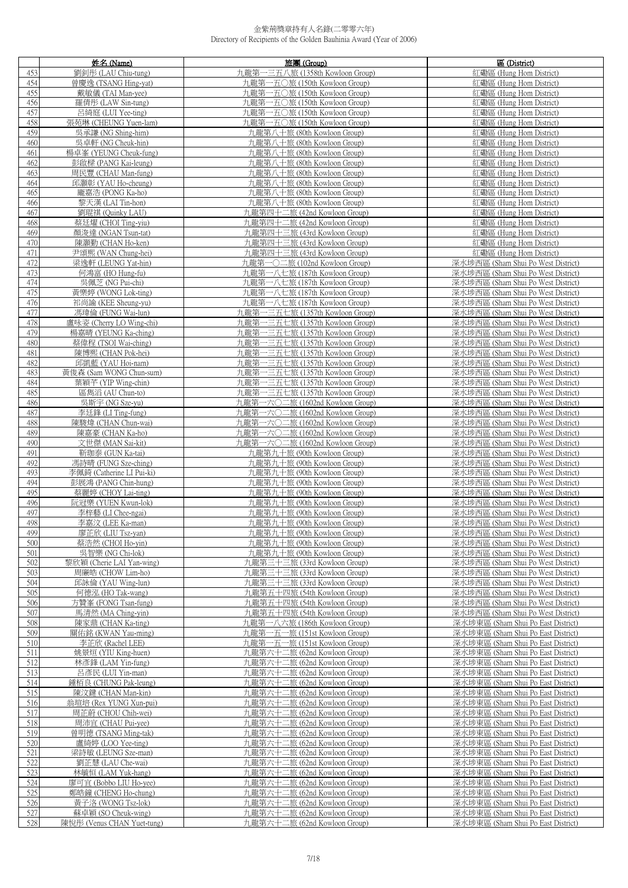|            | 姓名 (Name)                                  | 旅團 (Group)                                                   | 區 (District)                                                             |
|------------|--------------------------------------------|--------------------------------------------------------------|--------------------------------------------------------------------------|
| 453        | 劉釗彤 (LAU Chiu-tung)                        | 九龍第一三五八旅 (1358th Kowloon Group)                              | 紅磡區 (Hung Hom District)                                                  |
| 454        | 曾慶逸 (TSANG Hing-yat)                       | 九龍第一五〇旅 (150th Kowloon Group)                                | 紅磡區 (Hung Hom District)                                                  |
| 455        | 戴敏儀 (TAI Man-yee)                          | 九龍第一五〇旅 (150th Kowloon Group)                                | 紅磡區 (Hung Hom District)                                                  |
| 456        | 羅倩彤 (LAW Sin-tung)                         | 九龍第一五〇旅 (150th Kowloon Group)                                | 紅磡區 (Hung Hom District)                                                  |
| 457        | 呂綺庭 (LUI Yee-ting)                         | 九龍第一五〇旅 (150th Kowloon Group)                                | 紅磡區 (Hung Hom District)                                                  |
| 458        | 張苑琳 (CHEUNG Yuen-lam)                      | 九龍第一五〇旅 (150th Kowloon Group)                                | 紅磡區 (Hung Hom District)                                                  |
| 459        | 吳承謙 (NG Shing-him)                         | 九龍第八十旅 (80th Kowloon Group)                                  | 紅磡區 (Hung Hom District)                                                  |
| 460        | 吳卓軒 (NG Cheuk-hin)                         | 九龍第八十旅 (80th Kowloon Group)                                  | 紅磡區 (Hung Hom District)                                                  |
| 461        | 楊卓峯 (YEUNG Cheuk-fung)                     | 九龍第八十旅 (80th Kowloon Group)                                  | 紅磡區 (Hung Hom District)                                                  |
| 462        | 彭啟樑 (PANG Kai-leung)                       | 九龍第八十旅 (80th Kowloon Group)                                  | 紅磡區 (Hung Hom District)                                                  |
| 463        | 周民豐 (CHAU Man-fung)                        | 九龍第八十旅 (80th Kowloon Group)                                  | 紅磡區 (Hung Hom District)                                                  |
| 464        | 邱灝彰 (YAU Ho-cheung)                        | 九龍第八十旅 (80th Kowloon Group)                                  | 紅磡區 (Hung Hom District)                                                  |
| 465        | 龐嘉浩 (PONG Ka-ho)                           | 九龍第八十旅 (80th Kowloon Group)                                  | 紅磡區 (Hung Hom District)                                                  |
| 466        | 黎天漢 (LAI Tin-hon)                          | 九龍第八十旅 (80th Kowloon Group)                                  | 紅磡區 (Hung Hom District)                                                  |
| 467        | 劉琨祺 (Quinky LAU)                           | 九龍第四十二旅 (42nd Kowloon Group)                                 | 紅磡區 (Hung Hom District)                                                  |
| 468        | 蔡廷燿 (CHOI Ting-yiu)                        | 九龍第四十二旅 (42nd Kowloon Group)                                 | 紅磡區 (Hung Hom District)                                                  |
| 469        | 顏浚達 (NGAN Tsun-tat)                        | 九龍第四十三旅 (43rd Kowloon Group)                                 | 紅磡區 (Hung Hom District)                                                  |
| 470        | 陳灝勤 (CHAN Ho-ken)                          | 九龍第四十三旅 (43rd Kowloon Group)                                 | 紅磡區 (Hung Hom District)                                                  |
| 471        | 尹頌熙 (WAN Chung-hei)                        | 九龍第四十三旅 (43rd Kowloon Group)                                 | 紅磡區 (Hung Hom District)                                                  |
| 472        | 梁逸軒 (LEUNG Yat-hin)                        | 九龍第一〇二旅 (102nd Kowloon Group)                                | 深水埗西區 (Sham Shui Po West District)                                       |
| 473        | 何鴻富 (HO Hung-fu)                           | 九龍第一八七旅 (187th Kowloon Group)                                | 深水埗西區 (Sham Shui Po West District)                                       |
| 474        | 吳佩芝 (NG Pui-chi)                           | 九龍第一八七旅 (187th Kowloon Group)                                | 深水埗西區 (Sham Shui Po West District)                                       |
| 475        | 黃樂婷 (WONG Lok-ting)                        | 九龍第一八七旅 (187th Kowloon Group)                                | 深水埗西區 (Sham Shui Po West District)                                       |
| 476        | 祁尚諭 (KEE Sheung-yu)                        | 九龍第一八七旅 (187th Kowloon Group)                                | 深水埗西區 (Sham Shui Po West District)                                       |
| 477        | 馮瑋倫 (FUNG Wai-lun)                         | 九龍第一三五七旅 (1357th Kowloon Group)                              | 深水埗西區 (Sham Shui Po West District)                                       |
| 478        | 盧咏姿 (Cherry LO Wing-chi)                   | 九龍第一三五七旅 (1357th Kowloon Group)                              | 深水埗西區 (Sham Shui Po West District)                                       |
| 479        | 楊嘉晴 (YEUNG Ka-ching)                       | 九龍第一三五七旅 (1357th Kowloon Group)                              | 深水埗西區 (Sham Shui Po West District)                                       |
| 480        | 蔡偉程 (TSOI Wai-ching)                       | 九龍第一三五七旅 (1357th Kowloon Group)                              | 深水埗西區 (Sham Shui Po West District)                                       |
| 481        | 陳博熙 (CHAN Pok-hei)                         | 九龍第一三五七旅 (1357th Kowloon Group)                              | 深水埗西區 (Sham Shui Po West District)                                       |
| 482        | 邱凱藍 (YAU Hoi-nam)                          | 九龍第一三五七旅 (1357th Kowloon Group)                              | 深水埗西區 (Sham Shui Po West District)                                       |
| 483        | 黃俊森 (Sam WONG Chun-sum)                    | 九龍第一三五七旅 (1357th Kowloon Group)                              | 深水埗西區 (Sham Shui Po West District)                                       |
| 484        | 葉穎芊 (YIP Wing-chin)                        | 九龍第一三五七旅 (1357th Kowloon Group)                              | 深水埗西區 (Sham Shui Po West District)                                       |
| 485        | 區雋滔 (AU Chun-to)                           | 九龍第一三五七旅 (1357th Kowloon Group)                              | 深水埗西區 (Sham Shui Po West District)                                       |
| 486        | 吳斯宇 (NG Sze-yu)                            | 九龍第一六〇二旅 (1602nd Kowloon Group)                              | 深水埗西區 (Sham Shui Po West District)                                       |
| 487        | 李廷鋒 (LI Ting-fung)                         | 九龍第一六〇二旅 (1602nd Kowloon Group)                              | 深水埗西區 (Sham Shui Po West District)                                       |
| 488        | 陳駿煒 (CHAN Chun-wai)                        | 九龍第一六〇二旅 (1602nd Kowloon Group)                              | 深水埗西區 (Sham Shui Po West District)                                       |
| 489        | 陳嘉豪 (CHAN Ka-ho)                           | 九龍第一六〇二旅 (1602nd Kowloon Group)                              | 深水埗西區 (Sham Shui Po West District)                                       |
| 490        | 文世傑 (MAN Sai-kit)                          | 九龍第一六〇二旅 (1602nd Kowloon Group)                              | 深水埗西區 (Sham Shui Po West District)                                       |
| 491        | 靳珈泰 (GUN Ka-tai)                           | 九龍第九十旅 (90th Kowloon Group)                                  | 深水埗西區 (Sham Shui Po West District)                                       |
| 492        | 馮詩晴 (FUNG Sze-ching)                       | 九龍第九十旅 (90th Kowloon Group)                                  | 深水埗西區 (Sham Shui Po West District)                                       |
| 493        | 李佩錡 (Catherine LI Pui-ki)                  | 九龍第九十旅 (90th Kowloon Group)                                  | 深水埗西區 (Sham Shui Po West District)                                       |
| 494        | 彭展鴻 (PANG Chin-hung)                       | 九龍第九十旅 (90th Kowloon Group)                                  | 深水埗西區 (Sham Shui Po West District)                                       |
| 495        | 蔡麗婷 (CHOY Lai-ting)                        | 九龍第九十旅 (90th Kowloon Group)                                  | 深水埗西區 (Sham Shui Po West District)                                       |
| 496        | 阮冠樂 (YUEN Kwun-lok)                        | 九龍第九十旅 (90th Kowloon Group)                                  | 深水埗西區 (Sham Shui Po West District)                                       |
| 497        | 李梓藝 (LI Chee-ngai)                         | 九龍第九十旅 (90th Kowloon Group)                                  | 深水埗西區 (Sham Shui Po West District)                                       |
| 498        | 李嘉汶 (LEE Ka-man)                           | 九龍第九十旅 (90th Kowloon Group)                                  | 深水埗西區 (Sham Shui Po West District)                                       |
| 499        | 廖芷欣 (LIU Tsz-yan)                          | 九龍第九十旅 (90th Kowloon Group)                                  | 深水埗西區 (Sham Shui Po West District)                                       |
| 500        | 蔡浩然 (CHOI Ho-yin)                          | 九龍第九十旅 (90th Kowloon Group)                                  | 深水埗西區 (Sham Shui Po West District)                                       |
| 501        | 吳智樂 (NG Chi-lok)                           | 九龍第九十旅 (90th Kowloon Group)                                  | 深水埗西區 (Sham Shui Po West District)                                       |
| 502        | 黎欣穎 (Cherie LAI Yan-wing)                  | 九龍第三十三旅 (33rd Kowloon Group)                                 | 深水埗西區 (Sham Shui Po West District)                                       |
| 503        | 周廉皓 (CHOW Lim-ho)                          | 九龍第三十三旅 (33rd Kowloon Group)                                 | 深水埗西區 (Sham Shui Po West District)                                       |
| 504        | 邱詠倫 (YAU Wing-lun)                         | 九龍第三十三旅 (33rd Kowloon Group)                                 | 深水埗西區 (Sham Shui Po West District)                                       |
| 505<br>506 | 何德泓 (HO Tak-wang)                          | 九龍第五十四旅 (54th Kowloon Group)<br>九龍第五十四旅 (54th Kowloon Group) | 深水埗西區 (Sham Shui Po West District)<br>深水埗西區 (Sham Shui Po West District) |
| 507        | 方贊峯 (FONG Tsan-fung)<br>馬清然 (MA Ching-yin) | 九龍第五十四旅 (54th Kowloon Group)                                 | 深水埗西區 (Sham Shui Po West District)                                       |
| 508        | 陳家鼎 (CHAN Ka-ting)                         | 九龍第一八六旅 (186th Kowloon Group)                                | 深水埗東區 (Sham Shui Po East District)                                       |
| 509        | 關佑銘 (KWAN Yau-ming)                        | 九龍第一五一旅 (151st Kowloon Group)                                | 深水埗東區 (Sham Shui Po East District)                                       |
| 510        | 李芷欣 (Rachel LEE)                           | 九龍第一五一旅 (151st Kowloon Group)                                | 深水埗東區 (Sham Shui Po East District)                                       |
| 511        | 姚景烜 (YIU King-huen)                        | 九龍第六十二旅 (62nd Kowloon Group)                                 | 深水埗東區 (Sham Shui Po East District)                                       |
| 512        | 林彥鋒 (LAM Yin-fung)                         | 九龍第六十二旅 (62nd Kowloon Group)                                 | 深水埗東區 (Sham Shui Po East District)                                       |
| 513        | 呂彥民 (LUI Yin-man)                          | 九龍第六十二旅 (62nd Kowloon Group)                                 | 深水埗東區 (Sham Shui Po East District)                                       |
| 514        | 鍾栢良 (CHUNG Pak-leung)                      | 九龍第六十二旅 (62nd Kowloon Group)                                 | 深水埗東區 (Sham Shui Po East District)                                       |
| 515        | 陳汶鍵 (CHAN Man-kin)                         | 九龍第六十二旅 (62nd Kowloon Group)                                 | 深水埗東區 (Sham Shui Po East District)                                       |
| 516        | 翁瑄培 (Rex YUNG Xun-pui)                     | 九龍第六十二旅 (62nd Kowloon Group)                                 | 深水埗東區 (Sham Shui Po East District)                                       |
| 517        | 周芷蔚 (CHOU Chih-wei)                        | 九龍第六十二旅 (62nd Kowloon Group)                                 | 深水埗東區 (Sham Shui Po East District)                                       |
| 518        | 周沛宜 (CHAU Pui-yee)                         | 九龍第六十二旅 (62nd Kowloon Group)                                 | 深水埗東區 (Sham Shui Po East District)                                       |
| 519        | 曾明德 (TSANG Ming-tak)                       | 九龍第六十二旅 (62nd Kowloon Group)                                 | 深水埗東區 (Sham Shui Po East District)                                       |
| 520        | 盧綺婷 (LOO Yee-ting)                         | 九龍第六十二旅 (62nd Kowloon Group)                                 | 深水埗東區 (Sham Shui Po East District)                                       |
| 521        | 梁詩敏 (LEUNG Sze-man)                        | 九龍第六十二旅 (62nd Kowloon Group)                                 | 深水埗東區 (Sham Shui Po East District)                                       |
| 522        | 劉芷慧 (LAU Che-wai)                          | 九龍第六十二旅 (62nd Kowloon Group)                                 | 深水埗東區 (Sham Shui Po East District)                                       |
| 523        | 林毓恒 (LAM Yuk-hang)                         | 九龍第六十二旅 (62nd Kowloon Group)                                 | 深水埗東區 (Sham Shui Po East District)                                       |
| 524        | 廖可宜 (Bobbo LIU Ho-yee)                     | 九龍第六十二旅 (62nd Kowloon Group)                                 | 深水埗東區 (Sham Shui Po East District)                                       |
| 525        | 鄭皓鐘 (CHENG Ho-chung)                       | 九龍第六十二旅 (62nd Kowloon Group)                                 | 深水埗東區 (Sham Shui Po East District)                                       |
| 526        | 黃子洛 (WONG Tsz-lok)                         | 九龍第六十二旅 (62nd Kowloon Group)                                 | 深水埗東區 (Sham Shui Po East District)                                       |
| 527        | 蘇卓穎 (SO Cheuk-wing)                        | 九龍第六十二旅 (62nd Kowloon Group)                                 | 深水埗東區 (Sham Shui Po East District)                                       |
| 528        | 陳悅彤 (Venus CHAN Yuet-tung)                 | 九龍第六十二旅 (62nd Kowloon Group)                                 | 深水埗東區 (Sham Shui Po East District)                                       |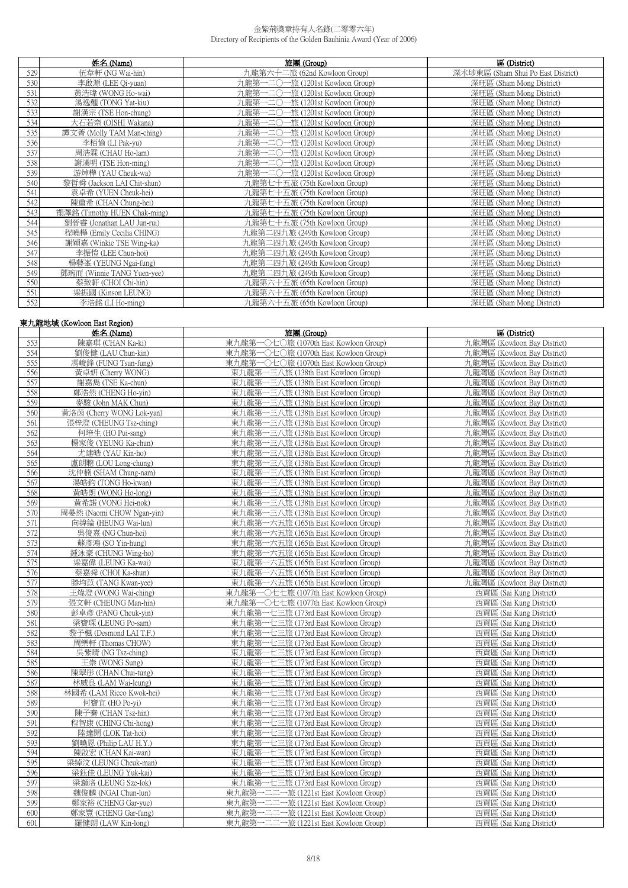|     | 姓名 (Name)                    | 旅團 (Group)                           | 區 (District)                       |
|-----|------------------------------|--------------------------------------|------------------------------------|
| 529 | 伍韋軒 (NG Wai-hin)             | 九龍第六十二旅 (62nd Kowloon Group)         | 深水埗東區 (Sham Shui Po East District) |
| 530 | 李啟源 (LEE Qi-yuan)            | 九龍第一二〇一旅 (1201st Kowloon Group)      | 深旺區 (Sham Mong District)           |
| 531 | 黃浩瑋 (WONG Ho-wai)            | 九龍第一二〇一旅 (1201st Kowloon Group)      | 深旺區 (Sham Mong District)           |
| 532 | 湯逸翹 (TONG Yat-kiu)           | 九龍第一二〇<br>一旅 (1201st Kowloon Group)  | 深旺區 (Sham Mong District)           |
| 533 | 謝漢宗 (TSE Hon-chung)          | 九龍第一二〇一旅 (1201st Kowloon Group)      | 深旺區 (Sham Mong District)           |
| 534 | 大石若奈 (OISHI Wakana)          | 九龍第一二〇一旅 (1201st Kowloon Group)      | 深旺區 (Sham Mong District)           |
| 535 | 譚文菁 (Molly TAM Man-ching)    | 九龍第一二〇-<br>一旅 (1201st Kowloon Group) | 深旺區 (Sham Mong District)           |
| 536 | 李栢愉 (LI Pak-yu)              | 九龍第一二〇一旅 (1201st Kowloon Group)      | 深旺區 (Sham Mong District)           |
| 537 | 周浩霖 (CHAU Ho-lam)            | 九龍第一二〇一旅 (1201st Kowloon Group)      | 深旺區 (Sham Mong District)           |
| 538 | 謝漢明 (TSE Hon-ming)           | 九龍第一二〇一旅 (1201st Kowloon Group)      | 深旺區 (Sham Mong District)           |
| 539 | 游焯樺 (YAU Cheuk-wa)           | 一旅 (1201st Kowloon Group)<br>九龍第一二〇一 | 深旺區 (Sham Mong District)           |
| 540 | 黎哲舜 (Jackson LAI Chit-shun)  | 九龍第七十五旅 (75th Kowloon Group)         | 深旺區 (Sham Mong District)           |
| 541 | 袁卓希 (YUEN Cheuk-hei)         | 九龍第七十五旅 (75th Kowloon Group)         | 深旺區 (Sham Mong District)           |
| 542 | 陳重希 (CHAN Chung-hei)         | 九龍第七十五旅 (75th Kowloon Group)         | 深旺區 (Sham Mong District)           |
| 543 | 禤澤銘 (Timothy HUEN Chak-ming) | 九龍第七十五旅 (75th Kowloon Group)         | 深旺區 (Sham Mong District)           |
| 544 | 劉晉睿 (Jonathan LAU Jun-rui)   | 九龍第七十五旅 (75th Kowloon Group)         | 深旺區 (Sham Mong District)           |
| 545 | 程曉樺 (Emily Cecilia CHING)    | 九龍第二四九旅 (249th Kowloon Group)        | 深旺區 (Sham Mong District)           |
| 546 | 謝穎嘉 (Winkie TSE Wing-ka)     | 九龍第二四九旅 (249th Kowloon Group)        | 深旺區 (Sham Mong District)           |
| 547 | 李振愷 (LEE Chun-hoi)           | 九龍第二四九旅 (249th Kowloon Group)        | 深旺區 (Sham Mong District)           |
| 548 | 楊藝峯 (YEUNG Ngai-fung)        | 九龍第二四九旅 (249th Kowloon Group)        | 深旺區 (Sham Mong District)           |
| 549 | 鄧琬而 (Winnie TANG Yuen-yee)   | 九龍第二四九旅 (249th Kowloon Group)        | 深旺區 (Sham Mong District)           |
| 550 | 蔡致軒 (CHOI Chi-hin)           | 九龍第六十五旅 (65th Kowloon Group)         | 深旺區 (Sham Mong District)           |
| 551 | 梁振國 (Kinson LEUNG)           | 九龍第六十五旅 (65th Kowloon Group)         | 深旺區 (Sham Mong District)           |
| 552 | 李浩銘 (LI Ho-ming)             | 九龍第六十五旅 (65th Kowloon Group)         | 深旺區 (Sham Mong District)           |

# 東九龍地域 (Kowloon East Region)

| 東九龍第一〇七〇旅 (1070th East Kowloon Group)<br>553<br>陳嘉琪 (CHAN Ka-ki)<br>九龍灣區 (Kowloon Bay District)<br>554<br>劉俊健 (LAU Chun-kin)<br>東九龍第一〇七〇旅 (1070th East Kowloon Group)<br>九龍灣區 (Kowloon Bay District)<br>555<br>馮峻鋒 (FUNG Tsun-fung)<br>東九龍第一〇七〇旅 (1070th East Kowloon Group)<br>九龍灣區 (Kowloon Bay District) |  |
|-------------------------------------------------------------------------------------------------------------------------------------------------------------------------------------------------------------------------------------------------------------------------------------------------------------|--|
|                                                                                                                                                                                                                                                                                                             |  |
|                                                                                                                                                                                                                                                                                                             |  |
|                                                                                                                                                                                                                                                                                                             |  |
| 556<br>黃卓妍 (Cherry WONG)<br>東九龍第一三八旅 (138th East Kowloon Group)<br>九龍灣區 (Kowloon Bay District)                                                                                                                                                                                                              |  |
| 557<br>謝嘉雋 (TSE Ka-chun)<br>東九龍第一三八旅 (138th East Kowloon Group)<br>九龍灣區 (Kowloon Bay District)                                                                                                                                                                                                              |  |
| 558<br>鄭浩然 (CHENG Ho-yin)<br>東九龍第一三八旅 (138th East Kowloon Group)<br>九龍灣區 (Kowloon Bay District)                                                                                                                                                                                                             |  |
| 559<br>麥駿 (John MAK Chun)<br>東九龍第一三八旅 (138th East Kowloon Group)<br>九龍灣區 (Kowloon Bay District)                                                                                                                                                                                                             |  |
| 560<br>黃洛茵 (Cherry WONG Lok-yan)<br>東九龍第一三八旅 (138th East Kowloon Group)<br>九龍灣區 (Kowloon Bay District)                                                                                                                                                                                                      |  |
| 561<br>張梓澄 (CHEUNG Tsz-ching)<br>東九龍第一三八旅 (138th East Kowloon Group)<br>九龍灣區 (Kowloon Bay District)                                                                                                                                                                                                         |  |
| 562<br>東九龍第一三八旅 (138th East Kowloon Group)<br>九龍灣區 (Kowloon Bay District)<br>何培生 (HO Pui-sang)                                                                                                                                                                                                              |  |
| 楊家俊 (YEUNG Ka-chun)<br>563<br>東九龍第一三八旅 (138th East Kowloon Group)<br>九龍灣區 (Kowloon Bay District)                                                                                                                                                                                                            |  |
| 564<br>尤建皓 (YAU Kin-ho)<br>東九龍第一三八旅 (138th East Kowloon Group)<br>九龍灣區 (Kowloon Bay District)                                                                                                                                                                                                               |  |
| 565<br>盧朗聰 (LOU Long-chung)<br>東九龍第一三八旅 (138th East Kowloon Group)<br>九龍灣區 (Kowloon Bay District)                                                                                                                                                                                                           |  |
| 566<br>東九龍第一三八旅 (138th East Kowloon Group)<br>沈仲楠 (SHAM Chung-nam)<br>九龍灣區 (Kowloon Bay District)                                                                                                                                                                                                           |  |
| 567<br>湯皓鈞 (TONG Ho-kwan)<br>東九龍第一三八旅 (138th East Kowloon Group)<br>九龍灣區 (Kowloon Bay District)                                                                                                                                                                                                             |  |
| 568<br>黃皓朗 (WONG Ho-long)<br>東九龍第一三八旅 (138th East Kowloon Group)<br>九龍灣區 (Kowloon Bay District)                                                                                                                                                                                                             |  |
| 569<br>黃希諾 (VONG Hei-nok)<br>東九龍第一三八旅 (138th East Kowloon Group)<br>九龍灣區 (Kowloon Bay District)                                                                                                                                                                                                             |  |
| 570<br>周晏然 (Naomi CHOW Ngan-yin)<br>東九龍第一三八旅 (138th East Kowloon Group)<br>九龍灣區 (Kowloon Bay District)                                                                                                                                                                                                      |  |
| 571<br>向緯綸 (HEUNG Wai-lun)<br>東九龍第一六五旅 (165th East Kowloon Group)<br>九龍灣區 (Kowloon Bay District)                                                                                                                                                                                                            |  |
| 572<br>吳俊熹 (NG Chun-hei)<br>東九龍第一六五旅 (165th East Kowloon Group)<br>九龍灣區 (Kowloon Bay District)                                                                                                                                                                                                              |  |
| 573<br>蘇彥鴻 (SO Yin-hung)<br>東九龍第一六五旅 (165th East Kowloon Group)<br>九龍灣區 (Kowloon Bay District)                                                                                                                                                                                                              |  |
| 574<br>鍾泳豪 (CHUNG Wing-ho)<br>東九龍第一六五旅 (165th East Kowloon Group)<br>九龍灣區 (Kowloon Bay District)                                                                                                                                                                                                            |  |
| 575<br>梁嘉偉 (LEUNG Ka-wai)<br>東九龍第一六五旅 (165th East Kowloon Group)<br>九龍灣區 (Kowloon Bay District)                                                                                                                                                                                                             |  |
| 576<br>蔡嘉舜 (CHOI Ka-shun)<br>東九龍第一六五旅 (165th East Kowloon Group)<br>九龍灣區 (Kowloon Bay District)                                                                                                                                                                                                             |  |
| 577<br>滕均苡 (TANG Kwan-yee)<br>東九龍第一六五旅 (165th East Kowloon Group)<br>九龍灣區 (Kowloon Bay District)                                                                                                                                                                                                            |  |
| 578<br>東九龍第一〇七七旅 (1077th East Kowloon Group)<br>西貢區 (Sai Kung District)<br>王煒澄 (WONG Wai-ching)                                                                                                                                                                                                             |  |
| 579<br>東九龍第一〇七七旅 (1077th East Kowloon Group)<br>張文軒 (CHEUNG Man-hin)<br>西貢區 (Sai Kung District)                                                                                                                                                                                                             |  |
| 580<br>彭卓彥 (PANG Cheuk-yin)<br>東九龍第一七三旅 (173rd East Kowloon Group)<br>西貢區 (Sai Kung District)                                                                                                                                                                                                               |  |
| 581<br>梁寶琛 (LEUNG Po-sam)<br>東九龍第一七三旅 (173rd East Kowloon Group)<br>西貢區 (Sai Kung District)                                                                                                                                                                                                                 |  |
| 582<br>黎子楓 (Desmond LAI T.F.)<br>東九龍第一七三旅 (173rd East Kowloon Group)<br>西貢區 (Sai Kung District)                                                                                                                                                                                                             |  |
| 583<br>周樂軒 (Thomas CHOW)<br>東九龍第一七三旅 (173rd East Kowloon Group)<br>西貢區 (Sai Kung District)                                                                                                                                                                                                                  |  |
| 584<br>吳紫晴 (NG Tsz-ching)<br>東九龍第一七三旅 (173rd East Kowloon Group)<br>西貢區 (Sai Kung District)                                                                                                                                                                                                                 |  |
| 585<br>王崇 (WONG Sung)<br>東九龍第一七三旅 (173rd East Kowloon Group)<br>西貢區 (Sai Kung District)                                                                                                                                                                                                                     |  |
| 586<br>陳翠彤 (CHAN Chui-tung)<br>西貢區 (Sai Kung District)<br>東九龍第一七三旅 (173rd East Kowloon Group)<br>587<br>林威良 (LAM Wai-leung)<br>東九龍第一七三旅 (173rd East Kowloon Group)<br>西貢區 (Sai Kung District)                                                                                                               |  |
| 588<br>林國希 (LAM Ricco Kwok-hei)<br>東九龍第一七三旅 (173rd East Kowloon Group)<br>西貢區 (Sai Kung District)                                                                                                                                                                                                           |  |
| 589<br>何寶宜 (HO Po-vi)<br>東九龍第一七三旅 (173rd East Kowloon Group)<br>西貢區 (Sai Kung District)                                                                                                                                                                                                                     |  |
| 590<br>陳子騫 (CHAN Tsz-hin)<br>東九龍第一七三旅 (173rd East Kowloon Group)<br>西貢區 (Sai Kung District)                                                                                                                                                                                                                 |  |
| 591<br>程智康 (CHING Chi-hong)<br>東九龍第一七三旅 (173rd East Kowloon Group)<br>西貢區 (Sai Kung District)                                                                                                                                                                                                               |  |
| 592<br>陸達開 (LOK Tat-hoi)<br>東九龍第一七三旅 (173rd East Kowloon Group)<br>西貢區 (Sai Kung District)                                                                                                                                                                                                                  |  |
| 593<br>劉曉恩 (Philip LAU H.Y.)<br>東九龍第一七三旅 (173rd East Kowloon Group)<br>西貢區 (Sai Kung District)                                                                                                                                                                                                              |  |
| 594<br>陳啟宏 (CHAN Kai-wan)<br>東九龍第一七三旅 (173rd East Kowloon Group)<br>西貢區 (Sai Kung District)                                                                                                                                                                                                                 |  |
| 595<br>梁綽汶 (LEUNG Cheuk-man)<br>東九龍第一七三旅 (173rd East Kowloon Group)<br>西貢區 (Sai Kung District)                                                                                                                                                                                                              |  |
| 596<br>梁鈺佳 (LEUNG Yuk-kai)<br>東九龍第一七三旅 (173rd East Kowloon Group)<br>西貢區 (Sai Kung District)                                                                                                                                                                                                                |  |
| 597<br>東九龍第一七三旅 (173rd East Kowloon Group)<br>西貢區 (Sai Kung District)<br>梁溮洛 (LEUNG Sze-lok)                                                                                                                                                                                                                |  |
| 598<br>魏俊麟 (NGAI Chun-lun)<br>東九龍第一二二一旅 (1221st East Kowloon Group)<br>西貢區 (Sai Kung District)                                                                                                                                                                                                              |  |
| 東九龍第一二二一旅 (1221st East Kowloon Group)<br>599<br>西貢區 (Sai Kung District)<br>鄭家裕 (CHENG Gar-yue)                                                                                                                                                                                                              |  |
| 東九龍第一二二一旅 (1221st East Kowloon Group)<br>鄭家豐 (CHENG Gar-fung)<br>西貢區 (Sai Kung District)<br>600                                                                                                                                                                                                             |  |
| 東九龍第一二二一旅 (1221st East Kowloon Group)<br>西貢區 (Sai Kung District)<br>601<br>羅健朗 (LAW Kin-long)                                                                                                                                                                                                               |  |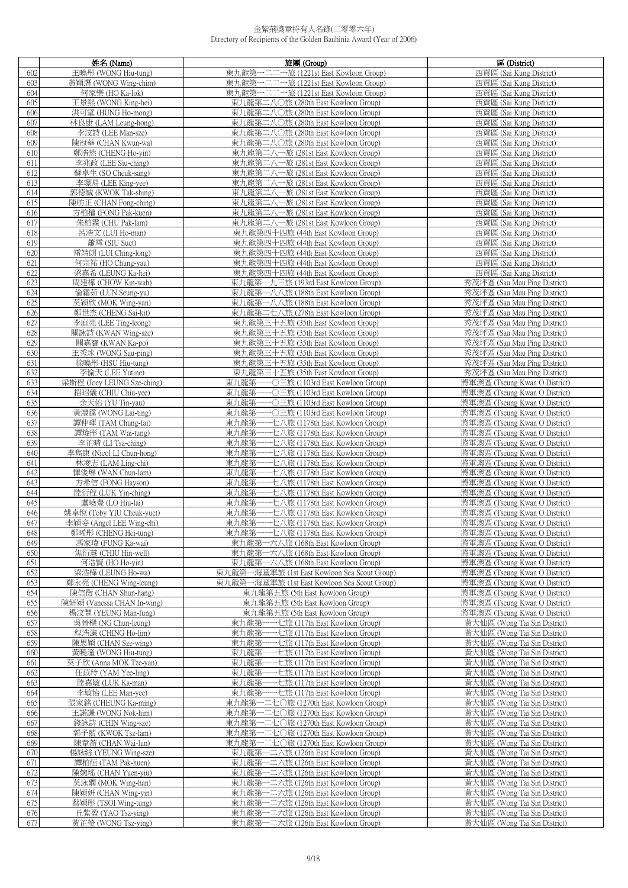|            | 姓名 (Name)                                | 旅團 (Group)                                                                     | 區 (District)                                                   |
|------------|------------------------------------------|--------------------------------------------------------------------------------|----------------------------------------------------------------|
| 602        | 王曉彤 (WONG Hiu-tung)                      | 一二二一旅 (1221st East Kowloon Group)<br>東九龍第-                                     | 西貢區 (Sai Kung District)                                        |
| 603        | 黃穎潛 (WONG Wing-chim)                     | 東九龍第一二二一旅 (1221st East Kowloon Group)                                          | 西貢區 (Sai Kung District)                                        |
| 604        | 何家樂 (HO Ka-lok)                          | 東九龍第一二二一旅 (1221st East Kowloon Group)                                          | 西貢區 (Sai Kung District)                                        |
| 605        | 王景熙 (WONG King-hei)                      | 東九龍第二八〇旅 (280th East Kowloon Group)                                            | 西貢區 (Sai Kung District)                                        |
| 606        | 洪可望 (HUNG Ho-mong)                       | 東九龍第二八〇旅 (280th East Kowloon Group)                                            | 西貢區 (Sai Kung District)                                        |
| 607        | 林良康 (LAM Leung-hong)                     | 東九龍第二八〇旅 (280th East Kowloon Group)                                            | 西貢區 (Sai Kung District)                                        |
|            |                                          |                                                                                |                                                                |
| 608        | 李汶詩 (LEE Man-sze)                        | 東九龍第二八〇旅 (280th East Kowloon Group)                                            | 西貢區 (Sai Kung District)                                        |
| 609        | 陳冠華 (CHAN Kwun-wa)                       | 東九龍第二八〇旅 (280th East Kowloon Group)                                            | 西貢區 (Sai Kung District)                                        |
| 610        | 鄭浩然 (CHENG Ho-yin)                       | 東九龍第二八一旅 (281st East Kowloon Group)                                            | 西貢區 (Sai Kung District)                                        |
| 611        | 李兆政 (LEE Siu-ching)                      | 東九龍第二八一旅 (281st East Kowloon Group)                                            | 西貢區 (Sai Kung District)                                        |
| 612        | 蘇卓生 (SO Cheuk-sang)                      | 東九龍第二八一旅 (281st East Kowloon Group)                                            | 西貢區 (Sai Kung District)                                        |
| 613        | 李璟易 (LEE King-yee)                       | 東九龍第二八一旅 (281st East Kowloon Group)                                            | 西貢區 (Sai Kung District)                                        |
| 614        | 郭德誠 (KWOK Tak-shing)                     | 東九龍第二八一旅 (281st East Kowloon Group)                                            | 西貢區 (Sai Kung District)                                        |
| 615        | 陳昉正 (CHAN Fong-ching)                    | 東九龍第二八一旅 (281st East Kowloon Group)                                            | 西貢區 (Sai Kung District)                                        |
| 616        | 方柏權 (FONG Pak-kuen)                      | 東九龍第二八一旅 (281st East Kowloon Group)                                            | 西貢區 (Sai Kung District)                                        |
| 617        | 朱柏霖 (CHU Pak-lam)                        | 東九龍第二八一旅 (281st East Kowloon Group)                                            | 西貢區 (Sai Kung District)                                        |
| 618        | 呂浩文 (LUI Ho-man)                         | 東九龍第四十四旅 (44th East Kowloon Group)                                             | 西貢區 (Sai Kung District)                                        |
| 619        | 蕭雪 (SIU Suet)                            | 東九龍第四十四旅 (44th East Kowloon Group)                                             | 西貢區 (Sai Kung District)                                        |
| 620        | 雷靖朗 (LUI Ching-long)                     | 東九龍第四十四旅 (44th East Kowloon Group)                                             | 西貢區 (Sai Kung District)                                        |
| 621        | 何宗祐 (HO Chung-yau)                       | 東九龍第四十四旅 (44th East Kowloon Group)                                             | 西貢區 (Sai Kung District)                                        |
| 622        | 梁嘉希 (LEUNG Ka-hei)                       | 東九龍第四十四旅 (44th East Kowloon Group)                                             | 西貢區 (Sai Kung District)                                        |
| 623        | 周建樺 (CHOW Kin-wah)                       | 東九龍第一九三旅 (193rd East Kowloon Group)                                            | 秀茂坪區 (Sau Mau Ping District)                                   |
| 624        | 倫霜茹 (LUN Seung-yu)                       | 東九龍第一八八旅 (188th East Kowloon Group)                                            | 秀茂坪區 (Sau Mau Ping District)                                   |
| 625        | 莫穎欣 (MOK Wing-yan)                       | 東九龍第一八八旅 (188th East Kowloon Group)                                            | 秀茂坪區 (Sau Mau Ping District)                                   |
| 626        | 鄭世杰 (CHENG Sai-kit)                      | 東九龍第二七八旅 (278th East Kowloon Group)                                            | 秀茂坪區 (Sau Mau Ping District)                                   |
| 627        | 李庭亮 (LEE Ting-leong)                     | 東九龍第三十五旅 (35th East Kowloon Group)                                             | 秀茂坪區 (Sau Mau Ping District)                                   |
| 628        | 關詠詩 (KWAN Wing-sze)                      | 東九龍第三十五旅 (35th East Kowloon Group)                                             | 秀茂坪區 (Sau Mau Ping District)                                   |
| 629        | 關嘉寶 (KWAN Ka-po)                         | 東九龍第三十五旅 (35th East Kowloon Group)                                             | 秀茂坪區 (Sau Mau Ping District)                                   |
| 630        | 王秀冰 (WONG Sau-ping)                      | 東九龍第三十五旅 (35th East Kowloon Group)                                             | 秀茂坪區 (Sau Mau Ping District)                                   |
| 631        | 徐曉彤 (HSU Hiu-tung)                       | 東九龍第三十五旅 (35th East Kowloon Group)                                             | 秀茂坪區 (Sau Mau Ping District)                                   |
| 632        | 李愉天 (LEE Yutine)                         | 東九龍第三十五旅 (35th East Kowloon Group)                                             | 秀茂坪區 (Sau Mau Ping District)                                   |
| 633        | 梁斯程 (Joey LEUNG Sze-ching)               | 東九龍第一一〇三旅 (1103rd East Kowloon Group)                                          | 將軍澳區 (Tseung Kwan O District)                                  |
| 634        | 招昭儀 (CHIU Chiu-yee)                      | 東九龍第一一〇三旅 (1103rd East Kowloon Group)                                          | 將軍澳區 (Tseung Kwan O District)                                  |
| 635        | 余天佑 (YU Tin-yau)                         | 東九龍第一一〇三旅 (1103rd East Kowloon Group)                                          | 將軍澳區 (Tseung Kwan O District)                                  |
| 636        | 黃澧霆 (WONG Lai-ting)                      | 東九龍第一一〇三旅 (1103rd East Kowloon Group)                                          | 將軍澳區 (Tseung Kwan O District)                                  |
| 637        | 譚仲暉 (TAM Chung-fai)                      | 東九龍第一一七八旅 (1178th East Kowloon Group)                                          | 將軍澳區 (Tseung Kwan O District)                                  |
| 638        | 譚煒彤 (TAM Wai-tung)                       | 東九龍第一一七八旅 (1178th East Kowloon Group)                                          | 將軍澳區 (Tseung Kwan O District)                                  |
|            |                                          | 東九龍第一一七八旅 (1178th East Kowloon Group)                                          |                                                                |
| 639        | 李芷晴 (LI Tsz-ching)                       | 東九龍第一一七八旅 (1178th East Kowloon Group)                                          | 將軍澳區 (Tseung Kwan O District)                                  |
| 640        | 李雋康 (Nicol LI Chun-hong)                 |                                                                                | 將軍澳區 (Tseung Kwan O District)                                  |
| 641        | 林凌志 (LAM Ling-chi)                       | 東九龍第一一七八旅 (1178th East Kowloon Group)                                          | 將軍澳區 (Tseung Kwan O District)                                  |
| 642        | 惲俊琳 (WAN Chun-lam)                       | 東九龍第一一七八旅 (1178th East Kowloon Group)                                          | 將軍澳區 (Tseung Kwan O District)                                  |
| 643        | 方希信 (FONG Hayson)<br>陸衍程 (LUK Yin-ching) | 東九龍第一一七八旅 (1178th East Kowloon Group)<br>東九龍第一一七八旅 (1178th East Kowloon Group) | 將軍澳區 (Tseung Kwan O District)<br>將軍澳區 (Tseung Kwan O District) |
| 644<br>645 | 盧曉豊 (LO Hiu-lai)                         | 東九龍第一一七八旅 (1178th East Kowloon Group)                                          | 將軍澳區 (Tseung Kwan O District)                                  |
| 646        | 姚卓悅 (Toby YIU Cheuk-yuet)                | 東九龍第一一七八旅 (1178th East Kowloon Group)                                          | 將軍澳區 (Tseung Kwan O District)                                  |
| 647        | 李穎姿 (Angel LEE Wing-chi)                 | 東九龍第一一七八旅 (1178th East Kowloon Group)                                          | 將軍澳區 (Tseung Kwan O District)                                  |
| 648        | 鄭晞彤 (CHENG Hei-tung)                     | 東九龍第一一七八旅 (1178th East Kowloon Group)                                          | 將軍澳區 (Tseung Kwan O District)                                  |
| 649        | 馮家瑋 (FUNG Ka-wai)                        | 東九龍第一六八旅 (168th East Kowloon Group)                                            | 將軍澳區 (Tseung Kwan O District)                                  |
| 650        | 焦衍慧 (CHIU Hin-well)                      | 東九龍第一六八旅 (168th East Kowloon Group)                                            | 將軍澳區 (Tseung Kwan O District)                                  |
| 651        | 何浩賢 (HO Ho-yin)                          | 東九龍第一六八旅 (168th East Kowloon Group)                                            | 將軍澳區 (Tseung Kwan O District)                                  |
| 652        | 梁浩樺 (LEUNG Ho-wa)                        | 東九龍第一海童軍旅 (1st East Kowloon Sea Scout Group)                                   | 將軍澳區 (Tseung Kwan O District)                                  |
| 653        | 鄭永亮 (CHENG Wing-leung)                   | 東九龍第一海童軍旅 (1st East Kowloon Sea Scout Group)                                   | 將軍澳區 (Tseung Kwan O District)                                  |
| 654        | 陳信衡 (CHAN Shun-hang)                     | 東九龍第五旅 (5th East Kowloon Group)                                                | 將軍澳區 (Tseung Kwan O District)                                  |
| 655        | 陳妍穎 (Vanessa CHAN In-wing)               | 東九龍第五旅 (5th East Kowloon Group)                                                | 將軍澳區 (Tseung Kwan O District)                                  |
| 656        | 楊汶豐 (YEUNG Man-fung)                     | 東九龍第五旅 (5th East Kowloon Group)                                                | 將軍澳區 (Tseung Kwan O District)                                  |
| 657        | 吳晉樑 (NG Chun-leung)                      | 東九龍第一一七旅 (117th East Kowloon Group)                                            | 黃大仙區 (Wong Tai Sin District)                                   |
| 658        | 程浩濂 (CHING Ho-lim)                       | ----七旅 (117th East Kowloon Group)<br>東九龍第一                                     | 黃大仙區 (Wong Tai Sin District)                                   |
| 659        | 陳思穎 (CHAN Sze-wing)                      | 東九龍第一一七旅 (117th East Kowloon Group)                                            | 黃大仙區 (Wong Tai Sin District)                                   |
| 660        | 黃曉潼 (WONG Hiu-tung)                      | 東九龍第一一七旅 (117th East Kowloon Group)                                            | 黃大仙區 (Wong Tai Sin District)                                   |
| 661        | 莫子欣 (Anna MOK Tze-yan)                   | 東九龍第一一七旅 (117th East Kowloon Group)                                            | 黃大仙區 (Wong Tai Sin District)                                   |
| 662        | 任苡玲 (YAM Yee-ling)                       | 東九龍第一一七旅 (117th East Kowloon Group)                                            | 黃大仙區 (Wong Tai Sin District)                                   |
| 663        | 陸嘉敏 (LUK Ka-man)                         | 東九龍第一一七旅 (117th East Kowloon Group)                                            | 黃大仙區 (Wong Tai Sin District)                                   |
| 664        | 李敏怡 (LEE Man-yee)                        | 東九龍第一一七旅 (117th East Kowloon Group)                                            | 黃大仙區 (Wong Tai Sin District)                                   |
| 665        | 張家銘 (CHEUNG Ka-ming)                     | 東九龍第一二七〇旅 (1270th East Kowloon Group)                                          | 黃大仙區 (Wong Tai Sin District)                                   |
| 666        | 王諾謙 (WONG Nok-him)                       | 東九龍第一二七〇旅 (1270th East Kowloon Group)                                          | 黃大仙區 (Wong Tai Sin District)                                   |
| 667        | 錢詠詩 (CHIN Wing-sze)                      | 東九龍第一二七〇旅 (1270th East Kowloon Group)                                          | 黃大仙區 (Wong Tai Sin District)                                   |
| 668        | 郭子藍 (KWOK Tsz-lam)                       | 東九龍第一二七〇旅 (1270th East Kowloon Group)                                          | 黃大仙區 (Wong Tai Sin District)                                   |
| 669        | 陳韋菕 (CHAN Wai-lun)                       | 東九龍第一二七〇旅 (1270th East Kowloon Group)                                          | 黃大仙區 (Wong Tai Sin District)                                   |
|            |                                          |                                                                                |                                                                |
| 670        | 楊詠絲 (YEUNG Wing-sze)                     | 東九龍第一二六旅 (126th East Kowloon Group)                                            | 黃大仙區 (Wong Tai Sin District)                                   |
| 671        | 譚柏烜 (TAM Pak-huen)                       | 東九龍第一二六旅 (126th East Kowloon Group)                                            | 黃大仙區 (Wong Tai Sin District)                                   |
| 672        | 陳婉瑤 (CHAN Yuen-yiu)                      | 東九龍第一二六旅 (126th East Kowloon Group)                                            | 黃大仙區 (Wong Tai Sin District)                                   |
| 673        | 莫泳嫻 (MOK Wing-han)                       | 東九龍第一二六旅 (126th East Kowloon Group)                                            | 黃大仙區 (Wong Tai Sin District)                                   |
| 674        | 陳穎妍 (CHAN Wing-yin)                      | 東九龍第一二六旅 (126th East Kowloon Group)                                            | 黃大仙區 (Wong Tai Sin District)                                   |
| 675        | 蔡穎彤 (TSOI Wing-tung)                     | 東九龍第一二六旅 (126th East Kowloon Group)                                            | 黃大仙區 (Wong Tai Sin District)                                   |
| 676        | 丘紫盈 (YAO Tsz-ying)                       | 東九龍第一二六旅 (126th East Kowloon Group)                                            | 黃大仙區 (Wong Tai Sin District)                                   |
| 677        | 黃芷瑩 (WONG Tsz-ying)                      | 東九龍第一二六旅 (126th East Kowloon Group)                                            | 黃大仙區 (Wong Tai Sin District)                                   |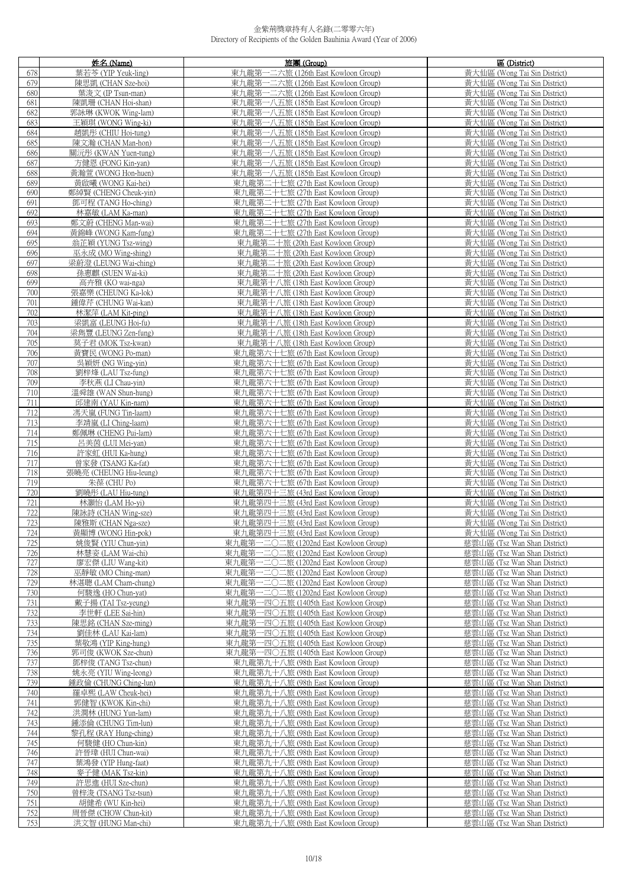|            | 姓名 (Name)                                    | 旅團 (Group)                                                               | 區 (District)                                                 |
|------------|----------------------------------------------|--------------------------------------------------------------------------|--------------------------------------------------------------|
| 678        | 葉若苓 (YIP Yeuk-ling)                          | 東九龍第一二六旅 (126th East Kowloon Group)                                      | 黃大仙區 (Wong Tai Sin District)                                 |
| 679        | 陳思凱 (CHAN Sze-hoi)                           | 東九龍第一二六旅 (126th East Kowloon Group)                                      | 黃大仙區 (Wong Tai Sin District)                                 |
| 680        | 葉浚文 (IP Tsun-man)                            | 東九龍第一二六旅 (126th East Kowloon Group)                                      | 黃大仙區 (Wong Tai Sin District)                                 |
| 681        | 陳凱珊 (CHAN Hoi-shan)                          | 東九龍第一八五旅 (185th East Kowloon Group)                                      | 黃大仙區 (Wong Tai Sin District)                                 |
| 682        | 郭詠琳 (KWOK Wing-lam)                          | 東九龍第一八五旅 (185th East Kowloon Group)                                      | 黃大仙區 (Wong Tai Sin District)                                 |
| 683        | 王穎琪 (WONG Wing-ki)                           | 東九龍第一八五旅 (185th East Kowloon Group)                                      | 黃大仙區 (Wong Tai Sin District)                                 |
| 684        | 趙凱形 (CHIU Hoi-tung)                          | 東九龍第一八五旅 (185th East Kowloon Group)                                      | 黃大仙區 (Wong Tai Sin District)                                 |
| 685        | 陳文瀚 (CHAN Man-hon)                           | 東九龍第一八五旅 (185th East Kowloon Group)                                      | 黃大仙區 (Wong Tai Sin District)                                 |
| 686        | 關沅彤 (KWAN Yuen-tung)                         | 東九龍第一八五旅 (185th East Kowloon Group)                                      | 黃大仙區 (Wong Tai Sin District)                                 |
| 687        | 方健恩 (FONG Kin-yan)                           | 東九龍第一八五旅 (185th East Kowloon Group)                                      | 黃大仙區 (Wong Tai Sin District)                                 |
|            | 黃瀚菅 (WONG Hon-huen)                          | 東九龍第一八五旅 (185th East Kowloon Group)                                      |                                                              |
| 688        |                                              |                                                                          | 黃大仙區 (Wong Tai Sin District)<br>黃大仙區 (Wong Tai Sin District) |
| 689        | 黃啟曦 (WONG Kai-hei)                           | 東九龍第二十七旅 (27th East Kowloon Group)                                       |                                                              |
| 690        | 鄭綽賢 (CHENG Cheuk-yin)                        | 東九龍第二十七旅 (27th East Kowloon Group)                                       | 黃大仙區 (Wong Tai Sin District)                                 |
| 691        | 鄧可程 (TANG Ho-ching)                          | 東九龍第二十七旅 (27th East Kowloon Group)                                       | 黃大仙區 (Wong Tai Sin District)                                 |
| 692        | 林嘉敏 (LAM Ka-man)                             | 東九龍第二十七旅 (27th East Kowloon Group)                                       | 黃大仙區 (Wong Tai Sin District)                                 |
| 693        | 鄭文蔚 (CHENG Man-wai)                          | 東九龍第二十七旅 (27th East Kowloon Group)                                       | 黃大仙區 (Wong Tai Sin District)                                 |
| 694        | 黃錦峰 (WONG Kam-fung)                          | 東九龍第二十七旅 (27th East Kowloon Group)                                       | 黃大仙區 (Wong Tai Sin District)                                 |
| 695        | 翁芷穎 (YUNG Tsz-wing)                          | 東九龍第二十旅 (20th East Kowloon Group)                                        | 黃大仙區 (Wong Tai Sin District)                                 |
| 696        | 巫永成 (MO Wing-shing)                          | 東九龍第二十旅 (20th East Kowloon Group)                                        | 黃大仙區 (Wong Tai Sin District)                                 |
| 697        | 梁蔚澄 (LEUNG Wai-ching)                        | 東九龍第二十旅 (20th East Kowloon Group)                                        | 黃大仙區 (Wong Tai Sin District)                                 |
| 698        | 孫惠麒 (SUEN Wai-ki)                            | 東九龍第二十旅 (20th East Kowloon Group)                                        | 黃大仙區 (Wong Tai Sin District)                                 |
| 699        | 高卉雅 (KO wai-nga)                             | 東九龍第十八旅 (18th East Kowloon Group)                                        | 黃大仙區 (Wong Tai Sin District)                                 |
| 700        | 張嘉樂 (CHEUNG Ka-lok)                          | 東九龍第十八旅 (18th East Kowloon Group)                                        | 黃大仙區 (Wong Tai Sin District)                                 |
| 701        | 鍾偉芹 (CHUNG Wai-kan)                          | 東九龍第十八旅 (18th East Kowloon Group)                                        | 黃大仙區 (Wong Tai Sin District)                                 |
| 702        | 林潔萍 (LAM Kit-ping)                           | 東九龍第十八旅 (18th East Kowloon Group)                                        | 黃大仙區 (Wong Tai Sin District)                                 |
| 703        | 梁凱富 (LEUNG Hoi-fu)                           | 東九龍第十八旅 (18th East Kowloon Group)                                        | 黃大仙區 (Wong Tai Sin District)                                 |
| 704        | 梁雋豐 (LEUNG Zen-fung)                         | 東九龍第十八旅 (18th East Kowloon Group)                                        | 黃大仙區 (Wong Tai Sin District)                                 |
| 705        | 莫子君 (MOK Tsz-kwan)                           | 東九龍第十八旅 (18th East Kowloon Group)                                        | 黃大仙區 (Wong Tai Sin District)                                 |
| 706        | 黃寶民 (WONG Po-man)                            | 東九龍第六十七旅 (67th East Kowloon Group)                                       | 黃大仙區 (Wong Tai Sin District)                                 |
| 707        | 吳穎妍 (NG Wing-yin)                            | 東九龍第六十七旅 (67th East Kowloon Group)                                       | 黃大仙區 (Wong Tai Sin District)                                 |
| 708        | 劉梓烽 (LAU Tsz-fung)                           | 東九龍第六十七旅 (67th East Kowloon Group)                                       | 黃大仙區 (Wong Tai Sin District)                                 |
| 709        | 李秋燕 (LI Chau-yin)                            | 東九龍第六十七旅 (67th East Kowloon Group)                                       | 黃大仙區 (Wong Tai Sin District)                                 |
| 710        | 溫舜雄 (WAN Shun-hung)                          | 東九龍第六十七旅 (67th East Kowloon Group)                                       | 黃大仙區 (Wong Tai Sin District)                                 |
| 711        | 邱建南 (YAU Kin-nam)                            | 東九龍第六十七旅 (67th East Kowloon Group)                                       | 黃大仙區 (Wong Tai Sin District)                                 |
| 712        | 馮天嵐 (FUNG Tin-laam)                          | 東九龍第六十七旅 (67th East Kowloon Group)                                       | 黃大仙區 (Wong Tai Sin District)                                 |
| 713        | 李靖嵐 (LI Ching-laam)                          | 東九龍第六十七旅 (67th East Kowloon Group)                                       | 黃大仙區 (Wong Tai Sin District)                                 |
| 714        | 鄭佩琳 (CHENG Pui-lam)                          | 東九龍第六十七旅 (67th East Kowloon Group)                                       | 黃大仙區 (Wong Tai Sin District)                                 |
| 715        | 呂美茵 (LUI Mei-yan)                            | 東九龍第六十七旅 (67th East Kowloon Group)                                       | 黃大仙區 (Wong Tai Sin District)                                 |
| 716        | 許家虹 (HUI Ka-hung)                            | 東九龍第六十七旅 (67th East Kowloon Group)                                       | 黃大仙區 (Wong Tai Sin District)                                 |
| 717<br>718 | 曾家發 (TSANG Ka-fat)<br>張曉亮 (CHEUNG Hiu-leung) | 東九龍第六十七旅 (67th East Kowloon Group)<br>東九龍第六十七旅 (67th East Kowloon Group) | 黃大仙區 (Wong Tai Sin District)<br>黃大仙區 (Wong Tai Sin District) |
| 719        | 朱葆 (CHU Po)                                  | 東九龍第六十七旅 (67th East Kowloon Group)                                       | 黃大仙區 (Wong Tai Sin District)                                 |
| 720        | 劉曉彤 (LAU Hiu-tung)                           | 東九龍第四十三旅 (43rd East Kowloon Group)                                       | 黃大仙區 (Wong Tai Sin District)                                 |
| 721        | 林灝怡 (LAM Ho-yi)                              | 東九龍第四十三旅 (43rd East Kowloon Group)                                       | 黃大仙區 (Wong Tai Sin District)                                 |
| 722        | 陳詠詩 (CHAN Wing-sze)                          | 東九龍第四十三旅 (43rd East Kowloon Group)                                       | 黃大仙區 (Wong Tai Sin District)                                 |
| 723        | 陳雅斯 (CHAN Nga-sze)                           | 東九龍第四十三旅 (43rd East Kowloon Group)                                       | 黃大仙區 (Wong Tai Sin District)                                 |
| 724        | 黃顯博 (WONG Hin-pok)                           | 東九龍第四十三旅 (43rd East Kowloon Group)                                       | 黃大仙區 (Wong Tai Sin District)                                 |
| 725        | 姚俊賢 (YIU Chun-yin)                           | 東九龍第一二〇二旅 (1202nd East Kowloon Group)                                    | 慈雲山區 (Tsz Wan Shan District)                                 |
| 726        | 林慧姿 (LAM Wai-chi)                            | 東九龍第一二〇二旅 (1202nd East Kowloon Group)                                    | 慈雲山區 (Tsz Wan Shan District)                                 |
| 727        | 廖宏傑 (LIU Wang-kit)                           | 東九龍第一二〇二旅 (1202nd East Kowloon Group)                                    | 慈雲山區 (Tsz Wan Shan District)                                 |
| 728        | 巫靜敏 (MO Ching-man)                           | 東九龍第一二〇二旅 (1202nd East Kowloon Group)                                    | 慈雲山區 (Tsz Wan Shan District)                                 |
| 729        | 林湛聰 (LAM Cham-chung)                         | 東九龍第一二〇二旅 (1202nd East Kowloon Group)                                    | 慈雲山區 (Tsz Wan Shan District)                                 |
| 730        | 何駿逸 (HO Chun-yat)                            | 東九龍第一二〇二旅 (1202nd East Kowloon Group)                                    | 慈雲山區 (Tsz Wan Shan District)                                 |
| 731        | 戴子揚 (TAI Tsz-yeung)                          | 東九龍第一四〇五旅 (1405th East Kowloon Group)                                    | 慈雲山區 (Tsz Wan Shan District)                                 |
| 732        | 李世軒 (LEE Sai-hin)                            | 東九龍第一四〇五旅 (1405th East Kowloon Group)                                    | 慈雲山區 (Tsz Wan Shan District)                                 |
| 733        | 陳思銘 (CHAN Sze-ming)                          | 東九龍第一四〇五旅 (1405th East Kowloon Group)                                    | 慈雲山區 (Tsz Wan Shan District)                                 |
| 734        | 劉佳林 (LAU Kai-lam)                            | 東九龍第一四〇五旅 (1405th East Kowloon Group)                                    | 慈雲山區 (Tsz Wan Shan District)                                 |
| 735        | 葉敬鴻 (YIP King-hung)                          | 東九龍第一四〇五旅 (1405th East Kowloon Group)                                    | 慈雲山區 (Tsz Wan Shan District)                                 |
| 736        | 郭司俊 (KWOK Sze-chun)                          | 東九龍第一四〇五旅 (1405th East Kowloon Group)                                    | 慈雲山區 (Tsz Wan Shan District)                                 |
| 737        | 鄧梓俊 (TANG Tsz-chun)                          | 東九龍第九十八旅 (98th East Kowloon Group)                                       | 慈雲山區 (Tsz Wan Shan District)                                 |
| 738        | 姚永亮 (YIU Wing-leong)                         | 東九龍第九十八旅 (98th East Kowloon Group)                                       | 慈雲山區 (Tsz Wan Shan District)                                 |
| 739        | 鍾政倫 (CHUNG Ching-lun)                        | 東九龍第九十八旅 (98th East Kowloon Group)                                       | 慈雲山區 (Tsz Wan Shan District)                                 |
| 740        | 羅卓熙 (LAW Cheuk-hei)                          | 東九龍第九十八旅 (98th East Kowloon Group)                                       | 慈雲山區 (Tsz Wan Shan District)                                 |
| 741        | 郭健智 (KWOK Kin-chi)                           | 東九龍第九十八旅 (98th East Kowloon Group)                                       | 慈雲山區 (Tsz Wan Shan District)                                 |
| 742        | 洪潤林 (HUNG Yun-lam)                           | 東九龍第九十八旅 (98th East Kowloon Group)                                       | 慈雲山區 (Tsz Wan Shan District)                                 |
| 743        | 鍾添倫 (CHUNG Tim-lun)                          | 東九龍第九十八旅 (98th East Kowloon Group)                                       | 慈雲山區 (Tsz Wan Shan District)                                 |
| 744        | 黎孔程 (RAY Hung-ching)                         | 東九龍第九十八旅 (98th East Kowloon Group)                                       | 慈雲山區 (Tsz Wan Shan District)                                 |
| 745        | 何駿健 (HO Chun-kin)                            | 東九龍第九十八旅 (98th East Kowloon Group)                                       | 慈雲山區 (Tsz Wan Shan District)                                 |
| 746        | 許晉瑋 (HUI Chun-wai)                           | 東九龍第九十八旅 (98th East Kowloon Group)                                       | 慈雲山區 (Tsz Wan Shan District)                                 |
| 747        | 葉鴻發 (YIP Hung-faat)                          | 東九龍第九十八旅 (98th East Kowloon Group)                                       | 慈雲山區 (Tsz Wan Shan District)                                 |
| 748        | 麥子健 (MAK Tsz-kin)                            | 東九龍第九十八旅 (98th East Kowloon Group)                                       | 慈雲山區 (Tsz Wan Shan District)                                 |
| 749        | 許思進 (HUI Sze-chun)                           | 東九龍第九十八旅 (98th East Kowloon Group)                                       | 慈雲山區 (Tsz Wan Shan District)                                 |
| 750        | 曾梓浚 (TSANG Tsz-tsun)                         | 東九龍第九十八旅 (98th East Kowloon Group)                                       | 慈雲山區 (Tsz Wan Shan District)                                 |
| 751        | 胡健希 (WU Kin-hei)                             | 東九龍第九十八旅 (98th East Kowloon Group)                                       | 慈雲山區 (Tsz Wan Shan District)                                 |
| 752        | 周晉傑 (CHOW Chun-kit)                          | 東九龍第九十八旅 (98th East Kowloon Group)                                       | 慈雲山區 (Tsz Wan Shan District)                                 |
| 753        | 洪文智 (HUNG Man-chi)                           | 東九龍第九十八旅 (98th East Kowloon Group)                                       | 慈雲山區 (Tsz Wan Shan District)                                 |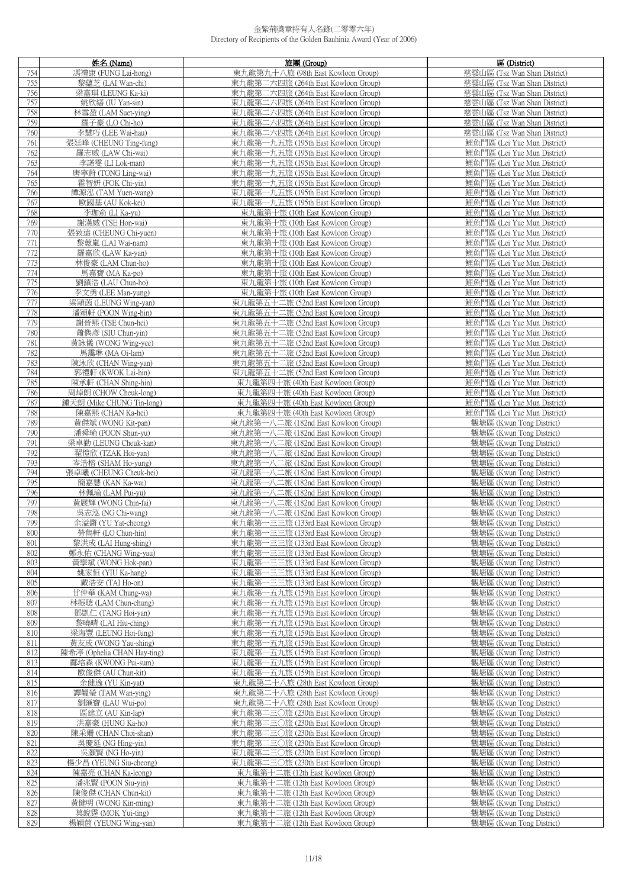|            | 姓名 (Name)                                         | 旅團 (Group)                                                               | 區 (District)                                               |
|------------|---------------------------------------------------|--------------------------------------------------------------------------|------------------------------------------------------------|
| 754        | 馮禮康 (FUNG Lai-hong)                               | 東九龍第九十八旅 (98th East Kowloon Group)                                       | 慈雲山區 (Tsz Wan Shan District)                               |
| 755        | 黎蘊芝 (LAI Wan-chi)                                 | 東九龍第二六四旅 (264th East Kowloon Group)                                      | 慈雲山區 (Tsz Wan Shan District)                               |
| 756        | 梁嘉琪 (LEUNG Ka-ki)                                 | 東九龍第二六四旅 (264th East Kowloon Group)                                      | 慈雲山區 (Tsz Wan Shan District)                               |
| 757        | 姚欣繕 (IU Yan-sin)                                  | 東九龍第二六四旅 (264th East Kowloon Group)                                      | 慈雲山區 (Tsz Wan Shan District)                               |
| 758        | 林雪盈 (LAM Suet-ying)                               | 東九龍第二六四旅 (264th East Kowloon Group)                                      | 慈雲山區 (Tsz Wan Shan District)                               |
| 759        | 羅子豪 (LO Chi-ho)                                   | 東九龍第二六四旅 (264th East Kowloon Group)                                      | 慈雲山區 (Tsz Wan Shan District)                               |
|            |                                                   |                                                                          |                                                            |
| 760        | 李慧巧 (LEE Wai-hau)                                 | 東九龍第二六四旅 (264th East Kowloon Group)                                      | 慈雲山區 (Tsz Wan Shan District)                               |
| 761        | 張廷峰 (CHEUNG Ting-fung)                            | 東九龍第一九五旅 (195th East Kowloon Group)                                      | 鯉魚門區 (Lei Yue Mun District)                                |
| 762        | 羅志威 (LAW Chi-wai)                                 | 東九龍第一九五旅 (195th East Kowloon Group)                                      | 鯉魚門區 (Lei Yue Mun District)                                |
| 763        | 李諾雯 (LI Lok-man)                                  | 東九龍第一九五旅 (195th East Kowloon Group)                                      | 鯉魚門區 (Lei Yue Mun District)                                |
| 764        | 唐寧蔚 (TONG Ling-wai)                               | 東九龍第一九五旅 (195th East Kowloon Group)                                      | 鯉魚門區 (Lei Yue Mun District)                                |
| 765        | 霍智妍 (FOK Chi-yin)                                 | 東九龍第一九五旅 (195th East Kowloon Group)                                      | 鯉魚門區 (Lei Yue Mun District)                                |
| 766        | 譚源泓 (TAM Yuen-wang)                               | 東九龍第一九五旅 (195th East Kowloon Group)                                      | 鯉魚門區 (Lei Yue Mun District)                                |
| 767        | 歐國基 (AU Kok-kei)                                  | 東九龍第一九五旅 (195th East Kowloon Group)                                      | 鯉魚門區 (Lei Yue Mun District)                                |
| 768        | 李珈俞 (LI Ka-yu)                                    | 東九龍第十旅 (10th East Kowloon Group)                                         | 鯉魚門區 (Lei Yue Mun District)                                |
| 769        | 謝漢威 (TSE Hon-wai)                                 | 東九龍第十旅 (10th East Kowloon Group)                                         | 鯉魚門區 (Lei Yue Mun District)                                |
| 770        | 張致遠 (CHEUNG Chi-yuen)                             | 東九龍第十旅 (10th East Kowloon Group)                                         | 鯉魚門區 (Lei Yue Mun District)                                |
| 771        | 黎蕙嵐 (LAI Wai-nam)                                 | 東九龍第十旅 (10th East Kowloon Group)                                         | 鯉魚門區 (Lei Yue Mun District)                                |
| 772        | 羅嘉欣 (LAW Ka-yan)                                  | 東九龍第十旅 (10th East Kowloon Group)                                         | 鯉魚門區 (Lei Yue Mun District)                                |
| 773        | 林俊豪 (LAM Chun-ho)                                 | 東九龍第十旅 (10th East Kowloon Group)                                         | 鯉魚門區 (Lei Yue Mun District)                                |
| 774        | 馬嘉寶 (MA Ka-po)                                    | 東九龍第十旅 (10th East Kowloon Group)                                         | 鯉魚門區 (Lei Yue Mun District)                                |
| 775        | 劉鎮浩 (LAU Chun-ho)                                 | 東九龍第十旅 (10th East Kowloon Group)                                         | 鯉魚門區 (Lei Yue Mun District)                                |
| 776        | 李文勇 (LEE Man-yung)                                | 東九龍第十旅 (10th East Kowloon Group)                                         | 鯉魚門區 (Lei Yue Mun District)                                |
| 777        | 梁頴茵 (LEUNG Wing-yan)                              | 東九龍第五十二旅 (52nd East Kowloon Group)                                       | 鯉魚門區 (Lei Yue Mun District)                                |
| 778        | 潘穎軒 (POON Wing-hin)                               | 東九龍第五十二旅 (52nd East Kowloon Group)                                       | 鯉魚門區 (Lei Yue Mun District)                                |
| 779        | 謝晉熙 (TSE Chun-hei)                                | 東九龍第五十二旅 (52nd East Kowloon Group)                                       | 鯉魚門區 (Lei Yue Mun District)                                |
| 780        | 蕭儁彥 (SIU Chun-yin)                                | 東九龍第五十二旅 (52nd East Kowloon Group)                                       | 鯉魚門區 (Lei Yue Mun District)                                |
| 781        | 黃詠儀 (WONG Wing-yee)                               | 東九龍第五十二旅 (52nd East Kowloon Group)                                       | 鯉魚門區 (Lei Yue Mun District)                                |
| 782        | 馬靄琳 (MA Oi-lam)                                   | 東九龍第五十二旅 (52nd East Kowloon Group)                                       | 鯉魚門區 (Lei Yue Mun District)                                |
| 783        | 陳泳欣 (CHAN Wing-yan)                               | 東九龍第五十二旅 (52nd East Kowloon Group)                                       | 鯉魚門區 (Lei Yue Mun District)                                |
| 784        | 郭禮軒 (KWOK Lai-hin)                                | 東九龍第五十二旅 (52nd East Kowloon Group)                                       | 鯉魚門區 (Lei Yue Mun District)                                |
| 785        | 陳承軒 (CHAN Shing-hin)                              | 東九龍第四十旅 (40th East Kowloon Group)                                        | 鯉魚門區 (Lei Yue Mun District)                                |
| 786<br>787 | 周焯朗(CHOW Cheuk-long)<br>鍾天朗 (Mike CHUNG Tin-long) | 東九龍第四十旅 (40th East Kowloon Group)<br>東九龍第四十旅 (40th East Kowloon Group)   | 鯉魚門區 (Lei Yue Mun District)<br>鯉魚門區 (Lei Yue Mun District) |
| 788        |                                                   |                                                                          | 鯉魚門區 (Lei Yue Mun District)                                |
| 789        | 陳嘉熙 (CHAN Ka-hei)<br>黃傑斌 (WONG Kit-pan)           | 東九龍第四十旅 (40th East Kowloon Group)<br>東九龍第一八二旅 (182nd East Kowloon Group) | 觀塘區 (Kwun Tong District)                                   |
| 790        | 潘舜瑜 (POON Shun-yu)                                | 東九龍第一八二旅 (182nd East Kowloon Group)                                      | 觀塘區 (Kwun Tong District)                                   |
| 791        | 梁卓勤 (LEUNG Cheuk-kan)                             | 東九龍第一八二旅 (182nd East Kowloon Group)                                      | 觀塘區 (Kwun Tong District)                                   |
| 792        | 翟愷欣 (TZAK Hoi-yan)                                | 東九龍第一八二旅 (182nd East Kowloon Group)                                      | 觀塘區 (Kwun Tong District)                                   |
| 793        | 岑浩榕 (SHAM Ho-yung)                                | 東九龍第一八二旅 (182nd East Kowloon Group)                                      | 觀塘區 (Kwun Tong District)                                   |
| 794        | 張卓曦 (CHEUNG Cheuk-hei)                            | 東九龍第一八二旅 (182nd East Kowloon Group)                                      | 觀塘區 (Kwun Tong District)                                   |
| 795        | 簡嘉慧 (KAN Ka-wai)                                  | 東九龍第一八二旅 (182nd East Kowloon Group)                                      | 觀塘區 (Kwun Tong District)                                   |
| 796        | 林佩瑜 (LAM Pui-yu)                                  | 東九龍第一八二旅 (182nd East Kowloon Group)                                      | 觀塘區 (Kwun Tong District)                                   |
| 797        | 黃展輝 (WONG Chin-fai)                               | 東九龍第一八二旅 (182nd East Kowloon Group)                                      | 觀塘區 (Kwun Tong District)                                   |
| 798        | 吳志泓 (NG Chi-wang)                                 | 東九龍第一八二旅 (182nd East Kowloon Group)                                      | 觀塘區 (Kwun Tong District)                                   |
| 799        | 余溢鏘 (YU Yat-cheong)                               | 東九龍第一三三旅 (133rd East Kowloon Group)                                      | 觀塘區 (Kwun Tong District)                                   |
| 800        | 勞雋軒 (LO Chun-hin)                                 | 東九龍第一三三旅 (133rd East Kowloon Group)                                      | 觀塘區 (Kwun Tong District)                                   |
| 801        | 黎洪成 (LAI Hung-shing)                              | 東九龍第一三三旅 (133rd East Kowloon Group)                                      | 觀塘區 (Kwun Tong District)                                   |
| 802        | 鄭永佑 (CHANG Wing-yau)                              | 東九龍第一三三旅 (133rd East Kowloon Group)                                      | 觀塘區 (Kwun Tong District)                                   |
| 803        | 黃學斌 (WONG Hok-pan)                                | 東九龍第一三三旅 (133rd East Kowloon Group)                                      | 觀塘區 (Kwun Tong District)                                   |
| 804        | 姚家恒 (YIU Ka-hang)                                 | 東九龍第一三三旅 (133rd East Kowloon Group)                                      | 觀塘區 (Kwun Tong District)                                   |
| 805        | 戴浩安 (TAI Ho-on)                                   | 東九龍第一三三旅 (133rd East Kowloon Group)                                      | 觀塘區 (Kwun Tong District)                                   |
| 806        | 甘仲華 (KAM Chung-wa)                                | 東九龍第一五九旅 (159th East Kowloon Group)                                      | 觀塘區 (Kwun Tong District)                                   |
| 807        | 林振聰 (LAM Chun-chung)                              | 東九龍第一五九旅 (159th East Kowloon Group)                                      | 觀塘區 (Kwun Tong District)                                   |
| 808        | 鄧凱仁 (TANG Hoi-yan)                                | 東九龍第一五九旅 (159th East Kowloon Group)                                      | 觀塘區 (Kwun Tong District)                                   |
| 809        | 黎曉晴 (LAI Hiu-ching)                               | 東九龍第一五九旅 (159th East Kowloon Group)                                      | 觀塘區 (Kwun Tong District)                                   |
| 810        | 梁海豐 (LEUNG Hoi-fung)                              | 東九龍第一五九旅 (159th East Kowloon Group)                                      | 觀塘區 (Kwun Tong District)                                   |
| 811        | 黃友成 (WONG Yau-shing)                              | 東九龍第一五九旅 (159th East Kowloon Group)                                      | 觀塘區 (Kwun Tong District)                                   |
| 812        | 陳希渟 (Ophelia CHAN Hay-ting)                       | 東九龍第一五九旅 (159th East Kowloon Group)                                      | 觀塘區 (Kwun Tong District)                                   |
| 813        | 鄺培森 (KWONG Pui-sum)                               | 東九龍第一五九旅 (159th East Kowloon Group)                                      | 觀塘區 (Kwun Tong District)                                   |
| 814        | 歐俊傑 (AU Chun-kit)                                 | 東九龍第一五九旅 (159th East Kowloon Group)                                      | 觀塘區 (Kwun Tong District)                                   |
| 815        | 余健逸 (YU Kin-yat)                                  | 東九龍第二十八旅 (28th East Kowloon Group)                                       | 觀塘區 (Kwun Tong District)                                   |
| 816        | 譚韞瑩 (TAM Wan-ying)                                | 東九龍第二十八旅 (28th East Kowloon Group)                                       | 觀塘區 (Kwun Tong District)                                   |
| 817        | 劉匯寶 (LAU Wui-po)                                  | 東九龍第二十八旅 (28th East Kowloon Group)                                       | 觀塘區 (Kwun Tong District)                                   |
| 818        | 區建立 (AU Kin-lap)                                  | 東九龍第二三〇旅 (230th East Kowloon Group)                                      | 觀塘區 (Kwun Tong District)                                   |
| 819        | 洪嘉豪 (HUNG Ka-ho)                                  | 東九龍第二三〇旅 (230th East Kowloon Group)                                      | 觀塘區 (Kwun Tong District)                                   |
| 820        | 陳采姍 (CHAN Choi-shan)                              | 東九龍第二三〇旅 (230th East Kowloon Group)                                      | 觀塘區 (Kwun Tong District)                                   |
| 821        | 吳慶延 (NG Hing-yin)                                 | 東九龍第二三〇旅 (230th East Kowloon Group)                                      | 觀塘區 (Kwun Tong District)                                   |
| 822        | 吳灝賢 (NG Ho-yin)                                   | 東九龍第二三〇旅 (230th East Kowloon Group)                                      | 觀塘區 (Kwun Tong District)                                   |
| 823        | 楊少昌 (YEUNG Siu-cheong)                            | 東九龍第二三〇旅 (230th East Kowloon Group)                                      | 觀塘區 (Kwun Tong District)                                   |
| 824        | 陳嘉亮 (CHAN Ka-leong)                               | 東九龍第十二旅 (12th East Kowloon Group)                                        | 觀塘區 (Kwun Tong District)                                   |
| 825        | 潘兆賢 (POON Siu-yin)                                | 東九龍第十二旅 (12th East Kowloon Group)                                        | 觀塘區 (Kwun Tong District)                                   |
| 826        | 陳俊傑 (CHAN Chun-kit)                               | 東九龍第十二旅 (12th East Kowloon Group)                                        | 觀塘區 (Kwun Tong District)                                   |
| 827        | 黃健明 (WONG Kin-ming)                               | 東九龍第十二旅 (12th East Kowloon Group)                                        | 觀塘區 (Kwun Tong District)                                   |
| 828        | 莫銳霆 (MOK Yui-ting)                                | 東九龍第十二旅 (12th East Kowloon Group)                                        | 觀塘區 (Kwun Tong District)                                   |
| 829        | 楊穎茵 (YEUNG Wing-yan)                              | 東九龍第十二旅 (12th East Kowloon Group)                                        | 觀塘區 (Kwun Tong District)                                   |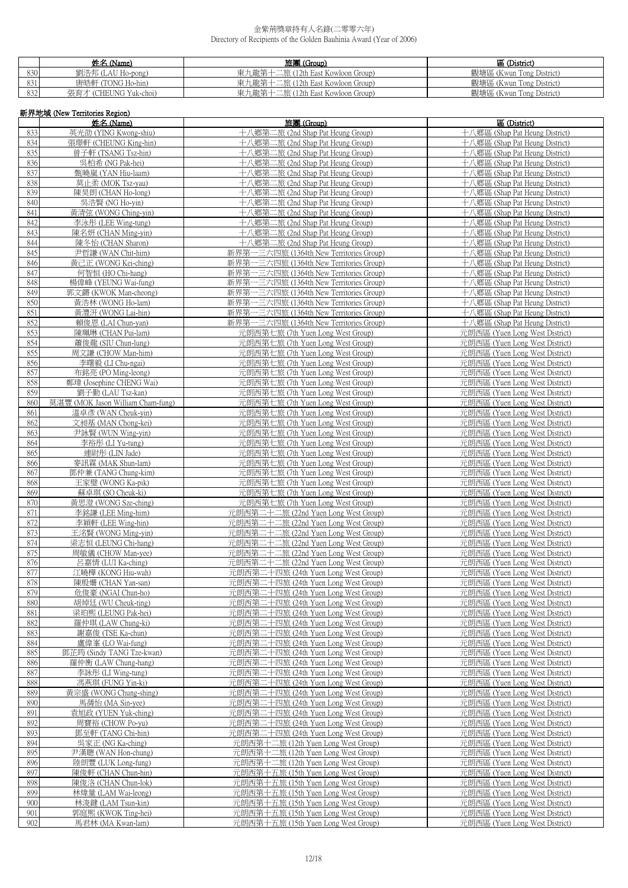|     | 姓名 (Name)             | 旅團 (Group)                        | 區 (District)             |
|-----|-----------------------|-----------------------------------|--------------------------|
| 830 | 劉浩邦 (LAU Ho-pong)     | 東九龍第十二旅 (12th East Kowloon Group) | 觀塘區 (Kwun Tong District) |
| 831 | 唐皓軒 (TONG Ho-hin)     | 東九龍第十二旅 (12th East Kowloon Group) | 觀塘區 (Kwun Tong District) |
| 832 | 張育才 (CHEUNG Yuk-choi) | 東九龍第十二旅 (12th East Kowloon Group) | 觀塘區 (Kwun Tong District) |

|            | 新界地域 (New Territories Region)                            |                                                                                    |                                                                  |  |  |
|------------|----------------------------------------------------------|------------------------------------------------------------------------------------|------------------------------------------------------------------|--|--|
|            | 姓名 (Name)                                                | 旅團 (Group)                                                                         | 區 (District)                                                     |  |  |
| 833        | 英光劭 (YING Kwong-shiu)                                    | 十八鄉第二旅 (2nd Shap Pat Heung Group)                                                  | 十八鄉區 (Shap Pat Heung District)                                   |  |  |
| 834        | 張璟軒 (CHEUNG King-hin)                                    | 十八鄉第二旅 (2nd Shap Pat Heung Group)                                                  | 十八鄉區 (Shap Pat Heung District)                                   |  |  |
| 835<br>836 | 曾子軒 (TSANG Tsz-hin)<br>吳柏希 (NG Pak-hei)                  | 十八鄉第二旅 (2nd Shap Pat Heung Group)<br>十八鄉第二旅 (2nd Shap Pat Heung Group)             | 十八鄉區 (Shap Pat Heung District)<br>十八鄉區 (Shap Pat Heung District) |  |  |
| 837        | 甄曉嵐 (YAN Hiu-laam)                                       | 十八鄉第二旅 (2nd Shap Pat Heung Group)                                                  | 十八鄉區 (Shap Pat Heung District)                                   |  |  |
| 838        | 莫止柔 (MOK Tsz-yau)                                        | 十八鄉第二旅 (2nd Shap Pat Heung Group)                                                  | 十八鄉區 (Shap Pat Heung District)                                   |  |  |
| 839        | 陳昊朗 (CHAN Ho-long)                                       | 十八鄉第二旅 (2nd Shap Pat Heung Group)                                                  | 十八鄉區 (Shap Pat Heung District)                                   |  |  |
| 840        | 吳浩賢 (NG Ho-yin)                                          | 十八鄉第二旅 (2nd Shap Pat Heung Group)                                                  | 十八鄉區 (Shap Pat Heung District)                                   |  |  |
| 841<br>842 | 黃清弦 (WONG Ching-yin)<br>李泳彤 (LEE Wing-tung)              | 十八鄉第二旅 (2nd Shap Pat Heung Group)<br>十八鄉第二旅 (2nd Shap Pat Heung Group)             | 十八鄉區 (Shap Pat Heung District)<br>十八鄉區 (Shap Pat Heung District) |  |  |
| 843        | 陳名妍 (CHAN Ming-yin)                                      | 十八鄉第二旅 (2nd Shap Pat Heung Group)                                                  | 十八鄉區 (Shap Pat Heung District)                                   |  |  |
| 844        | 陳冬怡 (CHAN Sharon)                                        | 十八鄉第二旅 (2nd Shap Pat Heung Group)                                                  | 十八鄉區 (Shap Pat Heung District)                                   |  |  |
| 845        | 尹哲謙 (WAN Chit-him)                                       | 新界第一三六四旅 (1364th New Territories Group)                                            | 十八鄉區 (Shap Pat Heung District)                                   |  |  |
| 846        | 黃己正 (WONG Kei-ching)                                     | 新界第一三六四旅 (1364th New Territories Group)                                            | 十八鄉區 (Shap Pat Heung District)                                   |  |  |
| 847        | 何智恒 (HO Chi-hang)                                        | 新界第一三六四旅 (1364th New Territories Group)                                            | 十八鄉區 (Shap Pat Heung District)                                   |  |  |
| 848<br>849 | 楊偉峰 (YEUNG Wai-fung)<br>郭文鏘 (KWOK Man-cheong)            | 新界第一三六四旅 (1364th New Territories Group)<br>新界第一三六四旅 (1364th New Territories Group) | 十八鄉區 (Shap Pat Heung District)<br>十八鄉區 (Shap Pat Heung District) |  |  |
| 850        | 黃浩林 (WONG Ho-lam)                                        | 新界第一三六四旅 (1364th New Territories Group)                                            | 十八鄉區 (Shap Pat Heung District)                                   |  |  |
| 851        | 黃澧汧 (WONG Lai-hin)                                       | 新界第一三六四旅 (1364th New Territories Group)                                            | 十八鄉區 (Shap Pat Heung District)                                   |  |  |
| 852        | 賴俊恩 (LAI Chun-van)                                       | 新界第一三六四旅 (1364th New Territories Group)                                            | 十八鄉區 (Shap Pat Heung District)                                   |  |  |
| 853<br>854 | 陳珮琳 (CHAN Pui-lam)                                       | 元朗西第七旅 (7th Yuen Long West Group)                                                  | 元朗西區 (Yuen Long West District)                                   |  |  |
| 855        | 蕭俊龍 (SIU Chun-lung)<br>周文謙 (CHOW Man-him)                | 元朗西第七旅 (7th Yuen Long West Group)<br>元朗西第七旅 (7th Yuen Long West Group)             | 元朗西區 (Yuen Long West District)<br>元朗西區 (Yuen Long West District) |  |  |
| 856        | 李曙毅 (LI Chu-ngai)                                        | 元朗西第七旅 (7th Yuen Long West Group)                                                  | 元朗西區 (Yuen Long West District)                                   |  |  |
| 857        | 布銘亮 (PO Ming-leong)                                      | 元朗西第七旅 (7th Yuen Long West Group)                                                  | 元朗西區 (Yuen Long West District)                                   |  |  |
| 858        | 鄭瑋 (Josephine CHENG Wai)                                 | 元朗西第七旅 (7th Yuen Long West Group)                                                  | 元朗西區 (Yuen Long West District)                                   |  |  |
| 859        | 劉子勤 (LAU Tsz-kan)                                        | 元朗西第七旅 (7th Yuen Long West Group)                                                  | 元朗西區 (Yuen Long West District)                                   |  |  |
| 860<br>861 | 莫湛豐 (MOK Jason William Cham-fung)<br>溫卓彥 (WAN Cheuk-yin) | 元朗西第七旅 (7th Yuen Long West Group)<br>元朗西第七旅 (7th Yuen Long West Group)             | 元朗西區 (Yuen Long West District)<br>元朗西區 (Yuen Long West District) |  |  |
| 862        | 文昶基 (MAN Chong-kei)                                      | 元朗西第七旅 (7th Yuen Long West Group)                                                  | 元朗西區 (Yuen Long West District)                                   |  |  |
| 863        | 尹詠賢 (WUN Wing-yin)                                       | 元朗西第七旅 (7th Yuen Long West Group)                                                  | 元朗西區 (Yuen Long West District)                                   |  |  |
| 864        | 李裕彤 (LI Yu-tung)                                         | 元朗西第七旅 (7th Yuen Long West Group)                                                  | 元朗西區 (Yuen Long West District)                                   |  |  |
| 865        | 連尉彤 (LIN Jade)                                           | 元朗西第七旅 (7th Yuen Long West Group)                                                  | 元朗西區 (Yuen Long West District)                                   |  |  |
| 866<br>867 | 麥訊霖 (MAK Shun-lam)<br>鄧仲兼 (TANG Chung-kim)               | 元朗西第七旅 (7th Yuen Long West Group)                                                  | 元朗西區 (Yuen Long West District)                                   |  |  |
| 868        | 王家璧 (WONG Ka-pik)                                        | 元朗西第七旅 (7th Yuen Long West Group)<br>元朗西第七旅 (7th Yuen Long West Group)             | 元朗西區 (Yuen Long West District)<br>元朗西區 (Yuen Long West District) |  |  |
| 869        | 蘇卓琪 (SO Cheuk-ki)                                        | 元朗西第七旅 (7th Yuen Long West Group)                                                  | 元朗西區 (Yuen Long West District)                                   |  |  |
| 870        | 黃思澄 (WONG Sze-ching)                                     | 元朗西第七旅 (7th Yuen Long West Group)                                                  | 元朗西區 (Yuen Long West District)                                   |  |  |
| 871        | 李銘謙 (LEE Ming-him)                                       | 元朗西第二十二旅 (22nd Yuen Long West Group)                                               | 元朗西區 (Yuen Long West District)                                   |  |  |
| 872<br>873 | 李穎軒 (LEE Wing-hin)<br>王洺賢 (WONG Ming-yin)                | 元朗西第二十二旅 (22nd Yuen Long West Group)<br>元朗西第二十二旅 (22nd Yuen Long West Group)       | 元朗西區 (Yuen Long West District)<br>元朗西區 (Yuen Long West District) |  |  |
| 874        | 梁志恒 (LEUNG Chi-hang)                                     | 元朗西第二十二旅 (22nd Yuen Long West Group)                                               | 元朗西區 (Yuen Long West District)                                   |  |  |
| 875        | 周敏儀 (CHOW Man-yee)                                       | 元朗西第二十二旅 (22nd Yuen Long West Group)                                               | 元朗西區 (Yuen Long West District)                                   |  |  |
| 876        | 呂嘉情 (LUI Ka-ching)                                       | 元朗西第二十二旅 (22nd Yuen Long West Group)                                               | 元朗西區 (Yuen Long West District)                                   |  |  |
| 877        | 江曉樺 (KONG Hiu-wah)                                       | 元朗西第二十四旅 (24th Yuen Long West Group)                                               | 元朗西區 (Yuen Long West District)                                   |  |  |
| 878<br>879 | 陳殷姍 (CHAN Yan-san)<br>危俊豪 (NGAI Chun-ho)                 | 元朗西第二十四旅 (24th Yuen Long West Group)<br>元朗西第二十四旅 (24th Yuen Long West Group)       | 元朗西區 (Yuen Long West District)<br>元朗西區 (Yuen Long West District) |  |  |
| 880        | 胡焯廷 (WU Cheuk-ting)                                      | 元朗西第二十四旅 (24th Yuen Long West Group)                                               | 元朗西區 (Yuen Long West District)                                   |  |  |
| 881        | 梁珀熙 (LEUNG Pak-hei)                                      | 元朗西第二十四旅 (24th Yuen Long West Group)                                               | 元朗西區 (Yuen Long West District)                                   |  |  |
| 882        | 羅仲琪 (LAW Chung-ki)                                       | 元朗西第二十四旅 (24th Yuen Long West Group)                                               | 元朗西區 (Yuen Long West District)                                   |  |  |
| 883        | 謝嘉俊 (TSE Ka-chun)                                        | 元朗西第二十四旅 (24th Yuen Long West Group)                                               | 元朗西區 (Yuen Long West District)                                   |  |  |
| 884<br>885 | 盧偉峯 (LO Wai-fung)<br>鄧芷筠 (Sindy TANG Tze-kwan)           | 元朗西第二十四旅 (24th Yuen Long West Group)<br>元朗西第二十四旅 (24th Yuen Long West Group)       | 元朗西區 (Yuen Long West District)<br>元朗西區 (Yuen Long West District) |  |  |
| 886        | 羅仲衡 (LAW Chung-hang)                                     | 元朗西第二十四旅 (24th Yuen Long West Group)                                               | 元朗西區 (Yuen Long West District)                                   |  |  |
| 887        | 李詠彤 (LI Wing-tung)                                       | 元朗西第二十四旅 (24th Yuen Long West Group)                                               | 元朗西區 (Yuen Long West District)                                   |  |  |
| 888        | 馮燕琪 (FUNG Yin-ki)                                        | 元朗西第二十四旅 (24th Yuen Long West Group)                                               | 元朗西區 (Yuen Long West District)                                   |  |  |
| 889        | 黃宗盛 (WONG Chung-shing)                                   | 元朗西第二十四旅 (24th Yuen Long West Group)                                               | 元朗西區 (Yuen Long West District)                                   |  |  |
| 890<br>891 | 馬蒨怡 (MA Sin-yee)<br>袁旭政 (YUEN Yuk-ching)                 | 元朗西第二十四旅 (24th Yuen Long West Group)<br>元朗西第二十四旅 (24th Yuen Long West Group)       | 元朗西區 (Yuen Long West District)<br>元朗西區 (Yuen Long West District) |  |  |
| 892        | 周寶裕 (CHOW Po-yu)                                         | 元朗西第二十四旅 (24th Yuen Long West Group)                                               | 元朗西區 (Yuen Long West District)                                   |  |  |
| 893        | 鄧至軒 (TANG Chi-hin)                                       | 元朗西第二十四旅 (24th Yuen Long West Group)                                               | 元朗西區 (Yuen Long West District)                                   |  |  |
| 894        | 吳家正 (NG Ka-ching)                                        | 元朗西第十二旅 (12th Yuen Long West Group)                                                | 元朗西區 (Yuen Long West District)                                   |  |  |
| 895        | 尹漢聰 (WAN Hon-chung)                                      | 元朗西第十二旅 (12th Yuen Long West Group)                                                | 元朗西區 (Yuen Long West District)                                   |  |  |
| 896<br>897 | 陸朗豐 (LUK Long-fung)<br>陳俊軒 (CHAN Chun-hin)               | 元朗西第十二旅 (12th Yuen Long West Group)<br>元朗西第十五旅 (15th Yuen Long West Group)         | 元朗西區 (Yuen Long West District)<br>元朗西區 (Yuen Long West District) |  |  |
| 898        | 陳俊洛 (CHAN Chun-lok)                                      | 元朗西第十五旅 (15th Yuen Long West Group)                                                | 元朗西區 (Yuen Long West District)                                   |  |  |
| 899        | 林煒量 (LAM Wai-leong)                                      | 元朗西第十五旅 (15th Yuen Long West Group)                                                | 元朗西區 (Yuen Long West District)                                   |  |  |
| 900        | 林浚鍵 (LAM Tsun-kin)                                       | 元朗西第十五旅 (15th Yuen Long West Group)                                                | 元朗西區 (Yuen Long West District)                                   |  |  |
| 901        | 郭庭熙 (KWOK Ting-hei)                                      | 元朗西第十五旅 (15th Yuen Long West Group)                                                | 元朗西區 (Yuen Long West District)                                   |  |  |
| 902        | 馬君林 (MA Kwan-lam)                                        | 元朗西第十五旅 (15th Yuen Long West Group)                                                | 元朗西區 (Yuen Long West District)                                   |  |  |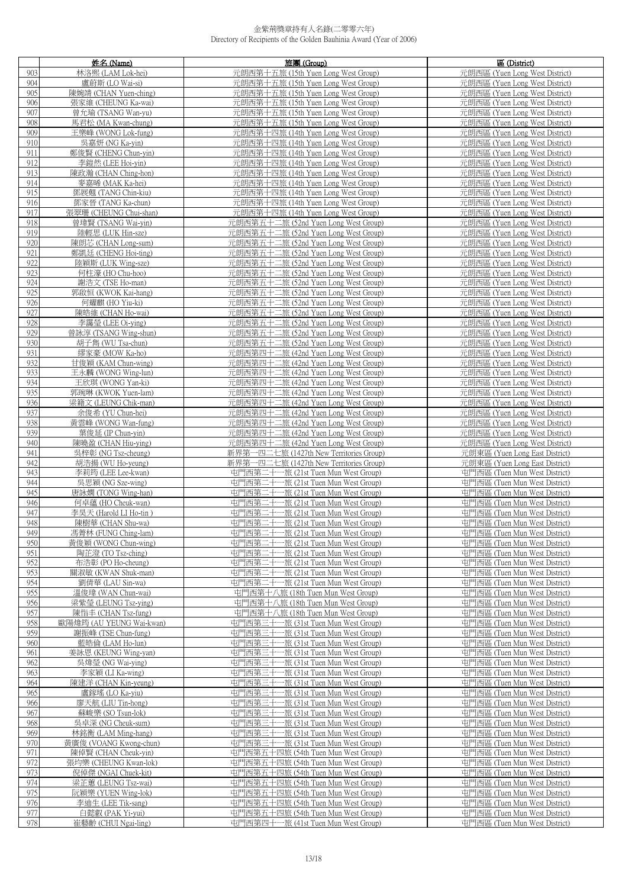|     | 姓名 (Name)                | 旅團 (Group)                                                                 | 區 (District)                   |
|-----|--------------------------|----------------------------------------------------------------------------|--------------------------------|
| 903 | 林洛熙 (LAM Lok-hei)        | 元朗西第十五旅 (15th Yuen Long West Group)                                        | 元朗西區 (Yuen Long West District) |
| 904 | 盧蔚斯 (LO Wai-si)          | 元朗西第十五旅 (15th Yuen Long West Group)                                        | 元朗西區 (Yuen Long West District) |
| 905 | 陳婉靖 (CHAN Yuen-ching)    | 元朗西第十五旅 (15th Yuen Long West Group)                                        | 元朗西區 (Yuen Long West District) |
| 906 | 張家維 (CHEUNG Ka-wai)      | 元朗西第十五旅 (15th Yuen Long West Group)                                        | 元朗西區 (Yuen Long West District) |
| 907 | 曾允瑜 (TSANG Wan-yu)       | 元朗西第十五旅 (15th Yuen Long West Group)                                        | 元朗西區 (Yuen Long West District) |
|     |                          |                                                                            |                                |
| 908 | 馬君松 (MA Kwan-chung)      | 元朗西第十五旅 (15th Yuen Long West Group)                                        | 元朗西區 (Yuen Long West District) |
| 909 | 王樂峰 (WONG Lok-fung)      | 元朗西第十四旅 (14th Yuen Long West Group)                                        | 元朗西區 (Yuen Long West District) |
| 910 | 吳嘉妍 (NG Ka-yin)          | 元朗西第十四旅 (14th Yuen Long West Group)                                        | 元朗西區 (Yuen Long West District) |
| 911 | 鄭俊賢 (CHENG Chun-yin)     | 元朗西第十四旅 (14th Yuen Long West Group)                                        | 元朗西區 (Yuen Long West District) |
| 912 | 李鎧然 (LEE Hoi-yin)        | 元朗西第十四旅 (14th Yuen Long West Group)                                        | 元朗西區 (Yuen Long West District) |
| 913 | 陳政瀚 (CHAN Ching-hon)     | 元朗西第十四旅 (14th Yuen Long West Group)                                        | 元朗西區 (Yuen Long West District) |
| 914 | 麥嘉晞 (MAK Ka-hei)         | 元朗西第十四旅 (14th Yuen Long West Group)                                        | 元朗西區 (Yuen Long West District) |
| 915 | 鄧展翹 (TANG Chin-kiu)      | 元朗西第十四旅 (14th Yuen Long West Group)                                        | 元朗西區 (Yuen Long West District) |
| 916 | 鄧家晉 (TANG Ka-chun)       | 元朗西第十四旅 (14th Yuen Long West Group)                                        | 元朗西區 (Yuen Long West District) |
| 917 | 張翠珊 (CHEUNG Chui-shan)   | 元朗西第十四旅 (14th Yuen Long West Group)                                        | 元朗西區 (Yuen Long West District) |
| 918 | 曾瑋賢 (TSANG Wai-yin)      | 元朗西第五十二旅 (52nd Yuen Long West Group)                                       | 元朗西區 (Yuen Long West District) |
| 919 | 陸輕思 (LUK Hin-sze)        | 元朗西第五十二旅 (52nd Yuen Long West Group)                                       | 元朗西區 (Yuen Long West District) |
| 920 | 陳朗芯 (CHAN Long-sum)      | 元朗西第五十二旅 (52nd Yuen Long West Group)                                       | 元朗西區 (Yuen Long West District) |
| 921 | 鄭凱廷 (CHENG Hoi-ting)     | 元朗西第五十二旅 (52nd Yuen Long West Group)                                       | 元朗西區 (Yuen Long West District) |
| 922 | 陸穎斯 (LUK Wing-sze)       | 元朗西第五十二旅 (52nd Yuen Long West Group)                                       | 元朗西區 (Yuen Long West District) |
| 923 | 何柱濠 (HO Chu-hoo)         | 元朗西第五十二旅 (52nd Yuen Long West Group)                                       | 元朗西區 (Yuen Long West District) |
| 924 | 謝浩文 (TSE Ho-man)         | 元朗西第五十二旅 (52nd Yuen Long West Group)                                       | 元朗西區 (Yuen Long West District) |
| 925 | 郭啟恒 (KWOK Kai-hang)      | 元朗西第五十二旅 (52nd Yuen Long West Group)                                       | 元朗西區 (Yuen Long West District) |
| 926 | 何耀麒 (HO Yiu-ki)          | 元朗西第五十二旅 (52nd Yuen Long West Group)                                       | 元朗西區 (Yuen Long West District) |
| 927 | 陳皓維 (CHAN Ho-wai)        | 元朗西第五十二旅 (52nd Yuen Long West Group)                                       | 元朗西區 (Yuen Long West District) |
|     |                          | 元朗西第五十二旅 (52nd Yuen Long West Group)                                       | 元朗西區 (Yuen Long West District) |
| 928 | 李靄瑩 (LEE Oi-ving)        |                                                                            |                                |
| 929 | 曾詠淳 (TSANG Wing-shun)    | 元朗西第五十二旅 (52nd Yuen Long West Group)                                       | 元朗西區 (Yuen Long West District) |
| 930 | 胡子雋 (WU Tsa-chun)        | 元朗西第五十二旅 (52nd Yuen Long West Group)                                       | 元朗西區 (Yuen Long West District) |
| 931 | 繆家豪 (MOW Ka-ho)          | 元朗西第四十二旅 (42nd Yuen Long West Group)                                       | 元朗西區 (Yuen Long West District) |
| 932 | 甘俊穎 (KAM Chun-wing)      | 元朗西第四十二旅 (42nd Yuen Long West Group)                                       | 元朗西區 (Yuen Long West District) |
| 933 | 王永麟 (WONG Wing-lun)      | 元朗西第四十二旅 (42nd Yuen Long West Group)                                       | 元朗西區 (Yuen Long West District) |
| 934 | 王欣琪 (WONG Yan-ki)        | 元朗西第四十二旅 (42nd Yuen Long West Group)                                       | 元朗西區 (Yuen Long West District) |
| 935 | 郭琬琳 (KWOK Yuen-lam)      | 元朗西第四十二旅 (42nd Yuen Long West Group)                                       | 元朗西區 (Yuen Long West District) |
| 936 | 梁籍文 (LEUNG Chik-man)     | 元朗西第四十二旅 (42nd Yuen Long West Group)                                       | 元朗西區 (Yuen Long West District) |
| 937 | 余俊希 (YU Chun-hei)        | 元朗西第四十二旅 (42nd Yuen Long West Group)                                       | 元朗西區 (Yuen Long West District) |
| 938 | 黃雲峰 (WONG Wan-fung)      | 元朗西第四十二旅 (42nd Yuen Long West Group)                                       | 元朗西區 (Yuen Long West District) |
| 939 | 葉俊延 (IP Chun-yin)        | 元朗西第四十二旅 (42nd Yuen Long West Group)                                       | 元朗西區 (Yuen Long West District) |
| 940 | 陳曉盈 (CHAN Hiu-ying)      | 元朗西第四十二旅 (42nd Yuen Long West Group)                                       | 元朗西區 (Yuen Long West District) |
| 941 | 吳梓彰 (NG Tsz-cheung)      | 新界第一四二七旅 (1427th New Territories Group)                                    | 元朗東區 (Yuen Long East District) |
| 942 | 胡浩揚 (WU Ho-yeung)        | 新界第一四二七旅 (1427th New Territories Group)                                    | 元朗東區 (Yuen Long East District) |
| 943 | 李莉筠 (LEE Lee-kwan)       | 屯門西第二十一旅 (21st Tuen Mun West Group)                                        | 屯門西區 (Tuen Mun West District)  |
| 944 | 吳思穎 (NG Sze-wing)        | 中門西第二十一旅 (21st Tuen Mun West Group)                                        | 屯門西區 (Tuen Mun West District)  |
| 945 | 唐詠嫻 (TONG Wing-han)      | 屯門西第二十一旅 (21st Tuen Mun West Group)                                        | 屯門西區 (Tuen Mun West District)  |
| 946 | 何卓蕴 (HO Cheuk-wan)       | 屯門西第二十一旅 (21st Tuen Mun West Group)                                        | 屯門西區 (Tuen Mun West District)  |
| 947 | 李昊天 (Harold LI Ho-tin)   | 屯門西第二十一旅 (21st Tuen Mun West Group)                                        | 屯門西區 (Tuen Mun West District)  |
| 948 | 陳樹華 (CHAN Shu-wa)        | 屯門西第二十一旅 (21st Tuen Mun West Group)                                        | 屯門西區 (Tuen Mun West District)  |
| 949 | 馮菁林 (FUNG Ching-lam)     | 屯門西第二十一旅 (21st Tuen Mun West Group)                                        | 屯門西區 (Tuen Mun West District)  |
| 950 | 黃俊穎 (WONG Chun-wing)     | 屯門西第二十一旅 (21st Tuen Mun West Group)                                        | 屯門西區 (Tuen Mun West District)  |
| 951 | 陶芷澄 (TO Tsz-ching)       | 屯門西第二十一旅 (21st Tuen Mun West Group)                                        | 屯門西區 (Tuen Mun West District)  |
| 952 | 布浩彰 (PO Ho-cheung)       | 屯門西第二十一旅 (21st Tuen Mun West Group)                                        | 屯門西區 (Tuen Mun West District)  |
| 953 | 關淑敏 (KWAN Shuk-man)      | 屯門西第二十一旅 (21st Tuen Mun West Group)                                        | 屯門西區 (Tuen Mun West District)  |
| 954 | 劉倩華 (LAU Sin-wa)         | 屯門西第二十一旅 (21st Tuen Mun West Group)                                        | 屯門西區 (Tuen Mun West District)  |
| 955 | 溫俊瑋 (WAN Chun-wai)       | 屯門西第十八旅 (18th Tuen Mun West Group)                                         | 屯門西區 (Tuen Mun West District)  |
| 956 | 梁紫瑩 (LEUNG Tsz-ying)     | 屯門西第十八旅 (18th Tuen Mun West Group)                                         | 屯門西區 (Tuen Mun West District)  |
| 957 | 陳恉丰 (CHAN Tsz-fung)      | 屯門西第十八旅 (18th Tuen Mun West Group)                                         | 屯門西區 (Tuen Mun West District)  |
| 958 | 歐陽煒筠 (AU YEUNG Wai-kwan) | 屯門西第三十一旅 (31st Tuen Mun West Group)                                        | 屯門西區 (Tuen Mun West District)  |
| 959 | 謝振峰 (TSE Chun-fung)      | 屯門西第三十一旅 (31st Tuen Mun West Group)                                        | 屯門西區 (Tuen Mun West District)  |
| 960 | 藍皓倫 (LAM Ho-lun)         | 屯門西第三十一旅 (31st Tuen Mun West Group)                                        | 屯門西區 (Tuen Mun West District)  |
|     |                          |                                                                            |                                |
| 961 | 姜詠恩 (KEUNG Wing-yan)     | 屯門西第三十一旅 (31st Tuen Mun West Group)<br>屯門西第三十一旅 (31st Tuen Mun West Group) | 屯門西區 (Tuen Mun West District)  |
| 962 | 吳煒瑩 (NG Wai-ying)        |                                                                            | 屯門西區 (Tuen Mun West District)  |
| 963 | 李家穎 (LI Ka-wing)         | 屯門西第三十一旅 (31st Tuen Mun West Group)                                        | 屯門西區 (Tuen Mun West District)  |
| 964 | 陳建洋 (CHAN Kin-yeung)     | 屯門西第三十一旅 (31st Tuen Mun West Group)                                        | 屯門西區 (Tuen Mun West District)  |
| 965 | 盧鎵瑤 (LO Ka-yiu)          | 屯門西第三十一旅 (31st Tuen Mun West Group)                                        | 屯門西區 (Tuen Mun West District)  |
| 966 | 廖天航 (LIU Tin-hong)       | 屯門西第三十一旅 (31st Tuen Mun West Group)                                        | 屯門西區 (Tuen Mun West District)  |
| 967 | 蘇峻樂 (SO Tsun-lok)        | 屯門西第三十一旅 (31st Tuen Mun West Group)                                        | 屯門西區 (Tuen Mun West District)  |
| 968 | 吳卓深 (NG Cheuk-sum)       | 屯門西第三十一旅 (31st Tuen Mun West Group)                                        | 屯門西區 (Tuen Mun West District)  |
| 969 | 林銘衡 (LAM Ming-hang)      | 屯門西第三十一旅 (31st Tuen Mun West Group)                                        | 屯門西區 (Tuen Mun West District)  |
| 970 | 黃廣俊 (VOANG Kwong-chun)   | 屯門西第三十一旅 (31st Tuen Mun West Group)                                        | 屯門西區 (Tuen Mun West District)  |
| 971 | 陳倬賢 (CHAN Cheuk-yin)     | 屯門西第五十四旅 (54th Tuen Mun West Group)                                        | 屯門西區 (Tuen Mun West District)  |
| 972 | 張均樂 (CHEUNG Kwan-lok)    | 屯門西第五十四旅 (54th Tuen Mun West Group)                                        | 屯門西區 (Tuen Mun West District)  |
| 973 | 倪倬傑 (NGAI Chuek-kit)     | 屯門西第五十四旅 (54th Tuen Mun West Group)                                        | 屯門西區 (Tuen Mun West District)  |
| 974 | 梁芷蕙 (LEUNG Tsz-wai)      | 屯門西第五十四旅 (54th Tuen Mun West Group)                                        | 屯門西區 (Tuen Mun West District)  |
| 975 | 阮穎樂 (YUEN Wing-lok)      | 屯門西第五十四旅 (54th Tuen Mun West Group)                                        | 屯門西區 (Tuen Mun West District)  |
| 976 | 李迪生 (LEE Tik-sang)       | 屯門西第五十四旅 (54th Tuen Mun West Group)                                        | 屯門西區 (Tuen Mun West District)  |
| 977 | 白懿叡 (PAK Yi-yui)         | 屯門西第五十四旅 (54th Tuen Mun West Group)                                        | 屯門西區 (Tuen Mun West District)  |
| 978 | 崔藝齡 (CHUI Ngai-ling)     | 屯門西第四十一旅 (41st Tuen Mun West Group)                                        | 屯門西區 (Tuen Mun West District)  |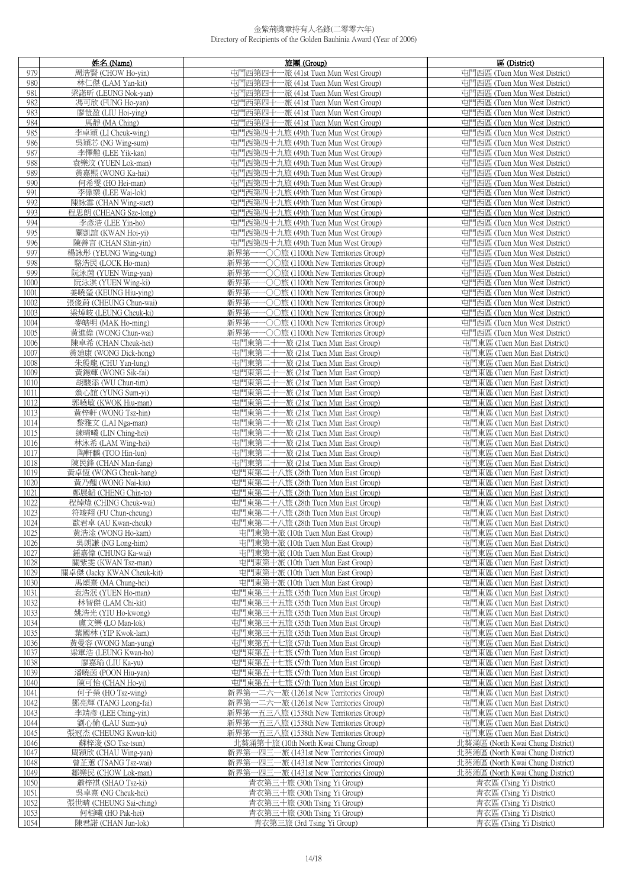|              | 姓名 (Name)                                | 旅團 (Group)                                                                 | 區 (District)                                                   |
|--------------|------------------------------------------|----------------------------------------------------------------------------|----------------------------------------------------------------|
| 979          | 周浩賢 (CHOW Ho-yin)                        | 屯門西第四十一旅 (41st Tuen Mun West Group)                                        | 屯門西區 (Tuen Mun West District)                                  |
| 980          | 林仁傑 (LAM Yan-kit)                        | 屯門西第四十一旅 (41st Tuen Mun West Group)                                        | 屯門西區 (Tuen Mun West District)                                  |
| 981          | 梁諾昕 (LEUNG Nok-yan)                      | 屯門西第四十一旅 (41st Tuen Mun West Group)                                        | 屯門西區 (Tuen Mun West District)                                  |
| 982          | 馮可欣 (FUNG Ho-yan)                        | 屯門西第四十一旅 (41st Tuen Mun West Group)                                        | 屯門西區 (Tuen Mun West District)                                  |
| 983          | 廖愷盈 (LIU Hoi-ying)                       | 屯門西第四十一旅 (41st Tuen Mun West Group)                                        | 屯門西區 (Tuen Mun West District)                                  |
| 984          | 馬靜 (MA Ching)                            | 屯門西第四十一旅 (41st Tuen Mun West Group)                                        | 屯門西區 (Tuen Mun West District)                                  |
| 985          | 李卓穎 (LI Cheuk-wing)                      | 屯門西第四十九旅 (49th Tuen Mun West Group)                                        | 屯門西區 (Tuen Mun West District)                                  |
| 986          | 吳穎芯 (NG Wing-sum)                        | 屯門西第四十九旅 (49th Tuen Mun West Group)                                        | 屯門西區 (Tuen Mun West District)                                  |
| 987          | 李懌懃 (LEE Yik-kan)                        | 屯門西第四十九旅 (49th Tuen Mun West Group)                                        | 屯門西區 (Tuen Mun West District)                                  |
| 988          | 袁樂汶 (YUEN Lok-man)                       | 屯門西第四十九旅 (49th Tuen Mun West Group)                                        | 屯門西區 (Tuen Mun West District)                                  |
| 989          |                                          |                                                                            |                                                                |
| 990          | 黃嘉熙 (WONG Ka-hai)                        | 屯門西第四十九旅 (49th Tuen Mun West Group)                                        | 屯門西區 (Tuen Mun West District)                                  |
|              | 何希雯 (HO Hei-man)                         | 屯門西第四十九旅 (49th Tuen Mun West Group)                                        | 屯門西區 (Tuen Mun West District)                                  |
| 991          | 李偉樂 (LEE Wai-lok)                        | 屯門西第四十九旅 (49th Tuen Mun West Group)                                        | 屯門西區 (Tuen Mun West District)                                  |
| 992          | 陳詠雪 (CHAN Wing-suet)                     | 屯門西第四十九旅 (49th Tuen Mun West Group)                                        | 屯門西區 (Tuen Mun West District)                                  |
| 993          | 程思朗 (CHEANG Sze-long)                    | 屯門西第四十九旅 (49th Tuen Mun West Group)                                        | 屯門西區 (Tuen Mun West District)                                  |
| 994          | 李彥浩 (LEE Yin-ho)                         | 屯門西第四十九旅 (49th Tuen Mun West Group)                                        | 屯門西區 (Tuen Mun West District)                                  |
| 995          | 關凱誼 (KWAN Hoi-yi)                        | 屯門西第四十九旅 (49th Tuen Mun West Group)                                        | 屯門西區 (Tuen Mun West District)                                  |
| 996          | 陳善言 (CHAN Shin-yin)                      | 屯門西第四十九旅 (49th Tuen Mun West Group)                                        | 屯門西區 (Tuen Mun West District)                                  |
| 997          | 楊詠彤 (YEUNG Wing-tung)                    | 新界第一一○○旅 (1100th New Territories Group)                                    | 屯門西區 (Tuen Mun West District)                                  |
| 998          | 駱浩民 (LOCK Ho-man)                        | 新界第一一○○旅 (1100th New Territories Group)                                    | 屯門西區 (Tuen Mun West District)                                  |
| 999          | 阮泳茵 (YUEN Wing-yan)                      | 新界第一一〇〇旅 (1100th New Territories Group)                                    | 屯門西區 (Tuen Mun West District)                                  |
| 1000         | 阮泳淇 (YUEN Wing-ki)                       | 新界第一一○○旅 (1100th New Territories Group)                                    | 屯門西區 (Tuen Mun West District)                                  |
| 1001         | 姜曉瑩 (KEUNG Hiu-ying)                     | 新界第一一○○旅 (1100th New Territories Group)                                    | 屯門西區 (Tuen Mun West District)                                  |
| 1002         | 張俊蔚 (CHEUNG Chun-wai)                    | 新界第一一〇〇旅 (1100th New Territories Group)                                    | 屯門西區 (Tuen Mun West District)                                  |
| 1003         | 梁焯岐 (LEUNG Cheuk-ki)                     | 新界第一一○○旅 (1100th New Territories Group)                                    | 屯門西區 (Tuen Mun West District)                                  |
| 1004         | 麥皓明 (MAK Ho-ming)                        | 新界第一一○○旅 (1100th New Territories Group)                                    | 屯門西區 (Tuen Mun West District)                                  |
| 1005         | 黃進偉 (WONG Chun-wai)                      | 新界第一一○○旅 (1100th New Territories Group)                                    | 屯門西區 (Tuen Mun West District)                                  |
| 1006         | 陳卓希 (CHAN Cheuk-hei)                     | 屯門東第二十一旅 (21st Tuen Mun East Group)                                        | 屯門東區 (Tuen Mun East District)                                  |
| 1007         | 黃廸康 (WONG Dick-hong)                     | 屯門東第二十一旅 (21st Tuen Mun East Group)                                        | 屯門東區 (Tuen Mun East District)                                  |
| 1008         | 朱殷龍 (CHU Yan-lung)                       | 屯門東第二十一旅 (21st Tuen Mun East Group)                                        | 屯門東區 (Tuen Mun East District)                                  |
| 1009         | 黃錫輝 (WONG Sik-fai)                       | 屯門東第二十一旅 (21st Tuen Mun East Group)                                        | 屯門東區 (Tuen Mun East District)                                  |
| 1010         | 胡駿添 (WU Chun-tim)                        | 屯門東第二十一旅 (21st Tuen Mun East Group)                                        | 屯門東區 (Tuen Mun East District)                                  |
| 1011         | 翁心誼 (YUNG Sum-yi)                        | 屯門東第二十一旅 (21st Tuen Mun East Group)                                        | 屯門東區 (Tuen Mun East District)                                  |
| 1012<br>1013 | 郭曉敏 (KWOK Hiu-man)<br>黃梓軒 (WONG Tsz-hin) | 屯門東第二十一旅 (21st Tuen Mun East Group)<br>屯門東第二十一旅 (21st Tuen Mun East Group) | 屯門東區 (Tuen Mun East District)<br>屯門東區 (Tuen Mun East District) |
| 1014         | 黎雅文 (LAI Nga-man)                        | 屯門東第二十一旅 (21st Tuen Mun East Group)                                        | 屯門東區 (Tuen Mun East District)                                  |
| 1015         | 練晴曦 (LIN Ching-hei)                      | 屯門東第二十一旅 (21st Tuen Mun East Group)                                        | 屯門東區 (Tuen Mun East District)                                  |
| 1016         | 林泳希 (LAM Wing-hei)                       | 屯門東第二十一旅 (21st Tuen Mun East Group)                                        | 屯門東區 (Tuen Mun East District)                                  |
| 1017         | 陶軒麟 (TOO Hin-lun)                        | 屯門東第二十一旅 (21st Tuen Mun East Group)                                        | 屯門東區 (Tuen Mun East District)                                  |
| 1018         | 陳民鋒 (CHAN Man-fung)                      | 屯門東第二十一旅 (21st Tuen Mun East Group)                                        | 屯門東區 (Tuen Mun East District)                                  |
| 1019         | 黃卓恆 (WONG Cheuk-hang)                    | 屯門東第二十八旅 (28th Tuen Mun East Group)                                        | 屯門東區 (Tuen Mun East District)                                  |
| 1020         | 黃乃翹 (WONG Nai-kiu)                       | 屯門東第二十八旅 (28th Tuen Mun East Group)                                        | 屯門東區 (Tuen Mun East District)                                  |
| 1021         | 鄭展韜 (CHENG Chin-to)                      | 屯門東第二十八旅 (28th Tuen Mun East Group)                                        | 屯門東區 (Tuen Mun East District)                                  |
| 1022         | 程焯煒 (CHING Cheuk-wai)                    | 屯門東第二十八旅 (28th Tuen Mun East Group)                                        | 屯門東區 (Tuen Mun East District)                                  |
| 1023         | 符竣翔 (FU Chun-cheung)                     | 屯門東第二十八旅 (28th Tuen Mun East Group)                                        | 屯門東區 (Tuen Mun East District)                                  |
| 1024         | 歐君卓 (AU Kwan-cheuk)                      | 屯門東第二十八旅 (28th Tuen Mun East Group)                                        | 屯門東區 (Tuen Mun East District)                                  |
| 1025         | 黃浩淦 (WONG Ho-kam)                        | 屯門東第十旅 (10th Tuen Mun East Group)                                          | 屯門東區 (Tuen Mun East District)                                  |
| 1026         | 吳朗謙 (NG Long-him)                        | 屯門東第十旅 (10th Tuen Mun East Group)                                          | 屯門東區 (Tuen Mun East District)                                  |
| 1027         | 鍾嘉偉 (CHUNG Ka-wai)                       | 中門東第十旅 (10th Tuen Mun East Group)                                          | 屯門東區 (Tuen Mun East District)                                  |
| 1028         | 關紫雯 (KWAN Tsz-man)                       | 屯門東第十旅 (10th Tuen Mun East Group)                                          | 屯門東區 (Tuen Mun East District)                                  |
| 1029         | 關卓傑 (Jacky KWAN Cheuk-kit)               | 屯門東第十旅 (10th Tuen Mun East Group)                                          | 屯門東區 (Tuen Mun East District)                                  |
| 1030         | 馬頌熹 (MA Chung-hei)                       | 屯門東第十旅 (10th Tuen Mun East Group)                                          | 屯門東區 (Tuen Mun East District)                                  |
| 1031         | 袁浩泯 (YUEN Ho-man)                        | 屯門東第三十五旅 (35th Tuen Mun East Group)                                        | 屯門東區 (Tuen Mun East District)                                  |
| 1032         | 林智傑 (LAM Chi-kit)                        | 屯門東第三十五旅 (35th Tuen Mun East Group)                                        | 屯門東區 (Tuen Mun East District)                                  |
| 1033         | 姚浩光 (YIU Ho-kwong)                       | 屯門東第三十五旅 (35th Tuen Mun East Group)                                        | 屯門東區 (Tuen Mun East District)                                  |
| 1034         | 盧文樂 (LO Man-lok)                         | 屯門東第三十五旅 (35th Tuen Mun East Group)                                        | 屯門東區 (Tuen Mun East District)                                  |
| 1035         | 葉國林 (YIP Kwok-lam)                       | 屯門東第三十五旅 (35th Tuen Mun East Group)                                        | 屯門東區 (Tuen Mun East District)                                  |
| 1036         | 黃曼容 (WONG Man-yung)                      | 屯門東第五十七旅 (57th Tuen Mun East Group)                                        | 屯門東區 (Tuen Mun East District)                                  |
| 1037         | 梁軍浩 (LEUNG Kwan-ho)                      | 屯門東第五十七旅 (57th Tuen Mun East Group)                                        | 屯門東區 (Tuen Mun East District)                                  |
| 1038         | 廖嘉瑜 (LIU Ka-yu)                          | 屯門東第五十七旅 (57th Tuen Mun East Group)                                        | 屯門東區 (Tuen Mun East District)                                  |
| 1039         | 潘曉茵 (POON Hiu-yan)                       | 屯門東第五十七旅 (57th Tuen Mun East Group)                                        | 屯門東區 (Tuen Mun East District)                                  |
| 1040         | 陳可怡 (CHAN Ho-yi)                         | 屯門東第五十七旅 (57th Tuen Mun East Group)                                        | 屯門東區 (Tuen Mun East District)                                  |
| 1041         | 何子榮 (HO Tsz-wing)                        | 新界第一二六一旅 (1261st New Territories Group)                                    | 屯門東區 (Tuen Mun East District)                                  |
| 1042         | 鄧亮輝 (TANG Leong-fai)                     | 新界第一二六一旅 (1261st New Territories Group)                                    | 屯門東區 (Tuen Mun East District)                                  |
| 1043         | 李靖彥 (LEE Ching-yin)                      | 新界第一五三八旅 (1538th New Territories Group)                                    | 屯門東區 (Tuen Mun East District)                                  |
| 1044         | 劉心愉 (LAU Sum-yu)                         | 新界第一五三八旅 (1538th New Territories Group)                                    | 屯門東區 (Tuen Mun East District)                                  |
| 1045         | 張冠杰 (CHEUNG Kwun-kit)                    | 新界第一五三八旅 (1538th New Territories Group)                                    | 屯門東區 (Tuen Mun East District)                                  |
| 1046         | 蘇梓浚 (SO Tsz-tsun)                        | 北葵涌第十旅 (10th North Kwai Chung Group)                                       | 北葵涌區 (North Kwai Chung District)                               |
| 1047         | 周穎欣 (CHAU Wing-yan)                      | 新界第一四三一旅 (1431st New Territories Group)                                    | 北葵涌區 (North Kwai Chung District)                               |
| 1048         | 曾芷蕙 (TSANG Tsz-wai)                      | 新界第一四三一旅 (1431st New Territories Group)                                    | 北葵涌區 (North Kwai Chung District)                               |
| 1049<br>1050 | 鄒樂民 (CHOW Lok-man)                       | 新界第一四三一旅 (1431st New Territories Group)<br>青衣第三十旅 (30th Tsing Yi Group)    | 北葵涌區 (North Kwai Chung District)                               |
|              | 蕭梓祺 (SHAO Tsz-ki)<br>吳卓熹 (NG Cheuk-hei)  | 青衣第三十旅 (30th Tsing Yi Group)                                               | 青衣區 (Tsing Yi District)<br>青衣區 (Tsing Yi District)             |
| 1051<br>1052 | 張世晴 (CHEUNG Sai-ching)                   | 青衣第三十旅 (30th Tsing Yi Group)                                               | 青衣區 (Tsing Yi District)                                        |
| 1053         | 何栢曦 (HO Pak-hei)                         | 青衣第三十旅 (30th Tsing Yi Group)                                               | 青衣區 (Tsing Yi District)                                        |
| 1054         | 陳君諾 (CHAN Jun-lok)                       | 青衣第三旅 (3rd Tsing Yi Group)                                                 | 青衣區 (Tsing Yi District)                                        |
|              |                                          |                                                                            |                                                                |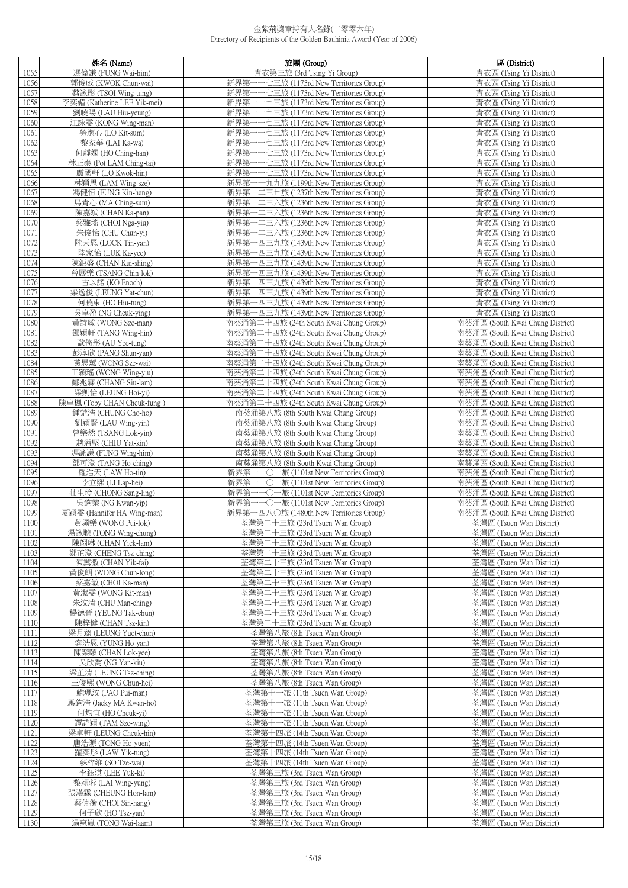|              | 姓名 (Name)                                        | 旅團 (Group)                                                                         | 區 (District)                                                         |
|--------------|--------------------------------------------------|------------------------------------------------------------------------------------|----------------------------------------------------------------------|
| 1055         | 馮偉謙 (FUNG Wai-him)                               | 青衣第三旅 (3rd Tsing Yi Group)                                                         | 青衣區 (Tsing Yi District)                                              |
| 1056         | 郭俊威 (KWOK Chun-wai)                              | 新界第一一七三旅 (1173rd New Territories Group)                                            | 青衣區 (Tsing Yi District)                                              |
| 1057         | 蔡詠彤 (TSOI Wing-tung)                             | 新界第一一七三旅 (1173rd New Territories Group)                                            | 青衣區 (Tsing Yi District)                                              |
| 1058         | 李奕媚 (Katherine LEE Yik-mei)                      | 新界第一一七三旅 (1173rd New Territories Group)                                            | 青衣區 (Tsing Yi District)                                              |
| 1059         | 劉曉陽 (LAU Hiu-yeung)                              | 新界第一一七三旅 (1173rd New Territories Group)                                            | 青衣區 (Tsing Yi District)                                              |
| 1060         | 江詠雯 (KONG Wing-man)                              | 新界第一一七三旅 (1173rd New Territories Group)                                            | 青衣區 (Tsing Yi District)                                              |
| 1061         | 勞潔心 (LO Kit-sum)                                 | 新界第一一七三旅 (1173rd New Territories Group)                                            | 青衣區 (Tsing Yi District)                                              |
| 1062         | 黎家華 (LAI Ka-wa)                                  | 新界第一一七三旅 (1173rd New Territories Group)                                            | 青衣區 (Tsing Yi District)                                              |
| 1063         | 何靜嫻 (HO Ching-han)                               | 新界第一一七三旅 (1173rd New Territories Group)                                            | 青衣區 (Tsing Yi District)                                              |
| 1064         | 林正泰 (Pot LAM Ching-tai)                          | 新界第一一七三旅 (1173rd New Territories Group)                                            | 青衣區 (Tsing Yi District)                                              |
| 1065         | 盧國軒 (LO Kwok-hin)                                | 新界第一一七三旅 (1173rd New Territories Group)                                            | 青衣區 (Tsing Yi District)                                              |
| 1066         | 林穎思 (LAM Wing-sze)                               | 新界第一一九九旅 (1199th New Territories Group)                                            | 青衣區 (Tsing Yi District)                                              |
| 1067         | 馮健恒 (FUNG Kin-hang)<br>馬青心 (MA Ching-sum)        | 新界第一二三七旅 (1237th New Territories Group)<br>新界第一二三六旅 (1236th New Territories Group) | 青衣區 (Tsing Yi District)                                              |
| 1068<br>1069 | 陳嘉斌 (CHAN Ka-pan)                                | 新界第一二三六旅 (1236th New Territories Group)                                            | 青衣區 (Tsing Yi District)<br>青衣區 (Tsing Yi District)                   |
| 1070         | 蔡雅瑤 (CHOI Nga-yiu)                               | 新界第一二三六旅 (1236th New Territories Group)                                            | 青衣區 (Tsing Yi District)                                              |
| 1071         | 朱俊怡 (CHU Chun-yi)                                | 新界第一二三六旅 (1236th New Territories Group)                                            | 青衣區 (Tsing Yi District)                                              |
| 1072         | 陸天恩 (LOCK Tin-yan)                               | 新界第一四三九旅 (1439th New Territories Group)                                            | 青衣區 (Tsing Yi District)                                              |
| 1073         | 陸家怡 (LUK Ka-yee)                                 | 新界第一四三九旅 (1439th New Territories Group)                                            | 青衣區 (Tsing Yi District)                                              |
| 1074         | 陳鉅盛 (CHAN Kui-shing)                             | 新界第一四三九旅 (1439th New Territories Group)                                            | 青衣區 (Tsing Yi District)                                              |
| 1075         | 曾展樂 (TSANG Chin-lok)                             | 新界第一四三九旅 (1439th New Territories Group)                                            | 青衣區 (Tsing Yi District)                                              |
| 1076         | 古以諾 (KO Enoch)                                   | 新界第一四三九旅 (1439th New Territories Group)                                            | 青衣區 (Tsing Yi District)                                              |
| 1077         | 梁逸俊 (LEUNG Yat-chun)                             | 新界第一四三九旅 (1439th New Territories Group)                                            | 青衣區 (Tsing Yi District)                                              |
| 1078         | 何曉東 (HO Hiu-tung)                                | 新界第一四三九旅 (1439th New Territories Group)                                            | 青衣區 (Tsing Yi District)                                              |
| 1079         | 吳卓盈 (NG Cheuk-ying)                              | 新界第一四三九旅 (1439th New Territories Group)                                            | 青衣區 (Tsing Yi District)                                              |
| 1080         | 黃詩敏 (WONG Sze-man)                               | 南葵涌第二十四旅 (24th South Kwai Chung Group)                                             | 南葵涌區 (South Kwai Chung District)                                     |
| 1081         | 鄧穎軒 (TANG Wing-hin)                              | 南葵涌第二十四旅 (24th South Kwai Chung Group)                                             | 南葵涌區 (South Kwai Chung District)                                     |
| 1082         | 歐倚彤 (AU Yee-tung)                                | 南葵涌第二十四旅 (24th South Kwai Chung Group)                                             | 南葵涌區 (South Kwai Chung District)                                     |
| 1083         | 彭淳欣 (PANG Shun-yan)                              | 南葵涌第二十四旅 (24th South Kwai Chung Group)                                             | 南葵涌區 (South Kwai Chung District)                                     |
| 1084         | 黃思蕙 (WONG Sze-wai)                               | 南葵涌第二十四旅 (24th South Kwai Chung Group)                                             | 南葵涌區 (South Kwai Chung District)                                     |
| 1085         | 王穎瑤 (WONG Wing-yiu)<br>鄭兆霖 (CHANG Siu-lam)       | 南葵涌第二十四旅 (24th South Kwai Chung Group)<br>南葵涌第二十四旅 (24th South Kwai Chung Group)   | 南葵涌區 (South Kwai Chung District)<br>南葵涌區 (South Kwai Chung District) |
| 1086<br>1087 | 梁凱怡 (LEUNG Hoi-yi)                               | 南葵涌第二十四旅 (24th South Kwai Chung Group)                                             | 南葵涌區 (South Kwai Chung District)                                     |
| 1088         | 陳卓楓 (Toby CHAN Cheuk-fung)                       | 南葵涌第二十四旅 (24th South Kwai Chung Group)                                             | 南葵涌區 (South Kwai Chung District)                                     |
| 1089         | 鍾楚浩 (CHUNG Cho-ho)                               | 南葵涌第八旅 (8th South Kwai Chung Group)                                                | 南葵涌區 (South Kwai Chung District)                                     |
| 1090         | 劉穎賢 (LAU Wing-yin)                               | 南葵涌第八旅 (8th South Kwai Chung Group)                                                | 南葵涌區 (South Kwai Chung District)                                     |
| 1091         | 曾樂然 (TSANG Lok-yin)                              | 南葵涌第八旅 (8th South Kwai Chung Group)                                                | 南葵涌區 (South Kwai Chung District)                                     |
| 1092         | 趙溢堅 (CHIU Yat-kin)                               | 南葵涌第八旅 (8th South Kwai Chung Group)                                                | 南葵涌區 (South Kwai Chung District)                                     |
| 1093         | 馮詠謙 (FUNG Wing-him)                              | 南葵涌第八旅 (8th South Kwai Chung Group)                                                | 南葵涌區 (South Kwai Chung District)                                     |
| 1094         | 鄧可澄 (TANG Ho-ching)                              | 南葵涌第八旅 (8th South Kwai Chung Group)                                                | 南葵涌區 (South Kwai Chung District)                                     |
| 1095         | 羅浩天 (LAW Ho-tin)                                 | 新界第一一〇一旅 (1101st New Territories Group)                                            | 南葵涌區 (South Kwai Chung District)                                     |
| 1096         | 李立熙 (LI Lap-hei)                                 | 新界第一一〇一旅 (1101st New Territories Group)                                            | 南葵涌區 (South Kwai Chung District)                                     |
| 1097         | 莊生玲 (CHONG Sang-ling)                            | 新界第一一〇一旅 (1101st New Territories Group)                                            | 南葵涌區 (South Kwai Chung District)                                     |
| 1098         | 吳鈞業 (NG Kwan-yip)                                | 新界第一一〇一旅 (1101st New Territories Group)                                            | 南葵涌區 (South Kwai Chung District)<br>南葵涌區 (South Kwai Chung District) |
| 1099<br>1100 | 夏穎雯 (Hannifer HA Wing-man)<br>黃珮樂 (WONG Pui-lok) | 新界第一四八〇旅 (1480th New Territories Group)<br>荃灣第二十三旅 (23rd Tsuen Wan Group)          | 荃灣區 (Tsuen Wan District)                                             |
| 1101         | 湯詠聰 (TONG Wing-chung)                            | 荃灣第二十三旅 (23rd Tsuen Wan Group)                                                     | 荃灣區 (Tsuen Wan District)                                             |
| 1102         | 陳翊琳 (CHAN Yick-lam)                              | 荃灣第二十三旅 (23rd Tsuen Wan Group)                                                     | 荃灣區 (Tsuen Wan District)                                             |
| 1103         | 鄭芷澄 (CHENG Tsz-ching)                            | 荃灣第二十三旅 (23rd Tsuen Wan Group)                                                     | 荃灣區 (Tsuen Wan District)                                             |
| 1104         | 陳翼徽 (CHAN Yik-fai)                               | 荃灣第二十三旅 (23rd Tsuen Wan Group)                                                     | 荃灣區 (Tsuen Wan District)                                             |
| 1105         | 黃俊朗 (WONG Chun-long)                             | 荃灣第二十三旅 (23rd Tsuen Wan Group)                                                     | 荃灣區 (Tsuen Wan District)                                             |
| 1106         | 蔡嘉敏 (CHOI Ka-man)                                | 荃灣第二十三旅 (23rd Tsuen Wan Group)                                                     | 荃灣區 (Tsuen Wan District)                                             |
| 1107         | 黃潔雯 (WONG Kit-man)                               | 荃灣第二十三旅 (23rd Tsuen Wan Group)                                                     | 荃灣區 (Tsuen Wan District)                                             |
| 1108         | 朱汶清 (CHU Man-ching)                              | 荃灣第二十三旅 (23rd Tsuen Wan Group)                                                     | 荃灣區 (Tsuen Wan District)                                             |
| 1109         | 楊德晉 (YEUNG Tak-chun)                             | 荃灣第二十三旅 (23rd Tsuen Wan Group)                                                     | 荃灣區 (Tsuen Wan District)                                             |
| 1110         | 陳梓健 (CHAN Tsz-kin)                               | 荃灣第二十三旅 (23rd Tsuen Wan Group)                                                     | 荃灣區 (Tsuen Wan District)                                             |
| 1111         | 梁月臻 (LEUNG Yuet-chun)<br>容浩恩 (YUNG Ho-yan)       | 荃灣第八旅 (8th Tsuen Wan Group)<br>荃灣第八旅 (8th Tsuen Wan Group)                         | 荃灣區 (Tsuen Wan District)<br>荃灣區 (Tsuen Wan District)                 |
| 1112<br>1113 | 陳樂頤 (CHAN Lok-yee)                               | 荃灣第八旅 (8th Tsuen Wan Group)                                                        | 荃灣區 (Tsuen Wan District)                                             |
| 1114         | 吳欣喬 (NG Yan-kiu)                                 | 荃灣第八旅 (8th Tsuen Wan Group)                                                        | 荃灣區 (Tsuen Wan District)                                             |
| 1115         | 梁芷清 (LEUNG Tsz-ching)                            | 荃灣第八旅 (8th Tsuen Wan Group)                                                        | 荃灣區 (Tsuen Wan District)                                             |
| 1116         | 王俊熙 (WONG Chun-hei)                              | 荃灣第八旅 (8th Tsuen Wan Group)                                                        | 荃灣區 (Tsuen Wan District)                                             |
| 1117         | 鮑珮汶 (PAO Pui-man)                                | 荃灣第十一旅 (11th Tsuen Wan Group)                                                      | 荃灣區 (Tsuen Wan District)                                             |
| 1118         | 馬鈞浩 (Jacky MA Kwan-ho)                           | 荃灣第十一旅 (11th Tsuen Wan Group)                                                      | 荃灣區 (Tsuen Wan District)                                             |
| 1119         | 何灼宜 (HO Cheuk-yi)                                | 荃灣第十一旅 (11th Tsuen Wan Group)                                                      | 荃灣區 (Tsuen Wan District)                                             |
| 1120         | 譚詩穎 (TAM Sze-wing)                               | 荃灣第十一旅 (11th Tsuen Wan Group)                                                      | 荃灣區 (Tsuen Wan District)                                             |
| 1121         | 梁卓軒 (LEUNG Cheuk-hin)                            | 荃灣第十四旅 (14th Tsuen Wan Group)                                                      | 荃灣區 (Tsuen Wan District)                                             |
| 1122         | 唐浩源 (TONG Ho-yuen)                               | 荃灣第十四旅 (14th Tsuen Wan Group)                                                      | 荃灣區 (Tsuen Wan District)                                             |
| 1123         | 羅奕彤 (LAW Yik-tung)                               | 荃灣第十四旅 (14th Tsuen Wan Group)                                                      | 荃灣區 (Tsuen Wan District)                                             |
| 1124<br>1125 | 蘇梓維 (SO Tze-wai)                                 | 荃灣第十四旅 (14th Tsuen Wan Group)<br>荃灣第三旅 (3rd Tsuen Wan Group)                       | 荃灣區 (Tsuen Wan District)<br>荃灣區 (Tsuen Wan District)                 |
| 1126         | 李鈺淇 (LEE Yuk-ki)<br>黎穎蓉 (LAI Wing-yung)          | 荃灣第三旅 (3rd Tsuen Wan Group)                                                        | 荃灣區 (Tsuen Wan District)                                             |
| 1127         | 張漢霖 (CHEUNG Hon-lam)                             | 荃灣第三旅 (3rd Tsuen Wan Group)                                                        | 荃灣區 (Tsuen Wan District)                                             |
| 1128         | 蔡倩蘅 (CHOI Sin-hang)                              | 荃灣第三旅 (3rd Tsuen Wan Group)                                                        | 荃灣區 (Tsuen Wan District)                                             |
| 1129         | 何子欣 (HO Tsz-yan)                                 | 荃灣第三旅 (3rd Tsuen Wan Group)                                                        | 荃灣區 (Tsuen Wan District)                                             |
| 1130         | 湯惠嵐 (TONG Wai-laam)                              | 荃灣第三旅 (3rd Tsuen Wan Group)                                                        | 荃灣區 (Tsuen Wan District)                                             |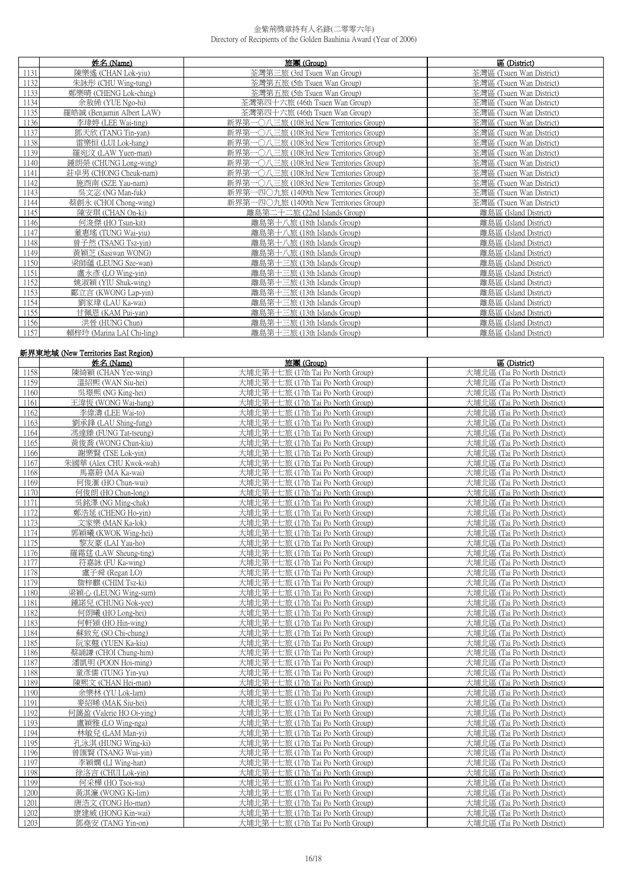|      | 姓名 (Name)                 | 旅團 (Group)                                  | 區 (District)             |
|------|---------------------------|---------------------------------------------|--------------------------|
| 1131 | 陳樂遙 (CHAN Lok-yiu)        | 荃灣第三旅 (3rd Tsuen Wan Group)                 | 荃灣區 (Tsuen Wan District) |
| 1132 | 朱詠彤 (CHU Wing-tung)       | 荃灣第五旅 (5th Tsuen Wan Group)                 | 荃灣區 (Tsuen Wan District) |
| 1133 | 鄭樂晴 (CHENG Lok-ching)     | 荃灣第五旅 (5th Tsuen Wan Group)                 | 荃灣區 (Tsuen Wan District) |
| 1134 | 余敖俙 (YUE Ngo-hi)          | 荃灣第四十六旅 (46th Tsuen Wan Group)              | 荃灣區 (Tsuen Wan District) |
| 1135 | 羅皓誠 (Benjamin Albert LAW) | 荃灣第四十六旅 (46th Tsuen Wan Group)              | 荃灣區 (Tsuen Wan District) |
| 1136 | 李瑋婷 (LEE Wai-ting)        | 新界第一〇八三旅 (1083rd New Territories Group)     | 荃灣區 (Tsuen Wan District) |
| 1137 | 鄧天欣 (TANG Tin-yan)        | ○八三旅 (1083rd New Territories Group)<br>新界第一 | 荃灣區 (Tsuen Wan District) |
| 1138 | 雷樂恒 (LUI Lok-hang)        | 新界第一〇八三旅 (1083rd New Territories Group)     | 荃灣區 (Tsuen Wan District) |
| 1139 | 羅宛汶 (LAW Yuen-man)        | 新界第-<br>○八三旅 (1083rd New Territories Group) | 荃灣區 (Tsuen Wan District) |
| 1140 | 鍾朗榮 (CHUNG Long-wing)     | 新界第-<br>○八三旅 (1083rd New Territories Group) | 荃灣區 (Tsuen Wan District) |
| 1141 | 莊卓男 (CHONG Cheuk-nam)     | 新界第一〇八三旅 (1083rd New Territories Group)     | 荃灣區 (Tsuen Wan District) |
| 1142 | 施酉南 (SZE Yau-nam)         | 新界第一○八三旅 (1083rd New Territories Group)     | 荃灣區 (Tsuen Wan District) |
| 1143 | 吳文宓 (NG Man-fuk)          | 新界第一四〇九旅 (1409th New Territories Group)     | 荃灣區 (Tsuen Wan District) |
| 1144 | 蔡創永 (CHOI Chong-wing)     | 新界第一四〇九旅 (1409th New Territories Group)     | 荃灣區 (Tsuen Wan District) |
| 1145 | 陳安琪 (CHAN On-ki)          | 離島第二十二旅 (22nd Islands Group)                | 離島區 (Island District)    |
| 1146 | 何浚傑 (HO Tsun-kit)         | 離島第十八旅 (18th Islands Group)                 | 離島區 (Island District)    |
| 1147 | 董惠瑤 (TUNG Wai-yiu)        | 離島第十八旅 (18th Islands Group)                 | 離島區 (Island District)    |
| 1148 | 曾子然 (TSANG Tsz-yin)       | 離島第十八旅 (18th Islands Group)                 | 離島區 (Island District)    |
| 1149 | 黃穎芝 (Sasiwan WONG)        | 離島第十八旅 (18th Islands Group)                 | 離島區 (Island District)    |
| 1150 | 梁師蘊 (LEUNG Sze-wan)       | 離島第十三旅 (13th Islands Group)                 | 離島區 (Island District)    |
| 1151 | 盧永彥 (LO Wing-yin)         | 離島第十三旅 (13th Islands Group)                 | 離島區 (Island District)    |
| 1152 | 姚淑穎 (YIU Shuk-wing)       | 離島第十三旅 (13th Islands Group)                 | 離島區 (Island District)    |
| 1153 | 鄺立言 (KWONG Lap-yin)       | 離島第十三旅 (13th Islands Group)                 | 離島區 (Island District)    |
| 1154 | 劉家瑋 (LAU Ka-wai)          | 離島第十三旅 (13th Islands Group)                 | 離島區 (Island District)    |
| 1155 | 甘佩恩 (KAM Pui-yan)         | 離島第十三旅 (13th Islands Group)                 | 離島區 (Island District)    |
| 1156 | 洪晉 (HUNG Chun)            | 離島第十三旅 (13th Islands Group)                 | 離島區 (Island District)    |
| 1157 | 賴梓玲 (Marina LAI Chi-ling) | 離島第十三旅 (13th Islands Group)                 | 離島區 (Island District)    |

#### 新界東地域 (New Territories East Region)

|              | MIT A ALOW TULIWIRS LAST INSIDE<br>姓名 (Name) | 旅團 (Group)                                                             | 區 (District)                                                 |
|--------------|----------------------------------------------|------------------------------------------------------------------------|--------------------------------------------------------------|
| 1158         | 陳綺穎 (CHAN Yee-wing)                          | 大埔北第十七旅 (17th Tai Po North Group)                                      | 大埔北區 (Tai Po North District)                                 |
| 1159         | 溫紹熙 (WAN Siu-hei)                            | 大埔北第十七旅 (17th Tai Po North Group)                                      | 大埔北區 (Tai Po North District)                                 |
| 1160         | 吴璟熙 (NG King-hei)                            | 大埔北第十七旅 (17th Tai Po North Group)                                      | 大埔北區 (Tai Po North District)                                 |
| 1161         | 王湋恆 (WONG Wai-hang)                          | 大埔北第十七旅 (17th Tai Po North Group)                                      | 大埔北區 (Tai Po North District)                                 |
| 1162         | 李偉濤 (LEE Wai-to)                             | 大埔北第十七旅 (17th Tai Po North Group)                                      | 大埔北區 (Tai Po North District)                                 |
| 1163         | 劉承鋒 (LAU Shing-fung)                         | 大埔北第十七旅 (17th Tai Po North Group)                                      | 大埔北區 (Tai Po North District)                                 |
| 1164         | 馮達臻 (FUNG Tat-tseung)                        | 大埔北第十七旅 (17th Tai Po North Group)                                      | 大埔北區 (Tai Po North District)                                 |
| 1165         | 黃俊喬 (WONG Chun-kiu)                          | 大埔北第十七旅 (17th Tai Po North Group)                                      | 大埔北區 (Tai Po North District)                                 |
| 1166         | 謝樂賢 (TSE Lok-yin)                            | 大埔北第十七旅 (17th Tai Po North Group)                                      | 大埔北區 (Tai Po North District)                                 |
| 1167         | 朱國華 (Alex CHU Kwok-wah)                      | 大埔北第十七旅 (17th Tai Po North Group)                                      | 大埔北區 (Tai Po North District)                                 |
| 1168         | 馬嘉蔚 (MA Ka-wai)                              | 大埔北第十七旅 (17th Tai Po North Group)                                      | 大埔北區 (Tai Po North District)                                 |
| 1169         | 何俊滙 (HO Chun-wui)                            | 大埔北第十七旅 (17th Tai Po North Group)                                      | 大埔北區 (Tai Po North District)                                 |
| 1170         | 何俊朗 (HO Chun-long)                           | 大埔北第十七旅 (17th Tai Po North Group)                                      | 大埔北區 (Tai Po North District)                                 |
| 1171         | 吳銘澤 (NG Ming-chak)                           | 大埔北第十七旅 (17th Tai Po North Group)                                      | 大埔北區 (Tai Po North District)                                 |
| 1172         | 鄭浩延 (CHENG Ho-yin)                           | 大埔北第十七旅 (17th Tai Po North Group)                                      | 大埔北區 (Tai Po North District)                                 |
| 1173         | 文家樂 (MAN Ka-lok)                             | 大埔北第十七旅 (17th Tai Po North Group)                                      | 大埔北區 (Tai Po North District)                                 |
| 1174         | 郭穎曦 (KWOK Wing-hei)                          | 大埔北第十七旅 (17th Tai Po North Group)                                      | 大埔北區 (Tai Po North District)                                 |
| 1175         | 黎友豪 (LAI Yau-ho)                             | 大埔北第十七旅 (17th Tai Po North Group)                                      | 大埔北區 (Tai Po North District)                                 |
| 1176         | 羅霜莛 (LAW Sheung-ting)                        | 大埔北第十七旅 (17th Tai Po North Group)                                      | 大埔北區 (Tai Po North District)                                 |
| 1177         | 符嘉詠 (FU Ka-wing)                             | 大埔北第十七旅 (17th Tai Po North Group)                                      | 大埔北區 (Tai Po North District)                                 |
| 1178         | 盧子舜 (Regan LO)                               | 大埔北第十七旅 (17th Tai Po North Group)                                      | 大埔北區 (Tai Po North District)                                 |
| 1179         | 詹梓麒 (CHIM Tsz-ki)                            | 大埔北第十七旅 (17th Tai Po North Group)                                      | 大埔北區 (Tai Po North District)                                 |
| 1180         | 梁穎心 (LEUNG Wing-sum)                         | 大埔北第十七旅 (17th Tai Po North Group)                                      | 大埔北區 (Tai Po North District)                                 |
| 1181         | 鍾諾兒 (CHUNG Nok-yee)                          | 大埔北第十七旅 (17th Tai Po North Group)                                      | 大埔北區 (Tai Po North District)                                 |
| 1182         | 何朗曦 (HO Long-hei)                            | 大埔北第十七旅 (17th Tai Po North Group)                                      | 大埔北區 (Tai Po North District)                                 |
| 1183         | 何軒熲 (HO Hin-wing)                            | 大埔北第十七旅 (17th Tai Po North Group)                                      | 大埔北區 (Tai Po North District)                                 |
| 1184         | 蘇致充 (SO Chi-chung)                           | 大埔北第十七旅 (17th Tai Po North Group)                                      | 大埔北區 (Tai Po North District)                                 |
| 1185         | 阮家翹 (YUEN Ka-kiu)                            | 大埔北第十七旅 (17th Tai Po North Group)                                      | 大埔北區 (Tai Po North District)                                 |
| 1186         | 蔡誦謙 (CHOI Chung-him)                         | 大埔北第十七旅 (17th Tai Po North Group)                                      | 大埔北區 (Tai Po North District)                                 |
| 1187         | 潘凱明 (POON Hoi-ming)                          | 大埔北第十七旅 (17th Tai Po North Group)                                      | 大埔北區 (Tai Po North District)                                 |
| 1188         | 童彥儒 (TUNG Yin-yu)                            | 大埔北第十七旅 (17th Tai Po North Group)                                      | 大埔北區 (Tai Po North District)                                 |
| 1189         | 陳熙文 (CHAN Hei-man)                           | 大埔北第十七旅 (17th Tai Po North Group)                                      | 大埔北區 (Tai Po North District)                                 |
| 1190         | 余樂林 (YU Lok-lam)                             | 大埔北第十七旅 (17th Tai Po North Group)                                      | 大埔北區 (Tai Po North District)                                 |
| 1191         | 麥紹晞 (MAK Siu-hei)                            | 大埔北第十七旅 (17th Tai Po North Group)                                      | 大埔北區 (Tai Po North District)                                 |
| 1192         | 何藹盈 (Valerie HO Oi-ving)                     | 大埔北第十七旅 (17th Tai Po North Group)                                      | 大埔北區 (Tai Po North District)                                 |
| 1193         | 盧穎雅 (LO Wing-nga)                            | 大埔北第十七旅 (17th Tai Po North Group)                                      | 大埔北區 (Tai Po North District)                                 |
| 1194         | 林敏兒 (LAM Man-yi)                             | 大埔北第十七旅 (17th Tai Po North Group)                                      | 大埔北區 (Tai Po North District)                                 |
| 1195         | 孔泳淇 (HUNG Wing-ki)                           | 大埔北第十七旅 (17th Tai Po North Group)                                      | 大埔北區 (Tai Po North District)                                 |
| 1196         | 曾匯賢 (TSANG Wui-yin)                          | 大埔北第十七旅 (17th Tai Po North Group)                                      | 大埔北區 (Tai Po North District)                                 |
| 1197         | 李穎嫻 (LI Wing-han)                            | 大埔北第十七旅 (17th Tai Po North Group)                                      | 大埔北區 (Tai Po North District)                                 |
| 1198<br>1199 | 徐洛言 (CHUI Lok-yin)                           | 大埔北第十七旅 (17th Tai Po North Group)                                      | 大埔北區 (Tai Po North District)                                 |
|              | 何采樺 (HO Tsoi-wa)                             | 大埔北第十七旅 (17th Tai Po North Group)                                      | 大埔北區 (Tai Po North District)                                 |
| 1200<br>1201 | 黃淇濂 (WONG Ki-lim)<br>唐浩文 (TONG Ho-man)       | 大埔北第十七旅 (17th Tai Po North Group)<br>大埔北第十七旅 (17th Tai Po North Group) | 大埔北區 (Tai Po North District)<br>大埔北區 (Tai Po North District) |
| 1202         | 康建威 (HONG Kin-wai)                           | 大埔北第十七旅 (17th Tai Po North Group)                                      | 大埔北區 (Tai Po North District)                                 |
| 1203         | 鄧堯安 (TANG Yin-on)                            | 大埔北第十七旅 (17th Tai Po North Group)                                      | 大埔北區 (Tai Po North District)                                 |
|              |                                              |                                                                        |                                                              |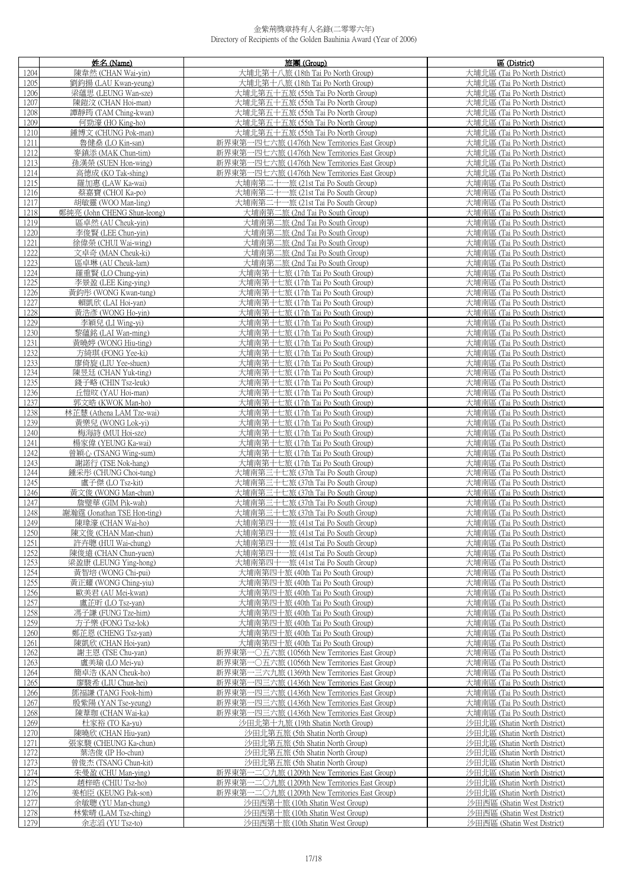|      | 姓名(Name)                    | 旅團(Group)                                     | 區 (District)                 |
|------|-----------------------------|-----------------------------------------------|------------------------------|
| 1204 | 陳韋然 (CHAN Wai-yin)          | 大埔北第十八旅 (18th Tai Po North Group)             | 大埔北區 (Tai Po North District) |
| 1205 | 劉鈞揚 (LAU Kwan-yeung)        | 大埔北第十八旅 (18th Tai Po North Group)             | 大埔北區 (Tai Po North District) |
|      |                             |                                               |                              |
| 1206 | 梁蘊思 (LEUNG Wan-sze)         | 大埔北第五十五旅 (55th Tai Po North Group)            | 大埔北區 (Tai Po North District) |
| 1207 | 陳鎧汶 (CHAN Hoi-man)          | 大埔北第五十五旅 (55th Tai Po North Group)            | 大埔北區 (Tai Po North District) |
| 1208 | 譚靜筠 (TAM Ching-kwan)        | 大埔北第五十五旅 (55th Tai Po North Group)            | 大埔北區 (Tai Po North District) |
| 1209 | 何勁濠 (HO King-ho)            | 大埔北第五十五旅 (55th Tai Po North Group)            | 大埔北區 (Tai Po North District) |
| 1210 | 鍾博文 (CHUNG Pok-man)         | 大埔北第五十五旅 (55th Tai Po North Group)            | 大埔北區 (Tai Po North District) |
| 1211 | 魯健桑 (LO Kin-san)            | 新界東第一四七六旅 (1476th New Territories East Group) | 大埔北區 (Tai Po North District) |
| 1212 | 麥鎮添 (MAK Chun-tim)          | 新界東第一四七六旅 (1476th New Territories East Group) | 大埔北區 (Tai Po North District) |
| 1213 | 孫漢榮 (SUEN Hon-wing)         | 新界東第一四七六旅 (1476th New Territories East Group) | 大埔北區 (Tai Po North District) |
| 1214 | 高德成 (KO Tak-shing)          | 新界東第一四七六旅 (1476th New Territories East Group) | 大埔北區 (Tai Po North District) |
| 1215 | 羅加惠 (LAW Ka-wai)            | 大埔南第二十一旅 (21st Tai Po South Group)            | 大埔南區 (Tai Po South District) |
| 1216 | 蔡嘉寶 (CHOI Ka-po)            | 大埔南第二十一旅 (21st Tai Po South Group)            | 大埔南區 (Tai Po South District) |
|      |                             |                                               |                              |
| 1217 | 胡敏靈 (WOO Man-ling)          | 大埔南第二十一旅 (21st Tai Po South Group)            | 大埔南區 (Tai Po South District) |
| 1218 | 鄭純亮 (John CHENG Shun-leong) | 大埔南第二旅 (2nd Tai Po South Group)               | 大埔南區 (Tai Po South District) |
| 1219 | 區卓然 (AU Cheuk-yin)          | 大埔南第二旅 (2nd Tai Po South Group)               | 大埔南區 (Tai Po South District) |
| 1220 | 李俊賢 (LEE Chun-yin)          | 大埔南第二旅 (2nd Tai Po South Group)               | 大埔南區 (Tai Po South District) |
| 1221 | 徐偉榮 (CHUI Wai-wing)         | 大埔南第二旅 (2nd Tai Po South Group)               | 大埔南區 (Tai Po South District) |
| 1222 | 文卓奇 (MAN Cheuk-ki)          | 大埔南第二旅 (2nd Tai Po South Group)               | 大埔南區 (Tai Po South District) |
| 1223 | 區卓琳 (AU Cheuk-lam)          | 大埔南第二旅 (2nd Tai Po South Group)               | 大埔南區 (Tai Po South District) |
| 1224 | 羅重賢 (LO Chung-yin)          | 大埔南第十七旅 (17th Tai Po South Group)             | 大埔南區 (Tai Po South District) |
| 1225 | 李景盈 (LEE King-ying)         | 大埔南第十七旅 (17th Tai Po South Group)             | 大埔南區 (Tai Po South District) |
| 1226 | 黃鈞彤 (WONG Kwan-tung)        | 大埔南第十七旅 (17th Tai Po South Group)             | 大埔南區 (Tai Po South District) |
| 1227 | 賴凱欣 (LAI Hoi-yan)           | 大埔南第十七旅 (17th Tai Po South Group)             | 大埔南區 (Tai Po South District) |
| 1228 | 黃浩彥 (WONG Ho-yin)           | 大埔南第十七旅 (17th Tai Po South Group)             | 大埔南區 (Tai Po South District) |
| 1229 | 李穎兒 (LI Wing-yi)            | 大埔南第十七旅 (17th Tai Po South Group)             | 大埔南區 (Tai Po South District) |
| 1230 | 黎蘊銘 (LAI Wan-ming)          | 大埔南第十七旅 (17th Tai Po South Group)             | 大埔南區 (Tai Po South District) |
|      | 黃曉婷 (WONG Hiu-ting)         |                                               |                              |
| 1231 |                             | 大埔南第十七旅 (17th Tai Po South Group)             | 大埔南區 (Tai Po South District) |
| 1232 | 方綺琪 (FONG Yee-ki)           | 大埔南第十七旅 (17th Tai Po South Group)             | 大埔南區 (Tai Po South District) |
| 1233 | 廖倚旋 (LIU Yee-shuen)         | 大埔南第十七旅 (17th Tai Po South Group)             | 大埔南區 (Tai Po South District) |
| 1234 | 陳昱廷 (CHAN Yuk-ting)         | 大埔南第十七旅 (17th Tai Po South Group)             | 大埔南區 (Tai Po South District) |
| 1235 | 錢子略 (CHIN Tsz-leuk)         | 大埔南第十七旅 (17th Tai Po South Group)             | 大埔南區 (Tai Po South District) |
| 1236 | 丘愷旼 (YAU Hoi-man)           | 大埔南第十七旅 (17th Tai Po South Group)             | 大埔南區 (Tai Po South District) |
| 1237 | 郭文晧 (KWOK Man-ho)           | 大埔南第十七旅 (17th Tai Po South Group)             | 大埔南區 (Tai Po South District) |
| 1238 | 林芷慧 (Athena LAM Tze-wai)    | 大埔南第十七旅 (17th Tai Po South Group)             | 大埔南區 (Tai Po South District) |
| 1239 | 黃樂兒 (WONG Lok-yi)           | 大埔南第十七旅 (17th Tai Po South Group)             | 大埔南區 (Tai Po South District) |
| 1240 | 梅海詩 (MUI Hoi-sze)           | 大埔南第十七旅 (17th Tai Po South Group)             | 大埔南區 (Tai Po South District) |
| 1241 | 楊家偉 (YEUNG Ka-wai)          | 大埔南第十七旅 (17th Tai Po South Group)             | 大埔南區 (Tai Po South District) |
| 1242 | 曾穎心 (TSANG Wing-sum)        | 大埔南第十七旅 (17th Tai Po South Group)             | 大埔南區 (Tai Po South District) |
| 1243 | 謝諾行 (TSE Nok-hang)          | 大埔南第十七旅 (17th Tai Po South Group)             | 大埔南區 (Tai Po South District) |
| 1244 | 鍾采彤 (CHUNG Choi-tung)       | 大埔南第三十七旅 (37th Tai Po South Group)            | 大埔南區 (Tai Po South District) |
| 1245 | 盧子傑 (LO Tsz-kit)            |                                               | 大埔南區 (Tai Po South District) |
|      | 黃文俊 (WONG Man-chun)         | 大埔南第三十七旅 (37th Tai Po South Group)            |                              |
| 1246 |                             | 大埔南第三十七旅 (37th Tai Po South Group)            | 大埔南區 (Tai Po South District) |
| 1247 | 詹璧華 (GIM Pik-wah)           | 大埔南第三十七旅 (37th Tai Po South Group)            | 大埔南區 (Tai Po South District) |
| 1248 | 謝瀚霆 (Jonathan TSE Hon-ting) | 大埔南第三十七旅 (37th Tai Po South Group)            | 大埔南區 (Tai Po South District) |
| 1249 | 陳瑋濠 (CHAN Wai-ho)           | 大埔南第四十一旅 (41st Tai Po South Group)            | 大埔南區 (Tai Po South District) |
| 1250 | 陳文俊 (CHAN Man-chun)         | 大埔南第四十一旅 (41st Tai Po South Group)            | 大埔南區 (Tai Po South District) |
| 1251 | 許卉聰 (HUI Wai-chung)         | 大埔南第四十一旅 (41st Tai Po South Group)            | 大埔南區 (Tai Po South District) |
| 1252 | 陳俊遠 (CHAN Chun-yuen)        | 大埔南第四十一旅 (41st Tai Po South Group)            | 大埔南區 (Tai Po South District) |
| 1253 | 梁盈康 (LEUNG Ying-hong)       | 大埔南第四十一旅 (41st Tai Po South Group)            | 大埔南區 (Tai Po South District) |
| 1254 | 黃智培 (WONG Chi-pui)          | 大埔南第四十旅 (40th Tai Po South Group)             | 大埔南區 (Tai Po South District) |
| 1255 | 黃正耀 (WONG Ching-yiu)        | 大埔南第四十旅 (40th Tai Po South Group)             | 大埔南區 (Tai Po South District) |
| 1256 | 歐美君 (AU Mei-kwan)           | 大埔南第四十旅 (40th Tai Po South Group)             | 大埔南區 (Tai Po South District) |
| 1257 | 盧芷昕 (LO Tsz-yan)            | 大埔南第四十旅 (40th Tai Po South Group)             | 大埔南區 (Tai Po South District) |
| 1258 | 馮子謙 (FUNG Tze-him)          | 大埔南第四十旅 (40th Tai Po South Group)             | 大埔南區 (Tai Po South District) |
| 1259 | 方子樂 (FONG Tsz-lok)          | 大埔南第四十旅 (40th Tai Po South Group)             | 大埔南區 (Tai Po South District) |
| 1260 | 鄭芷恩 (CHENG Tsz-yan)         | 大埔南第四十旅 (40th Tai Po South Group)             | 大埔南區 (Tai Po South District) |
| 1261 | 陳凱欣 (CHAN Hoi-yan)          | 大埔南第四十旅 (40th Tai Po South Group)             | 大埔南區 (Tai Po South District) |
| 1262 | 謝主恩 (TSE Chu-yan)           | 新界東第一〇五六旅 (1056th New Territories East Group) | 大埔南區 (Tai Po South District) |
| 1263 | 盧美瑜 (LO Mei-vu)             | 新界東第一〇五六旅 (1056th New Territories East Group) | 大埔南區 (Tai Po South District) |
| 1264 | 簡卓浩 (KAN Cheuk-ho)          | 新界東第一三六九旅 (1369th New Territories East Group) | 大埔南區 (Tai Po South District) |
|      |                             |                                               |                              |
| 1265 | 廖駿希 (LIU Chun-hei)          | 新界東第一四三六旅 (1436th New Territories East Group) | 大埔南區 (Tai Po South District) |
| 1266 | 鄧福謙 (TANG Fook-him)         | 新界東第一四三六旅 (1436th New Territories East Group) | 大埔南區 (Tai Po South District) |
| 1267 | 殷紫陽 (YAN Tse-yeung)         | 新界東第一四三六旅 (1436th New Territories East Group) | 大埔南區 (Tai Po South District) |
| 1268 | 陳葦珈 (CHAN Wai-ka)           | 新界東第一四三六旅 (1436th New Territories East Group) | 大埔南區 (Tai Po South District) |
| 1269 | 杜家裕 (TO Ka-yu)              | 沙田北第十九旅 (19th Shatin North Group)             | 沙田北區 (Shatin North District) |
| 1270 | 陳曉欣 (CHAN Hiu-yan)          | 沙田北第五旅 (5th Shatin North Group)               | 沙田北區 (Shatin North District) |
| 1271 | 張家駿 (CHEUNG Ka-chun)        | 沙田北第五旅 (5th Shatin North Group)               | 沙田北區 (Shatin North District) |
| 1272 | 葉浩俊 (IP Ho-chun)            | 沙田北第五旅 (5th Shatin North Group)               | 沙田北區 (Shatin North District) |
| 1273 | 曾俊杰 (TSANG Chun-kit)        | 沙田北第五旅 (5th Shatin North Group)               | 沙田北區 (Shatin North District) |
| 1274 | 朱曼盈 (CHU Man-ying)          | 新界東第一二〇九旅 (1209th New Territories East Group) | 沙田北區 (Shatin North District) |
| 1275 | 趙梓晧 (CHIU Tsz-ho)           | 新界東第一二〇九旅 (1209th New Territories East Group) | 沙田北區 (Shatin North District) |
| 1276 | 姜柏臣 (KEUNG Pak-son)         | 新界東第一二〇九旅 (1209th New Territories East Group) | 沙田北區 (Shatin North District) |
| 1277 | 余敏聰 (YU Man-chung)          | 沙田西第十旅 (10th Shatin West Group)               | 沙田西區 (Shatin West District)  |
| 1278 | 林紫晴 (LAM Tsz-ching)         | 沙田西第十旅 (10th Shatin West Group)               | 沙田西區 (Shatin West District)  |
|      | 余志滔 (YU Tsz-to)             | 沙田西第十旅 (10th Shatin West Group)               | 沙田西區 (Shatin West District)  |
| 1279 |                             |                                               |                              |